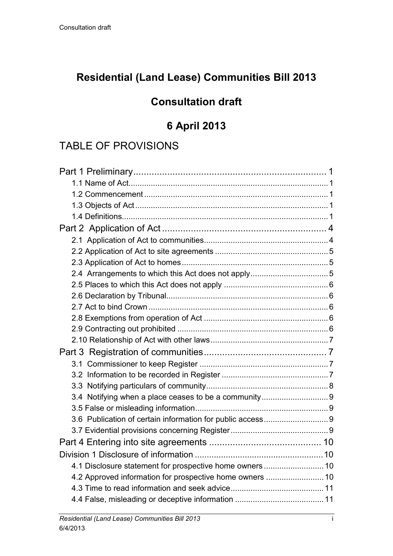# **Residential (Land Lease) Communities Bill 2013**

# **Consultation draft**

# **6 April 2013**

# TABLE OF PROVISIONS

| 4.1 Disclosure statement for prospective home owners 10  |  |
|----------------------------------------------------------|--|
| 4.2 Approved information for prospective home owners  10 |  |
|                                                          |  |
|                                                          |  |
|                                                          |  |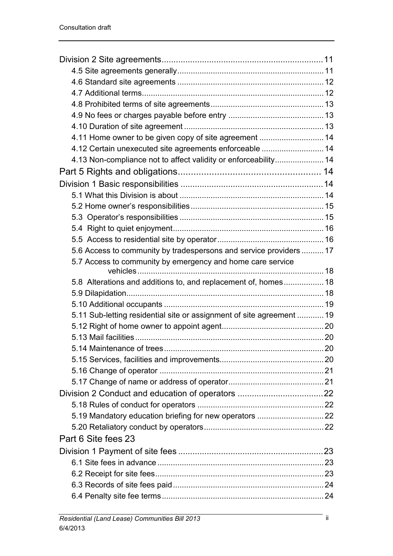| 4.11 Home owner to be given copy of site agreement  14                |  |
|-----------------------------------------------------------------------|--|
| 4.12 Certain unexecuted site agreements enforceable  14               |  |
| 4.13 Non-compliance not to affect validity or enforceability 14       |  |
|                                                                       |  |
|                                                                       |  |
|                                                                       |  |
|                                                                       |  |
|                                                                       |  |
|                                                                       |  |
|                                                                       |  |
| 5.6 Access to community by tradespersons and service providers  17    |  |
| 5.7 Access to community by emergency and home care service            |  |
| 5.8 Alterations and additions to, and replacement of, homes 18        |  |
|                                                                       |  |
|                                                                       |  |
| 5.11 Sub-letting residential site or assignment of site agreement  19 |  |
|                                                                       |  |
|                                                                       |  |
|                                                                       |  |
|                                                                       |  |
|                                                                       |  |
|                                                                       |  |
|                                                                       |  |
|                                                                       |  |
| 5.19 Mandatory education briefing for new operators  22               |  |
|                                                                       |  |
| Part 6 Site fees 23                                                   |  |
|                                                                       |  |
|                                                                       |  |
|                                                                       |  |
|                                                                       |  |
|                                                                       |  |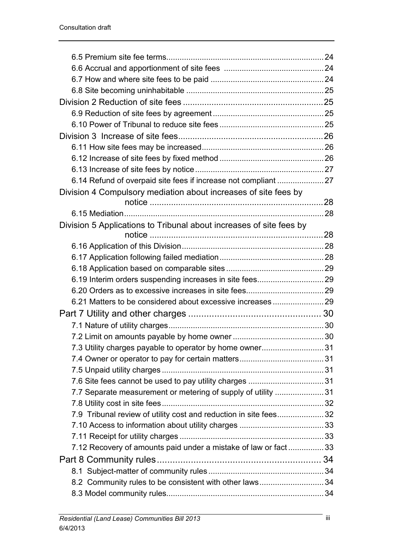| 6.14 Refund of overpaid site fees if increase not compliant  27     |  |
|---------------------------------------------------------------------|--|
| Division 4 Compulsory mediation about increases of site fees by     |  |
|                                                                     |  |
|                                                                     |  |
| Division 5 Applications to Tribunal about increases of site fees by |  |
|                                                                     |  |
|                                                                     |  |
|                                                                     |  |
|                                                                     |  |
|                                                                     |  |
|                                                                     |  |
|                                                                     |  |
|                                                                     |  |
|                                                                     |  |
|                                                                     |  |
| 7.3 Utility charges payable to operator by home owner 31            |  |
|                                                                     |  |
|                                                                     |  |
|                                                                     |  |
| 7.7 Separate measurement or metering of supply of utility 31        |  |
|                                                                     |  |
| 7.9 Tribunal review of utility cost and reduction in site fees32    |  |
|                                                                     |  |
|                                                                     |  |
| 7.12 Recovery of amounts paid under a mistake of law or fact33      |  |
|                                                                     |  |
|                                                                     |  |
| 8.2 Community rules to be consistent with other laws 34             |  |
|                                                                     |  |
|                                                                     |  |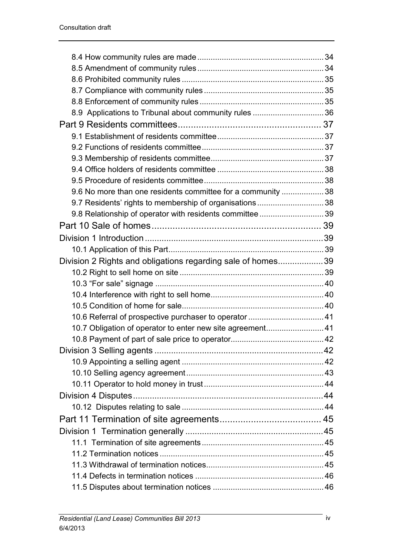| 8.9 Applications to Tribunal about community rules  36       |  |
|--------------------------------------------------------------|--|
|                                                              |  |
|                                                              |  |
|                                                              |  |
|                                                              |  |
|                                                              |  |
|                                                              |  |
| 9.6 No more than one residents committee for a community  38 |  |
| 9.7 Residents' rights to membership of organisations 38      |  |
| 9.8 Relationship of operator with residents committee 39     |  |
|                                                              |  |
|                                                              |  |
|                                                              |  |
| Division 2 Rights and obligations regarding sale of homes39  |  |
|                                                              |  |
|                                                              |  |
|                                                              |  |
|                                                              |  |
|                                                              |  |
| 10.7 Obligation of operator to enter new site agreement 41   |  |
|                                                              |  |
|                                                              |  |
|                                                              |  |
|                                                              |  |
|                                                              |  |
|                                                              |  |
|                                                              |  |
|                                                              |  |
|                                                              |  |
|                                                              |  |
|                                                              |  |
|                                                              |  |
|                                                              |  |
|                                                              |  |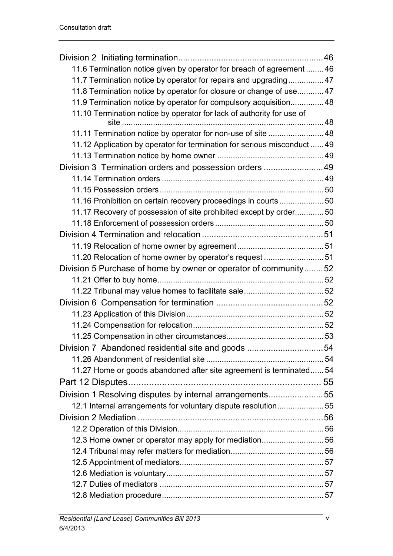| 11.6 Termination notice given by operator for breach of agreement  46    |  |
|--------------------------------------------------------------------------|--|
| 11.7 Termination notice by operator for repairs and upgrading 47         |  |
| 11.8 Termination notice by operator for closure or change of use 47      |  |
| 11.9 Termination notice by operator for compulsory acquisition 48        |  |
| 11.10 Termination notice by operator for lack of authority for use of    |  |
|                                                                          |  |
| 11.11 Termination notice by operator for non-use of site  48             |  |
| 11.12 Application by operator for termination for serious misconduct  49 |  |
|                                                                          |  |
| Division 3 Termination orders and possession orders 49                   |  |
|                                                                          |  |
|                                                                          |  |
| 11.16 Prohibition on certain recovery proceedings in courts 50           |  |
| 11.17 Recovery of possession of site prohibited except by order50        |  |
|                                                                          |  |
|                                                                          |  |
|                                                                          |  |
| 11.20 Relocation of home owner by operator's request 51                  |  |
| Division 5 Purchase of home by owner or operator of community52          |  |
|                                                                          |  |
|                                                                          |  |
|                                                                          |  |
|                                                                          |  |
|                                                                          |  |
|                                                                          |  |
| Division 7 Abandoned residential site and goods 54                       |  |
|                                                                          |  |
| 11.27 Home or goods abandoned after site agreement is terminated 54      |  |
|                                                                          |  |
| Division 1 Resolving disputes by internal arrangements55                 |  |
| 12.1 Internal arrangements for voluntary dispute resolution55            |  |
|                                                                          |  |
|                                                                          |  |
|                                                                          |  |
|                                                                          |  |
|                                                                          |  |
|                                                                          |  |
|                                                                          |  |
|                                                                          |  |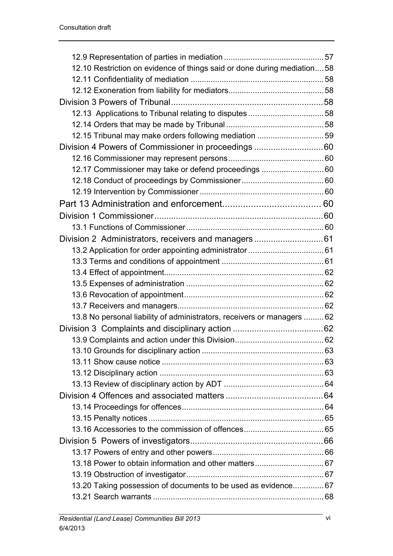| 12.10 Restriction on evidence of things said or done during mediation 58 |  |
|--------------------------------------------------------------------------|--|
|                                                                          |  |
|                                                                          |  |
|                                                                          |  |
|                                                                          |  |
|                                                                          |  |
| 12.15 Tribunal may make orders following mediation  59                   |  |
| Division 4 Powers of Commissioner in proceedings 60                      |  |
|                                                                          |  |
| 12.17 Commissioner may take or defend proceedings  60                    |  |
|                                                                          |  |
|                                                                          |  |
|                                                                          |  |
|                                                                          |  |
|                                                                          |  |
|                                                                          |  |
|                                                                          |  |
|                                                                          |  |
|                                                                          |  |
|                                                                          |  |
|                                                                          |  |
|                                                                          |  |
| 13.8 No personal liability of administrators, receivers or managers  62  |  |
|                                                                          |  |
|                                                                          |  |
|                                                                          |  |
|                                                                          |  |
|                                                                          |  |
|                                                                          |  |
|                                                                          |  |
|                                                                          |  |
|                                                                          |  |
|                                                                          |  |
|                                                                          |  |
|                                                                          |  |
|                                                                          |  |
|                                                                          |  |
| 13.20 Taking possession of documents to be used as evidence 67           |  |
|                                                                          |  |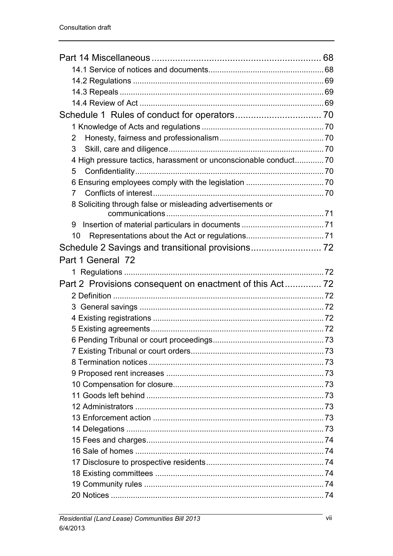| 2                                                                |  |
|------------------------------------------------------------------|--|
| 3                                                                |  |
| 4 High pressure tactics, harassment or unconscionable conduct 70 |  |
| 5                                                                |  |
|                                                                  |  |
| 7                                                                |  |
| 8 Soliciting through false or misleading advertisements or       |  |
|                                                                  |  |
| 10                                                               |  |
|                                                                  |  |
| Part 1 General 72                                                |  |
|                                                                  |  |
|                                                                  |  |
|                                                                  |  |
|                                                                  |  |
|                                                                  |  |
|                                                                  |  |
|                                                                  |  |
|                                                                  |  |
|                                                                  |  |
|                                                                  |  |
|                                                                  |  |
|                                                                  |  |
|                                                                  |  |
|                                                                  |  |
|                                                                  |  |
|                                                                  |  |
|                                                                  |  |
|                                                                  |  |
|                                                                  |  |
|                                                                  |  |
|                                                                  |  |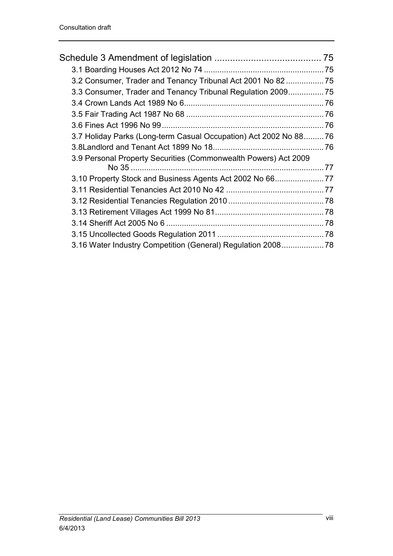| 3.2 Consumer, Trader and Tenancy Tribunal Act 2001 No 82  75      |  |
|-------------------------------------------------------------------|--|
| 3.3 Consumer, Trader and Tenancy Tribunal Regulation 2009         |  |
|                                                                   |  |
|                                                                   |  |
|                                                                   |  |
| 3.7 Holiday Parks (Long-term Casual Occupation) Act 2002 No 88 76 |  |
|                                                                   |  |
| 3.9 Personal Property Securities (Commonwealth Powers) Act 2009   |  |
| 3.10 Property Stock and Business Agents Act 2002 No 6677          |  |
|                                                                   |  |
|                                                                   |  |
|                                                                   |  |
|                                                                   |  |
|                                                                   |  |
| 3.16 Water Industry Competition (General) Regulation 2008 78      |  |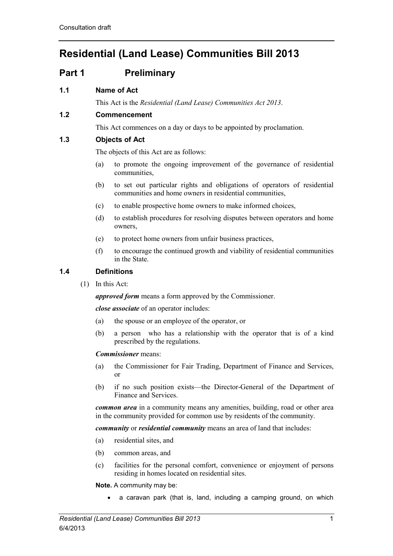# **Residential (Land Lease) Communities Bill 2013**

# <span id="page-8-0"></span>**Part 1 Preliminary**

# <span id="page-8-1"></span>**1.1 Name of Act**

This Act is the *Residential (Land Lease) Communities Act 2013*.

# <span id="page-8-2"></span>**1.2 Commencement**

This Act commences on a day or days to be appointed by proclamation.

# <span id="page-8-3"></span>**1.3 Objects of Act**

The objects of this Act are as follows:

- (a) to promote the ongoing improvement of the governance of residential communities,
- (b) to set out particular rights and obligations of operators of residential communities and home owners in residential communities,
- (c) to enable prospective home owners to make informed choices,
- (d) to establish procedures for resolving disputes between operators and home owners,
- (e) to protect home owners from unfair business practices,
- (f) to encourage the continued growth and viability of residential communities in the State.

# <span id="page-8-4"></span>**1.4 Definitions**

(1) In this Act:

*approved form* means a form approved by the Commissioner.

*close associate* of an operator includes:

- (a) the spouse or an employee of the operator, or
- (b) a person who has a relationship with the operator that is of a kind prescribed by the regulations.

# *Commissioner* means:

- (a) the Commissioner for Fair Trading, Department of Finance and Services, or
- (b) if no such position exists—the Director-General of the Department of Finance and Services.

*common area* in a community means any amenities, building, road or other area in the community provided for common use by residents of the community.

*community* or *residential community* means an area of land that includes:

- (a) residential sites, and
- (b) common areas, and
- (c) facilities for the personal comfort, convenience or enjoyment of persons residing in homes located on residential sites.

**Note.** A community may be:

• a caravan park (that is, land, including a camping ground, on which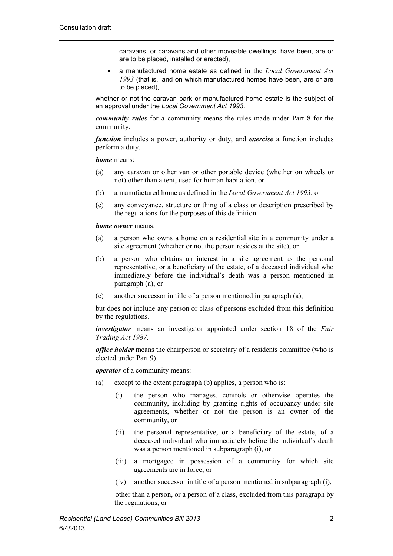caravans, or caravans and other moveable dwellings, have been, are or are to be placed, installed or erected),

• a manufactured home estate as defined in the *Local Government Act 1993* (that is, land on which manufactured homes have been, are or are to be placed),

whether or not the caravan park or manufactured home estate is the subject of an approval under the *Local Government Act 1993*.

*community rules* for a community means the rules made under Part 8 for the community.

*function* includes a power, authority or duty, and *exercise* a function includes perform a duty.

*home* means:

- (a) any caravan or other van or other portable device (whether on wheels or not) other than a tent, used for human habitation, or
- (b) a manufactured home as defined in the *Local Government Act 1993*, or
- (c) any conveyance, structure or thing of a class or description prescribed by the regulations for the purposes of this definition.

#### *home owner* means:

- (a) a person who owns a home on a residential site in a community under a site agreement (whether or not the person resides at the site), or
- (b) a person who obtains an interest in a site agreement as the personal representative, or a beneficiary of the estate, of a deceased individual who immediately before the individual's death was a person mentioned in paragraph (a), or
- (c) another successor in title of a person mentioned in paragraph (a),

but does not include any person or class of persons excluded from this definition by the regulations.

*investigator* means an investigator appointed under section 18 of the *Fair Trading Act 1987*.

*office holder* means the chairperson or secretary of a residents committee (who is elected under Part 9).

*operator* of a community means:

- (a) except to the extent paragraph (b) applies, a person who is:
	- (i) the person who manages, controls or otherwise operates the community, including by granting rights of occupancy under site agreements, whether or not the person is an owner of the community, or
	- (ii) the personal representative, or a beneficiary of the estate, of a deceased individual who immediately before the individual's death was a person mentioned in subparagraph (i), or
	- (iii) a mortgagee in possession of a community for which site agreements are in force, or
	- (iv) another successor in title of a person mentioned in subparagraph (i),

other than a person, or a person of a class, excluded from this paragraph by the regulations, or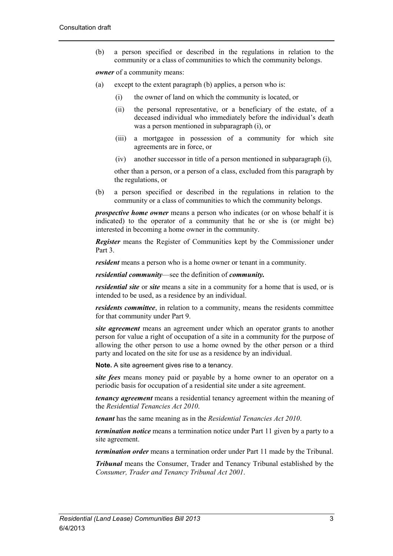(b) a person specified or described in the regulations in relation to the community or a class of communities to which the community belongs.

*owner* of a community means:

- (a) except to the extent paragraph (b) applies, a person who is:
	- (i) the owner of land on which the community is located, or
	- (ii) the personal representative, or a beneficiary of the estate, of a deceased individual who immediately before the individual's death was a person mentioned in subparagraph (i), or
	- (iii) a mortgagee in possession of a community for which site agreements are in force, or
	- (iv) another successor in title of a person mentioned in subparagraph (i),

other than a person, or a person of a class, excluded from this paragraph by the regulations, or

(b) a person specified or described in the regulations in relation to the community or a class of communities to which the community belongs.

*prospective home owner* means a person who indicates (or on whose behalf it is indicated) to the operator of a community that he or she is (or might be) interested in becoming a home owner in the community.

*Register* means the Register of Communities kept by the Commissioner under Part 3.

*resident* means a person who is a home owner or tenant in a community.

*residential community*—see the definition of *community.*

*residential site* or *site* means a site in a community for a home that is used, or is intended to be used, as a residence by an individual.

*residents committee*, in relation to a community, means the residents committee for that community under Part 9.

*site agreement* means an agreement under which an operator grants to another person for value a right of occupation of a site in a community for the purpose of allowing the other person to use a home owned by the other person or a third party and located on the site for use as a residence by an individual.

**Note.** A site agreement gives rise to a tenancy.

*site fees* means money paid or payable by a home owner to an operator on a periodic basis for occupation of a residential site under a site agreement.

*tenancy agreement* means a residential tenancy agreement within the meaning of the *Residential Tenancies Act 2010*.

*tenant* has the same meaning as in the *Residential Tenancies Act 2010*.

*termination notice* means a termination notice under Part 11 given by a party to a site agreement.

*termination order* means a termination order under Part 11 made by the Tribunal.

*Tribunal* means the Consumer, Trader and Tenancy Tribunal established by the *Consumer, Trader and Tenancy Tribunal Act 2001*.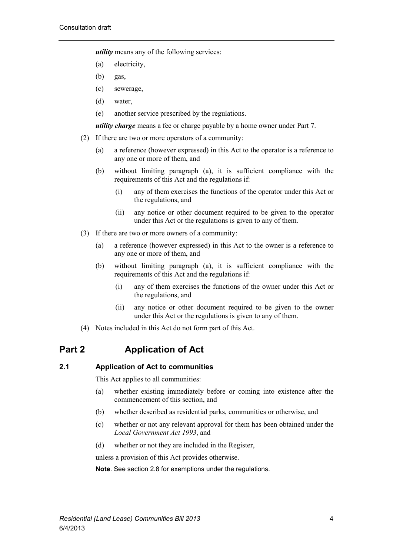*utility* means any of the following services:

- (a) electricity,
- (b) gas,
- (c) sewerage,
- (d) water,
- (e) another service prescribed by the regulations.

*utility charge* means a fee or charge payable by a home owner under Part 7.

- (2) If there are two or more operators of a community:
	- (a) a reference (however expressed) in this Act to the operator is a reference to any one or more of them, and
	- (b) without limiting paragraph (a), it is sufficient compliance with the requirements of this Act and the regulations if:
		- (i) any of them exercises the functions of the operator under this Act or the regulations, and
		- (ii) any notice or other document required to be given to the operator under this Act or the regulations is given to any of them.
- (3) If there are two or more owners of a community:
	- (a) a reference (however expressed) in this Act to the owner is a reference to any one or more of them, and
	- (b) without limiting paragraph (a), it is sufficient compliance with the requirements of this Act and the regulations if:
		- (i) any of them exercises the functions of the owner under this Act or the regulations, and
		- (ii) any notice or other document required to be given to the owner under this Act or the regulations is given to any of them.
- (4) Notes included in this Act do not form part of this Act.

# <span id="page-11-0"></span>**Part 2 Application of Act**

# <span id="page-11-1"></span>**2.1 Application of Act to communities**

This Act applies to all communities:

- (a) whether existing immediately before or coming into existence after the commencement of this section, and
- (b) whether described as residential parks, communities or otherwise, and
- (c) whether or not any relevant approval for them has been obtained under the *Local Government Act 1993*, and
- (d) whether or not they are included in the Register,

unless a provision of this Act provides otherwise.

**Note**. See section 2.8 for exemptions under the regulations.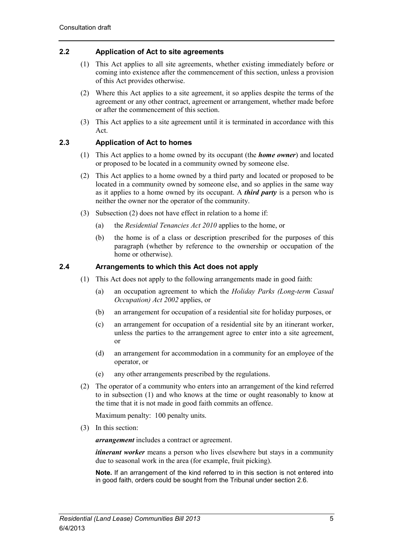# <span id="page-12-0"></span>**2.2 Application of Act to site agreements**

- (1) This Act applies to all site agreements, whether existing immediately before or coming into existence after the commencement of this section, unless a provision of this Act provides otherwise.
- (2) Where this Act applies to a site agreement, it so applies despite the terms of the agreement or any other contract, agreement or arrangement, whether made before or after the commencement of this section.
- (3) This Act applies to a site agreement until it is terminated in accordance with this Act.

# <span id="page-12-1"></span>**2.3 Application of Act to homes**

- (1) This Act applies to a home owned by its occupant (the *home owner*) and located or proposed to be located in a community owned by someone else.
- (2) This Act applies to a home owned by a third party and located or proposed to be located in a community owned by someone else, and so applies in the same way as it applies to a home owned by its occupant. A *third party* is a person who is neither the owner nor the operator of the community.
- (3) Subsection (2) does not have effect in relation to a home if:
	- (a) the *Residential Tenancies Act 2010* applies to the home, or
	- (b) the home is of a class or description prescribed for the purposes of this paragraph (whether by reference to the ownership or occupation of the home or otherwise).

# <span id="page-12-2"></span>**2.4 Arrangements to which this Act does not apply**

- (1) This Act does not apply to the following arrangements made in good faith:
	- (a) an occupation agreement to which the *Holiday Parks (Long-term Casual Occupation) Act 2002* applies, or
	- (b) an arrangement for occupation of a residential site for holiday purposes, or
	- (c) an arrangement for occupation of a residential site by an itinerant worker, unless the parties to the arrangement agree to enter into a site agreement, or
	- (d) an arrangement for accommodation in a community for an employee of the operator, or
	- (e) any other arrangements prescribed by the regulations.
- (2) The operator of a community who enters into an arrangement of the kind referred to in subsection (1) and who knows at the time or ought reasonably to know at the time that it is not made in good faith commits an offence.

Maximum penalty: 100 penalty units.

(3) In this section:

*arrangement* includes a contract or agreement.

*itinerant worker* means a person who lives elsewhere but stays in a community due to seasonal work in the area (for example, fruit picking).

**Note.** If an arrangement of the kind referred to in this section is not entered into in good faith, orders could be sought from the Tribunal under section 2.6.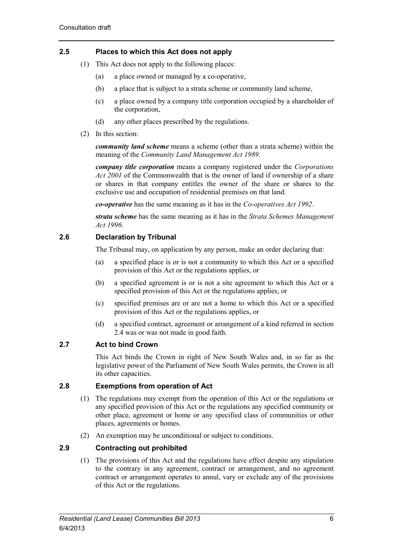# <span id="page-13-0"></span>**2.5 Places to which this Act does not apply**

- (1) This Act does not apply to the following places:
	- (a) a place owned or managed by a co-operative,
	- (b) a place that is subject to a strata scheme or community land scheme,
	- (c) a place owned by a company title corporation occupied by a shareholder of the corporation,
	- (d) any other places prescribed by the regulations.
- (2) In this section:

*community land scheme* means a scheme (other than a strata scheme) within the meaning of the *Community Land Management Act 1989*.

*company title corporation* means a company registered under the *Corporations Act 2001* of the Commonwealth that is the owner of land if ownership of a share or shares in that company entitles the owner of the share or shares to the exclusive use and occupation of residential premises on that land.

*co-operative* has the same meaning as it has in the *Co-operatives Act 1992*.

*strata scheme* has the same meaning as it has in the *Strata Schemes Management Act 1996*.

# <span id="page-13-1"></span>**2.6 Declaration by Tribunal**

The Tribunal may, on application by any person, make an order declaring that:

- (a) a specified place is or is not a community to which this Act or a specified provision of this Act or the regulations applies, or
- (b) a specified agreement is or is not a site agreement to which this Act or a specified provision of this Act or the regulations applies, or
- (c) specified premises are or are not a home to which this Act or a specified provision of this Act or the regulations applies, or
- (d) a specified contract, agreement or arrangement of a kind referred in section 2.4 was or was not made in good faith.

# <span id="page-13-2"></span>**2.7 Act to bind Crown**

This Act binds the Crown in right of New South Wales and, in so far as the legislative power of the Parliament of New South Wales permits, the Crown in all its other capacities.

# <span id="page-13-3"></span>**2.8 Exemptions from operation of Act**

- (1) The regulations may exempt from the operation of this Act or the regulations or any specified provision of this Act or the regulations any specified community or other place, agreement or home or any specified class of communities or other places, agreements or homes.
- (2) An exemption may be unconditional or subject to conditions.

# <span id="page-13-4"></span>**2.9 Contracting out prohibited**

(1) The provisions of this Act and the regulations have effect despite any stipulation to the contrary in any agreement, contract or arrangement, and no agreement contract or arrangement operates to annul, vary or exclude any of the provisions of this Act or the regulations.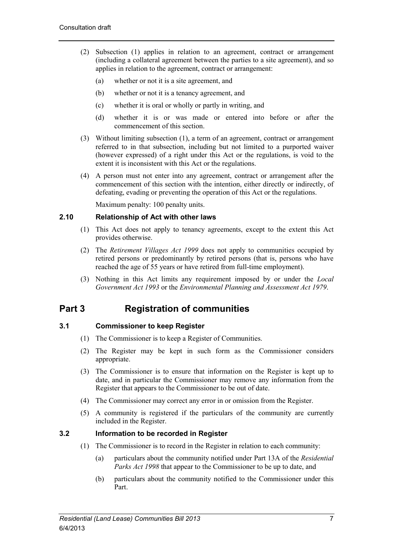- (2) Subsection (1) applies in relation to an agreement, contract or arrangement (including a collateral agreement between the parties to a site agreement), and so applies in relation to the agreement, contract or arrangement:
	- (a) whether or not it is a site agreement, and
	- (b) whether or not it is a tenancy agreement, and
	- (c) whether it is oral or wholly or partly in writing, and
	- (d) whether it is or was made or entered into before or after the commencement of this section.
- (3) Without limiting subsection (1), a term of an agreement, contract or arrangement referred to in that subsection, including but not limited to a purported waiver (however expressed) of a right under this Act or the regulations, is void to the extent it is inconsistent with this Act or the regulations.
- (4) A person must not enter into any agreement, contract or arrangement after the commencement of this section with the intention, either directly or indirectly, of defeating, evading or preventing the operation of this Act or the regulations.

Maximum penalty: 100 penalty units.

# <span id="page-14-0"></span>**2.10 Relationship of Act with other laws**

- (1) This Act does not apply to tenancy agreements, except to the extent this Act provides otherwise.
- (2) The *Retirement Villages Act 1999* does not apply to communities occupied by retired persons or predominantly by retired persons (that is, persons who have reached the age of 55 years or have retired from full-time employment).
- (3) Nothing in this Act limits any requirement imposed by or under the *Local Government Act 1993* or the *Environmental Planning and Assessment Act 1979*.

# <span id="page-14-1"></span>**Part 3 Registration of communities**

# <span id="page-14-2"></span>**3.1 Commissioner to keep Register**

- (1) The Commissioner is to keep a Register of Communities.
- (2) The Register may be kept in such form as the Commissioner considers appropriate.
- (3) The Commissioner is to ensure that information on the Register is kept up to date, and in particular the Commissioner may remove any information from the Register that appears to the Commissioner to be out of date.
- (4) The Commissioner may correct any error in or omission from the Register.
- (5) A community is registered if the particulars of the community are currently included in the Register.

# <span id="page-14-3"></span>**3.2 Information to be recorded in Register**

- (1) The Commissioner is to record in the Register in relation to each community:
	- (a) particulars about the community notified under Part 13A of the *Residential Parks Act 1998* that appear to the Commissioner to be up to date, and
	- (b) particulars about the community notified to the Commissioner under this Part.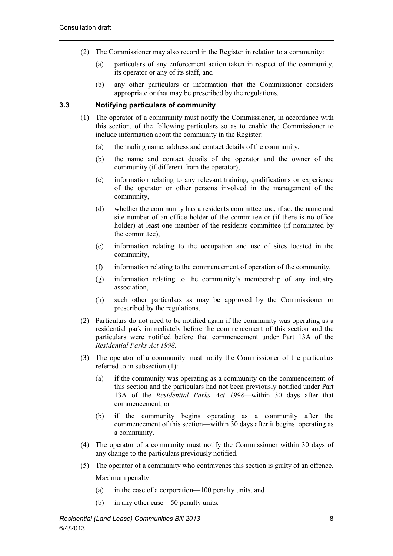- (2) The Commissioner may also record in the Register in relation to a community:
	- (a) particulars of any enforcement action taken in respect of the community, its operator or any of its staff, and
	- (b) any other particulars or information that the Commissioner considers appropriate or that may be prescribed by the regulations.

# <span id="page-15-0"></span>**3.3 Notifying particulars of community**

- (1) The operator of a community must notify the Commissioner, in accordance with this section, of the following particulars so as to enable the Commissioner to include information about the community in the Register:
	- (a) the trading name, address and contact details of the community,
	- (b) the name and contact details of the operator and the owner of the community (if different from the operator),
	- (c) information relating to any relevant training, qualifications or experience of the operator or other persons involved in the management of the community,
	- (d) whether the community has a residents committee and, if so, the name and site number of an office holder of the committee or (if there is no office holder) at least one member of the residents committee (if nominated by the committee),
	- (e) information relating to the occupation and use of sites located in the community,
	- (f) information relating to the commencement of operation of the community,
	- (g) information relating to the community's membership of any industry association,
	- (h) such other particulars as may be approved by the Commissioner or prescribed by the regulations.
- (2) Particulars do not need to be notified again if the community was operating as a residential park immediately before the commencement of this section and the particulars were notified before that commencement under Part 13A of the *Residential Parks Act 1998.*
- (3) The operator of a community must notify the Commissioner of the particulars referred to in subsection (1):
	- (a) if the community was operating as a community on the commencement of this section and the particulars had not been previously notified under Part 13A of the *Residential Parks Act 1998*—within 30 days after that commencement, or
	- (b) if the community begins operating as a community after the commencement of this section—within 30 days after it begins operating as a community.
- (4) The operator of a community must notify the Commissioner within 30 days of any change to the particulars previously notified.
- (5) The operator of a community who contravenes this section is guilty of an offence. Maximum penalty:
	- (a) in the case of a corporation—100 penalty units, and
	- (b) in any other case—50 penalty units.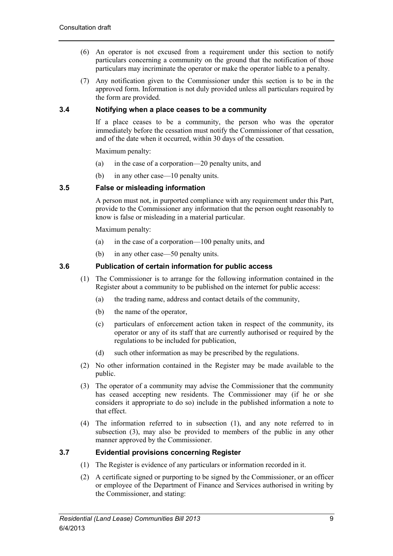- (6) An operator is not excused from a requirement under this section to notify particulars concerning a community on the ground that the notification of those particulars may incriminate the operator or make the operator liable to a penalty.
- (7) Any notification given to the Commissioner under this section is to be in the approved form. Information is not duly provided unless all particulars required by the form are provided.

# <span id="page-16-0"></span>**3.4 Notifying when a place ceases to be a community**

If a place ceases to be a community, the person who was the operator immediately before the cessation must notify the Commissioner of that cessation, and of the date when it occurred, within 30 days of the cessation.

Maximum penalty:

- (a) in the case of a corporation—20 penalty units, and
- (b) in any other case—10 penalty units.

# <span id="page-16-1"></span>**3.5 False or misleading information**

A person must not, in purported compliance with any requirement under this Part, provide to the Commissioner any information that the person ought reasonably to know is false or misleading in a material particular.

Maximum penalty:

- (a) in the case of a corporation—100 penalty units, and
- (b) in any other case—50 penalty units.

# <span id="page-16-2"></span>**3.6 Publication of certain information for public access**

- (1) The Commissioner is to arrange for the following information contained in the Register about a community to be published on the internet for public access:
	- (a) the trading name, address and contact details of the community,
	- (b) the name of the operator,
	- (c) particulars of enforcement action taken in respect of the community, its operator or any of its staff that are currently authorised or required by the regulations to be included for publication,
	- (d) such other information as may be prescribed by the regulations.
- (2) No other information contained in the Register may be made available to the public.
- (3) The operator of a community may advise the Commissioner that the community has ceased accepting new residents. The Commissioner may (if he or she considers it appropriate to do so) include in the published information a note to that effect.
- (4) The information referred to in subsection (1), and any note referred to in subsection (3), may also be provided to members of the public in any other manner approved by the Commissioner.

# <span id="page-16-3"></span>**3.7 Evidential provisions concerning Register**

- (1) The Register is evidence of any particulars or information recorded in it.
- (2) A certificate signed or purporting to be signed by the Commissioner, or an officer or employee of the Department of Finance and Services authorised in writing by the Commissioner, and stating: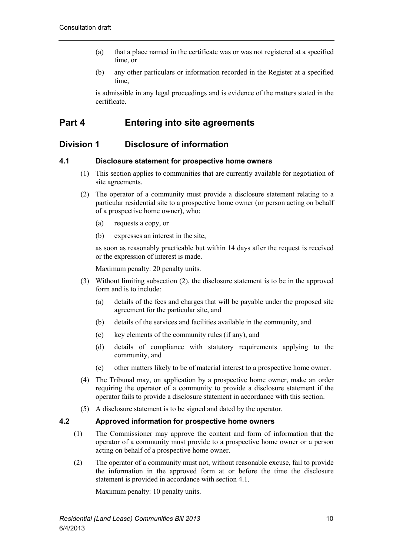- (a) that a place named in the certificate was or was not registered at a specified time, or
- (b) any other particulars or information recorded in the Register at a specified time,

is admissible in any legal proceedings and is evidence of the matters stated in the certificate.

# <span id="page-17-0"></span>**Part 4 Entering into site agreements**

# <span id="page-17-1"></span>**Division 1 Disclosure of information**

# <span id="page-17-2"></span>**4.1 Disclosure statement for prospective home owners**

- (1) This section applies to communities that are currently available for negotiation of site agreements.
- (2) The operator of a community must provide a disclosure statement relating to a particular residential site to a prospective home owner (or person acting on behalf of a prospective home owner), who:
	- (a) requests a copy, or
	- (b) expresses an interest in the site,

as soon as reasonably practicable but within 14 days after the request is received or the expression of interest is made.

Maximum penalty: 20 penalty units.

- (3) Without limiting subsection (2), the disclosure statement is to be in the approved form and is to include:
	- (a) details of the fees and charges that will be payable under the proposed site agreement for the particular site, and
	- (b) details of the services and facilities available in the community, and
	- (c) key elements of the community rules (if any), and
	- (d) details of compliance with statutory requirements applying to the community, and
	- (e) other matters likely to be of material interest to a prospective home owner.
- (4) The Tribunal may, on application by a prospective home owner, make an order requiring the operator of a community to provide a disclosure statement if the operator fails to provide a disclosure statement in accordance with this section.
- (5) A disclosure statement is to be signed and dated by the operator.

# <span id="page-17-3"></span>**4.2 Approved information for prospective home owners**

- (1) The Commissioner may approve the content and form of information that the operator of a community must provide to a prospective home owner or a person acting on behalf of a prospective home owner.
- (2) The operator of a community must not, without reasonable excuse, fail to provide the information in the approved form at or before the time the disclosure statement is provided in accordance with section 4.1.

Maximum penalty: 10 penalty units.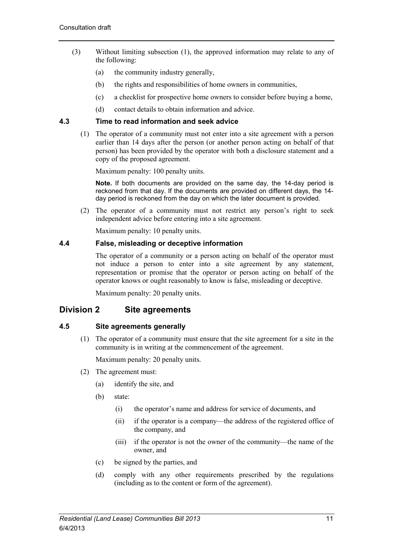- (3) Without limiting subsection (1), the approved information may relate to any of the following:
	- (a) the community industry generally,
	- (b) the rights and responsibilities of home owners in communities,
	- (c) a checklist for prospective home owners to consider before buying a home,
	- (d) contact details to obtain information and advice.

# <span id="page-18-0"></span>**4.3 Time to read information and seek advice**

(1) The operator of a community must not enter into a site agreement with a person earlier than 14 days after the person (or another person acting on behalf of that person) has been provided by the operator with both a disclosure statement and a copy of the proposed agreement.

Maximum penalty: 100 penalty units.

**Note.** If both documents are provided on the same day, the 14-day period is reckoned from that day. If the documents are provided on different days, the 14 day period is reckoned from the day on which the later document is provided.

(2) The operator of a community must not restrict any person's right to seek independent advice before entering into a site agreement.

Maximum penalty: 10 penalty units.

# <span id="page-18-1"></span>**4.4 False, misleading or deceptive information**

The operator of a community or a person acting on behalf of the operator must not induce a person to enter into a site agreement by any statement, representation or promise that the operator or person acting on behalf of the operator knows or ought reasonably to know is false, misleading or deceptive.

Maximum penalty: 20 penalty units.

# <span id="page-18-2"></span>**Division 2 Site agreements**

# <span id="page-18-3"></span>**4.5 Site agreements generally**

(1) The operator of a community must ensure that the site agreement for a site in the community is in writing at the commencement of the agreement.

Maximum penalty: 20 penalty units.

- (2) The agreement must:
	- (a) identify the site, and
	- (b) state:
		- (i) the operator's name and address for service of documents, and
		- (ii) if the operator is a company—the address of the registered office of the company, and
		- (iii) if the operator is not the owner of the community—the name of the owner, and
	- (c) be signed by the parties, and
	- (d) comply with any other requirements prescribed by the regulations (including as to the content or form of the agreement).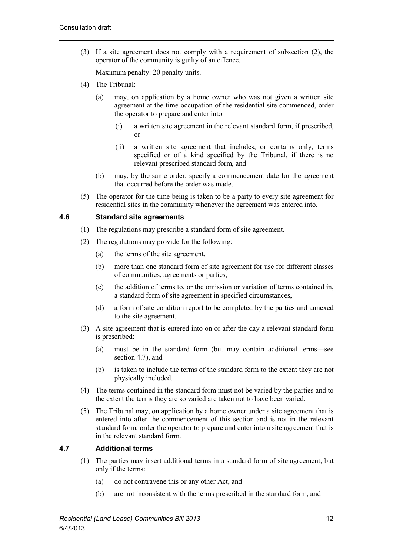(3) If a site agreement does not comply with a requirement of subsection (2), the operator of the community is guilty of an offence.

Maximum penalty: 20 penalty units.

- (4) The Tribunal:
	- (a) may, on application by a home owner who was not given a written site agreement at the time occupation of the residential site commenced, order the operator to prepare and enter into:
		- (i) a written site agreement in the relevant standard form, if prescribed, or
		- (ii) a written site agreement that includes, or contains only, terms specified or of a kind specified by the Tribunal, if there is no relevant prescribed standard form, and
	- (b) may, by the same order, specify a commencement date for the agreement that occurred before the order was made.
- (5) The operator for the time being is taken to be a party to every site agreement for residential sites in the community whenever the agreement was entered into.

# <span id="page-19-0"></span>**4.6 Standard site agreements**

- (1) The regulations may prescribe a standard form of site agreement.
- (2) The regulations may provide for the following:
	- (a) the terms of the site agreement,
	- (b) more than one standard form of site agreement for use for different classes of communities, agreements or parties,
	- (c) the addition of terms to, or the omission or variation of terms contained in, a standard form of site agreement in specified circumstances,
	- (d) a form of site condition report to be completed by the parties and annexed to the site agreement.
- (3) A site agreement that is entered into on or after the day a relevant standard form is prescribed:
	- (a) must be in the standard form (but may contain additional terms—see section 4.7), and
	- (b) is taken to include the terms of the standard form to the extent they are not physically included.
- (4) The terms contained in the standard form must not be varied by the parties and to the extent the terms they are so varied are taken not to have been varied.
- (5) The Tribunal may, on application by a home owner under a site agreement that is entered into after the commencement of this section and is not in the relevant standard form, order the operator to prepare and enter into a site agreement that is in the relevant standard form.

# <span id="page-19-1"></span>**4.7 Additional terms**

- (1) The parties may insert additional terms in a standard form of site agreement, but only if the terms:
	- (a) do not contravene this or any other Act, and
	- (b) are not inconsistent with the terms prescribed in the standard form, and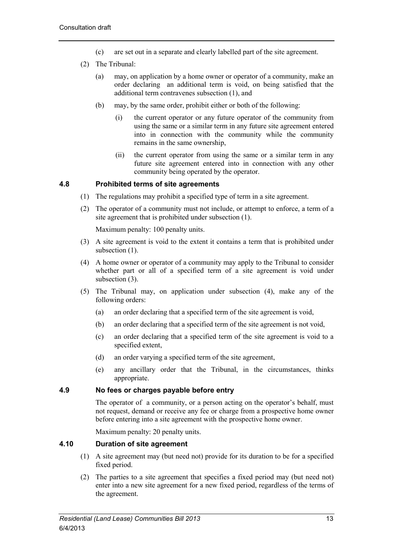- (c) are set out in a separate and clearly labelled part of the site agreement.
- (2) The Tribunal:
	- (a) may, on application by a home owner or operator of a community, make an order declaring an additional term is void, on being satisfied that the additional term contravenes subsection (1), and
	- (b) may, by the same order, prohibit either or both of the following:
		- (i) the current operator or any future operator of the community from using the same or a similar term in any future site agreement entered into in connection with the community while the community remains in the same ownership,
		- (ii) the current operator from using the same or a similar term in any future site agreement entered into in connection with any other community being operated by the operator.

# <span id="page-20-0"></span>**4.8 Prohibited terms of site agreements**

- (1) The regulations may prohibit a specified type of term in a site agreement.
- (2) The operator of a community must not include, or attempt to enforce, a term of a site agreement that is prohibited under subsection (1).

Maximum penalty: 100 penalty units.

- (3) A site agreement is void to the extent it contains a term that is prohibited under subsection  $(1)$ .
- (4) A home owner or operator of a community may apply to the Tribunal to consider whether part or all of a specified term of a site agreement is void under subsection  $(3)$ .
- (5) The Tribunal may, on application under subsection (4), make any of the following orders:
	- (a) an order declaring that a specified term of the site agreement is void,
	- (b) an order declaring that a specified term of the site agreement is not void,
	- (c) an order declaring that a specified term of the site agreement is void to a specified extent,
	- (d) an order varying a specified term of the site agreement,
	- (e) any ancillary order that the Tribunal, in the circumstances, thinks appropriate.

# <span id="page-20-1"></span>**4.9 No fees or charges payable before entry**

The operator of a community, or a person acting on the operator's behalf, must not request, demand or receive any fee or charge from a prospective home owner before entering into a site agreement with the prospective home owner.

Maximum penalty: 20 penalty units.

# <span id="page-20-2"></span>**4.10 Duration of site agreement**

- (1) A site agreement may (but need not) provide for its duration to be for a specified fixed period.
- (2) The parties to a site agreement that specifies a fixed period may (but need not) enter into a new site agreement for a new fixed period, regardless of the terms of the agreement.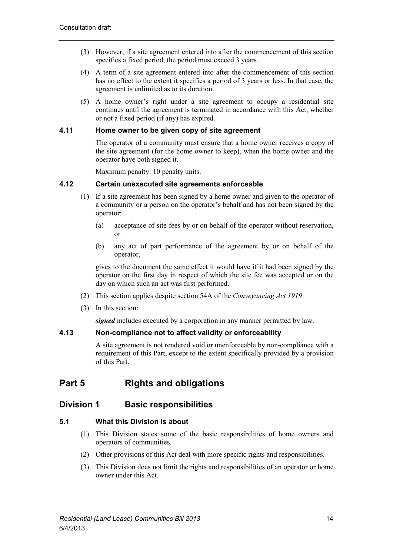- (3) However, if a site agreement entered into after the commencement of this section specifies a fixed period, the period must exceed 3 years.
- (4) A term of a site agreement entered into after the commencement of this section has no effect to the extent it specifies a period of 3 years or less. In that case, the agreement is unlimited as to its duration.
- (5) A home owner's right under a site agreement to occupy a residential site continues until the agreement is terminated in accordance with this Act, whether or not a fixed period (if any) has expired.

# <span id="page-21-0"></span>**4.11 Home owner to be given copy of site agreement**

The operator of a community must ensure that a home owner receives a copy of the site agreement (for the home owner to keep), when the home owner and the operator have both signed it.

Maximum penalty: 10 penalty units.

#### <span id="page-21-1"></span>**4.12 Certain unexecuted site agreements enforceable**

- (1) If a site agreement has been signed by a home owner and given to the operator of a community or a person on the operator's behalf and has not been signed by the operator:
	- (a) acceptance of site fees by or on behalf of the operator without reservation, or
	- (b) any act of part performance of the agreement by or on behalf of the operator,

gives to the document the same effect it would have if it had been signed by the operator on the first day in respect of which the site fee was accepted or on the day on which such an act was first performed.

- (2) This section applies despite section 54A of the *Conveyancing Act 1919*.
- (3) In this section:

*signed* includes executed by a corporation in any manner permitted by law.

# <span id="page-21-2"></span>**4.13 Non-compliance not to affect validity or enforceability**

A site agreement is not rendered void or unenforceable by non-compliance with a requirement of this Part, except to the extent specifically provided by a provision of this Part.

# <span id="page-21-3"></span>**Part 5 Rights and obligations**

# <span id="page-21-4"></span>**Division 1 Basic responsibilities**

# <span id="page-21-5"></span>**5.1 What this Division is about**

- (1) This Division states some of the basic responsibilities of home owners and operators of communities.
- (2) Other provisions of this Act deal with more specific rights and responsibilities.
- (3) This Division does not limit the rights and responsibilities of an operator or home owner under this Act.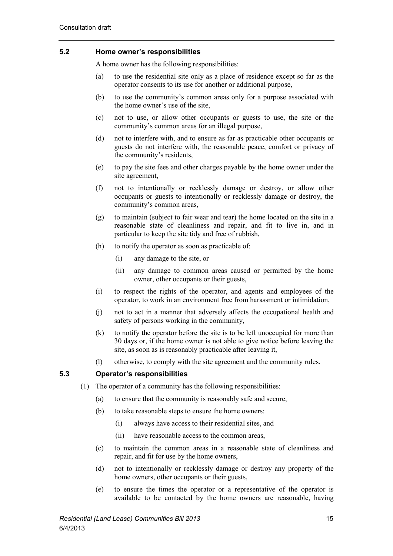# <span id="page-22-0"></span>**5.2 Home owner's responsibilities**

A home owner has the following responsibilities:

- (a) to use the residential site only as a place of residence except so far as the operator consents to its use for another or additional purpose,
- (b) to use the community's common areas only for a purpose associated with the home owner's use of the site,
- (c) not to use, or allow other occupants or guests to use, the site or the community's common areas for an illegal purpose,
- (d) not to interfere with, and to ensure as far as practicable other occupants or guests do not interfere with, the reasonable peace, comfort or privacy of the community's residents,
- (e) to pay the site fees and other charges payable by the home owner under the site agreement,
- (f) not to intentionally or recklessly damage or destroy, or allow other occupants or guests to intentionally or recklessly damage or destroy, the community's common areas,
- (g) to maintain (subject to fair wear and tear) the home located on the site in a reasonable state of cleanliness and repair, and fit to live in, and in particular to keep the site tidy and free of rubbish,
- (h) to notify the operator as soon as practicable of:
	- (i) any damage to the site, or
	- (ii) any damage to common areas caused or permitted by the home owner, other occupants or their guests,
- (i) to respect the rights of the operator, and agents and employees of the operator, to work in an environment free from harassment or intimidation,
- (j) not to act in a manner that adversely affects the occupational health and safety of persons working in the community,
- (k) to notify the operator before the site is to be left unoccupied for more than 30 days or, if the home owner is not able to give notice before leaving the site, as soon as is reasonably practicable after leaving it,
- (l) otherwise, to comply with the site agreement and the community rules.

#### <span id="page-22-1"></span>**5.3 Operator's responsibilities**

- (1) The operator of a community has the following responsibilities:
	- (a) to ensure that the community is reasonably safe and secure,
	- (b) to take reasonable steps to ensure the home owners:
		- (i) always have access to their residential sites, and
		- (ii) have reasonable access to the common areas,
	- (c) to maintain the common areas in a reasonable state of cleanliness and repair, and fit for use by the home owners,
	- (d) not to intentionally or recklessly damage or destroy any property of the home owners, other occupants or their guests,
	- (e) to ensure the times the operator or a representative of the operator is available to be contacted by the home owners are reasonable, having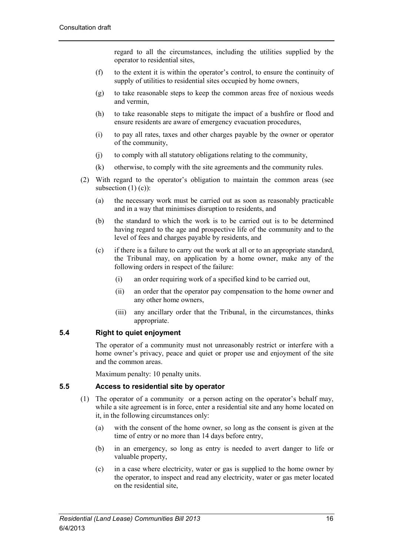regard to all the circumstances, including the utilities supplied by the operator to residential sites,

- (f) to the extent it is within the operator's control, to ensure the continuity of supply of utilities to residential sites occupied by home owners,
- (g) to take reasonable steps to keep the common areas free of noxious weeds and vermin,
- (h) to take reasonable steps to mitigate the impact of a bushfire or flood and ensure residents are aware of emergency evacuation procedures,
- (i) to pay all rates, taxes and other charges payable by the owner or operator of the community,
- (j) to comply with all statutory obligations relating to the community,
- (k) otherwise, to comply with the site agreements and the community rules.
- (2) With regard to the operator's obligation to maintain the common areas (see subsection  $(1)$  (c)):
	- (a) the necessary work must be carried out as soon as reasonably practicable and in a way that minimises disruption to residents, and
	- (b) the standard to which the work is to be carried out is to be determined having regard to the age and prospective life of the community and to the level of fees and charges payable by residents, and
	- (c) if there is a failure to carry out the work at all or to an appropriate standard, the Tribunal may, on application by a home owner, make any of the following orders in respect of the failure:
		- (i) an order requiring work of a specified kind to be carried out,
		- (ii) an order that the operator pay compensation to the home owner and any other home owners,
		- (iii) any ancillary order that the Tribunal, in the circumstances, thinks appropriate.

# <span id="page-23-0"></span>**5.4 Right to quiet enjoyment**

The operator of a community must not unreasonably restrict or interfere with a home owner's privacy, peace and quiet or proper use and enjoyment of the site and the common areas.

Maximum penalty: 10 penalty units.

# <span id="page-23-1"></span>**5.5 Access to residential site by operator**

- (1) The operator of a community or a person acting on the operator's behalf may, while a site agreement is in force, enter a residential site and any home located on it, in the following circumstances only:
	- (a) with the consent of the home owner, so long as the consent is given at the time of entry or no more than 14 days before entry,
	- (b) in an emergency, so long as entry is needed to avert danger to life or valuable property,
	- (c) in a case where electricity, water or gas is supplied to the home owner by the operator, to inspect and read any electricity, water or gas meter located on the residential site,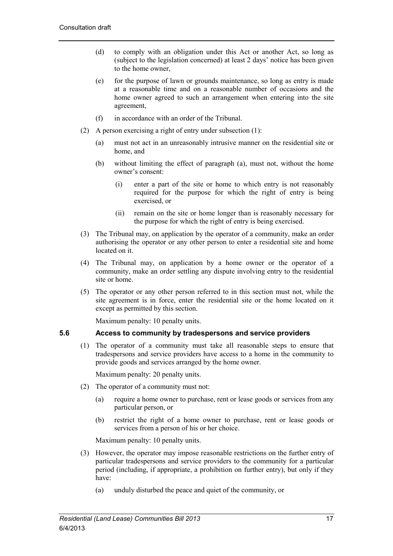- (d) to comply with an obligation under this Act or another Act, so long as (subject to the legislation concerned) at least 2 days' notice has been given to the home owner,
- (e) for the purpose of lawn or grounds maintenance, so long as entry is made at a reasonable time and on a reasonable number of occasions and the home owner agreed to such an arrangement when entering into the site agreement,
- (f) in accordance with an order of the Tribunal.
- (2) A person exercising a right of entry under subsection (1):
	- (a) must not act in an unreasonably intrusive manner on the residential site or home, and
	- (b) without limiting the effect of paragraph (a), must not, without the home owner's consent:
		- (i) enter a part of the site or home to which entry is not reasonably required for the purpose for which the right of entry is being exercised, or
		- (ii) remain on the site or home longer than is reasonably necessary for the purpose for which the right of entry is being exercised.
- (3) The Tribunal may, on application by the operator of a community, make an order authorising the operator or any other person to enter a residential site and home located on it.
- (4) The Tribunal may, on application by a home owner or the operator of a community, make an order settling any dispute involving entry to the residential site or home.
- (5) The operator or any other person referred to in this section must not, while the site agreement is in force, enter the residential site or the home located on it except as permitted by this section.

Maximum penalty: 10 penalty units.

#### <span id="page-24-0"></span>**5.6 Access to community by tradespersons and service providers**

(1) The operator of a community must take all reasonable steps to ensure that tradespersons and service providers have access to a home in the community to provide goods and services arranged by the home owner.

Maximum penalty: 20 penalty units.

- (2) The operator of a community must not:
	- (a) require a home owner to purchase, rent or lease goods or services from any particular person, or
	- (b) restrict the right of a home owner to purchase, rent or lease goods or services from a person of his or her choice.

Maximum penalty: 10 penalty units.

- (3) However, the operator may impose reasonable restrictions on the further entry of particular tradespersons and service providers to the community for a particular period (including, if appropriate, a prohibition on further entry), but only if they have:
	- (a) unduly disturbed the peace and quiet of the community, or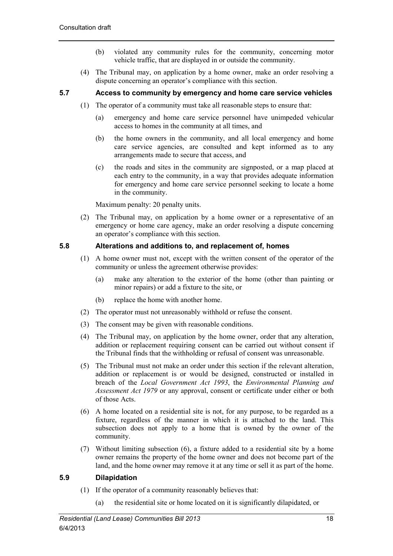- (b) violated any community rules for the community, concerning motor vehicle traffic, that are displayed in or outside the community.
- (4) The Tribunal may, on application by a home owner, make an order resolving a dispute concerning an operator's compliance with this section.

# <span id="page-25-0"></span>**5.7 Access to community by emergency and home care service vehicles**

- (1) The operator of a community must take all reasonable steps to ensure that:
	- (a) emergency and home care service personnel have unimpeded vehicular access to homes in the community at all times, and
	- (b) the home owners in the community, and all local emergency and home care service agencies, are consulted and kept informed as to any arrangements made to secure that access, and
	- (c) the roads and sites in the community are signposted, or a map placed at each entry to the community, in a way that provides adequate information for emergency and home care service personnel seeking to locate a home in the community.

Maximum penalty: 20 penalty units.

(2) The Tribunal may, on application by a home owner or a representative of an emergency or home care agency, make an order resolving a dispute concerning an operator's compliance with this section.

# <span id="page-25-1"></span>**5.8 Alterations and additions to, and replacement of, homes**

- (1) A home owner must not, except with the written consent of the operator of the community or unless the agreement otherwise provides:
	- (a) make any alteration to the exterior of the home (other than painting or minor repairs) or add a fixture to the site, or
	- (b) replace the home with another home.
- (2) The operator must not unreasonably withhold or refuse the consent.
- (3) The consent may be given with reasonable conditions.
- (4) The Tribunal may, on application by the home owner, order that any alteration, addition or replacement requiring consent can be carried out without consent if the Tribunal finds that the withholding or refusal of consent was unreasonable.
- (5) The Tribunal must not make an order under this section if the relevant alteration, addition or replacement is or would be designed, constructed or installed in breach of the *Local Government Act 1993*, the *Environmental Planning and Assessment Act 1979* or any approval, consent or certificate under either or both of those Acts.
- (6) A home located on a residential site is not, for any purpose, to be regarded as a fixture, regardless of the manner in which it is attached to the land. This subsection does not apply to a home that is owned by the owner of the community.
- (7) Without limiting subsection (6), a fixture added to a residential site by a home owner remains the property of the home owner and does not become part of the land, and the home owner may remove it at any time or sell it as part of the home.

# <span id="page-25-2"></span>**5.9 Dilapidation**

- (1) If the operator of a community reasonably believes that:
	- (a) the residential site or home located on it is significantly dilapidated, or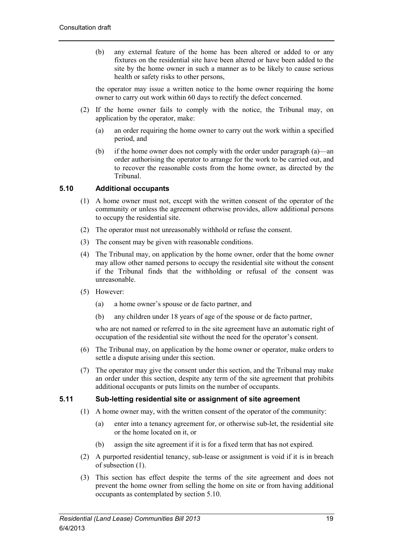(b) any external feature of the home has been altered or added to or any fixtures on the residential site have been altered or have been added to the site by the home owner in such a manner as to be likely to cause serious health or safety risks to other persons,

the operator may issue a written notice to the home owner requiring the home owner to carry out work within 60 days to rectify the defect concerned.

- (2) If the home owner fails to comply with the notice, the Tribunal may, on application by the operator, make:
	- (a) an order requiring the home owner to carry out the work within a specified period, and
	- (b) if the home owner does not comply with the order under paragraph (a)—an order authorising the operator to arrange for the work to be carried out, and to recover the reasonable costs from the home owner, as directed by the Tribunal.

# <span id="page-26-0"></span>**5.10 Additional occupants**

- (1) A home owner must not, except with the written consent of the operator of the community or unless the agreement otherwise provides, allow additional persons to occupy the residential site.
- (2) The operator must not unreasonably withhold or refuse the consent.
- (3) The consent may be given with reasonable conditions.
- (4) The Tribunal may, on application by the home owner, order that the home owner may allow other named persons to occupy the residential site without the consent if the Tribunal finds that the withholding or refusal of the consent was unreasonable.
- (5) However:
	- (a) a home owner's spouse or de facto partner, and
	- (b) any children under 18 years of age of the spouse or de facto partner,

who are not named or referred to in the site agreement have an automatic right of occupation of the residential site without the need for the operator's consent.

- (6) The Tribunal may, on application by the home owner or operator, make orders to settle a dispute arising under this section.
- (7) The operator may give the consent under this section, and the Tribunal may make an order under this section, despite any term of the site agreement that prohibits additional occupants or puts limits on the number of occupants.

# <span id="page-26-1"></span>**5.11 Sub-letting residential site or assignment of site agreement**

- (1) A home owner may, with the written consent of the operator of the community:
	- (a) enter into a tenancy agreement for, or otherwise sub-let, the residential site or the home located on it, or
	- (b) assign the site agreement if it is for a fixed term that has not expired.
- (2) A purported residential tenancy, sub-lease or assignment is void if it is in breach of subsection (1).
- (3) This section has effect despite the terms of the site agreement and does not prevent the home owner from selling the home on site or from having additional occupants as contemplated by section 5.10.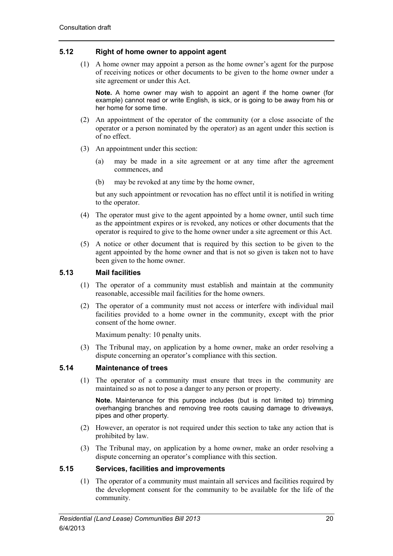# <span id="page-27-0"></span>**5.12 Right of home owner to appoint agent**

(1) A home owner may appoint a person as the home owner's agent for the purpose of receiving notices or other documents to be given to the home owner under a site agreement or under this Act.

**Note.** A home owner may wish to appoint an agent if the home owner (for example) cannot read or write English, is sick, or is going to be away from his or her home for some time.

- (2) An appointment of the operator of the community (or a close associate of the operator or a person nominated by the operator) as an agent under this section is of no effect.
- (3) An appointment under this section:
	- (a) may be made in a site agreement or at any time after the agreement commences, and
	- (b) may be revoked at any time by the home owner,

but any such appointment or revocation has no effect until it is notified in writing to the operator.

- (4) The operator must give to the agent appointed by a home owner, until such time as the appointment expires or is revoked, any notices or other documents that the operator is required to give to the home owner under a site agreement or this Act.
- (5) A notice or other document that is required by this section to be given to the agent appointed by the home owner and that is not so given is taken not to have been given to the home owner.

# <span id="page-27-1"></span>**5.13 Mail facilities**

- (1) The operator of a community must establish and maintain at the community reasonable, accessible mail facilities for the home owners.
- (2) The operator of a community must not access or interfere with individual mail facilities provided to a home owner in the community, except with the prior consent of the home owner.

Maximum penalty: 10 penalty units.

(3) The Tribunal may, on application by a home owner, make an order resolving a dispute concerning an operator's compliance with this section.

# <span id="page-27-2"></span>**5.14 Maintenance of trees**

(1) The operator of a community must ensure that trees in the community are maintained so as not to pose a danger to any person or property.

**Note.** Maintenance for this purpose includes (but is not limited to) trimming overhanging branches and removing tree roots causing damage to driveways, pipes and other property.

- (2) However, an operator is not required under this section to take any action that is prohibited by law.
- (3) The Tribunal may, on application by a home owner, make an order resolving a dispute concerning an operator's compliance with this section.

# <span id="page-27-3"></span>**5.15 Services, facilities and improvements**

(1) The operator of a community must maintain all services and facilities required by the development consent for the community to be available for the life of the community.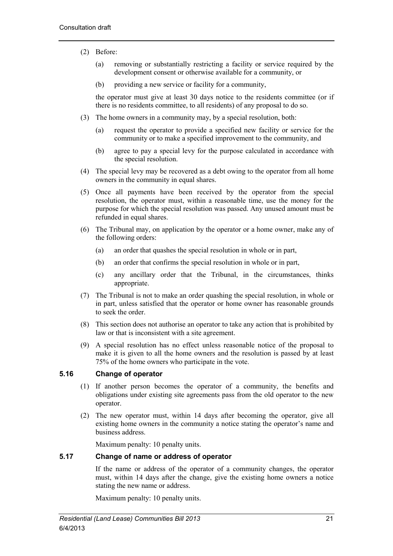- (2) Before:
	- (a) removing or substantially restricting a facility or service required by the development consent or otherwise available for a community, or
	- (b) providing a new service or facility for a community,

the operator must give at least 30 days notice to the residents committee (or if there is no residents committee, to all residents) of any proposal to do so.

- (3) The home owners in a community may, by a special resolution, both:
	- (a) request the operator to provide a specified new facility or service for the community or to make a specified improvement to the community, and
	- (b) agree to pay a special levy for the purpose calculated in accordance with the special resolution.
- (4) The special levy may be recovered as a debt owing to the operator from all home owners in the community in equal shares.
- (5) Once all payments have been received by the operator from the special resolution, the operator must, within a reasonable time, use the money for the purpose for which the special resolution was passed. Any unused amount must be refunded in equal shares.
- (6) The Tribunal may, on application by the operator or a home owner, make any of the following orders:
	- (a) an order that quashes the special resolution in whole or in part,
	- (b) an order that confirms the special resolution in whole or in part,
	- (c) any ancillary order that the Tribunal, in the circumstances, thinks appropriate.
- (7) The Tribunal is not to make an order quashing the special resolution, in whole or in part, unless satisfied that the operator or home owner has reasonable grounds to seek the order.
- (8) This section does not authorise an operator to take any action that is prohibited by law or that is inconsistent with a site agreement.
- (9) A special resolution has no effect unless reasonable notice of the proposal to make it is given to all the home owners and the resolution is passed by at least 75% of the home owners who participate in the vote.

# <span id="page-28-0"></span>**5.16 Change of operator**

- (1) If another person becomes the operator of a community, the benefits and obligations under existing site agreements pass from the old operator to the new operator.
- (2) The new operator must, within 14 days after becoming the operator, give all existing home owners in the community a notice stating the operator's name and business address.

Maximum penalty: 10 penalty units.

# <span id="page-28-1"></span>**5.17 Change of name or address of operator**

If the name or address of the operator of a community changes, the operator must, within 14 days after the change, give the existing home owners a notice stating the new name or address.

Maximum penalty: 10 penalty units.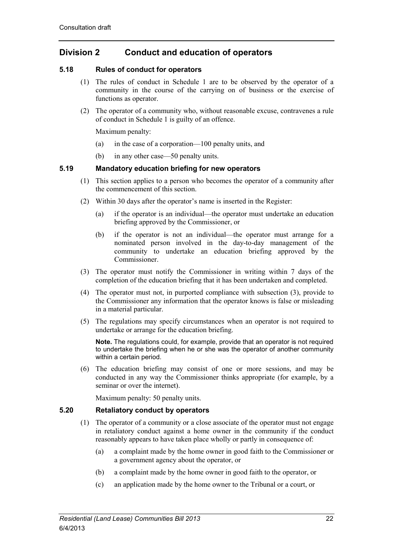# <span id="page-29-0"></span>**Division 2 Conduct and education of operators**

# <span id="page-29-1"></span>**5.18 Rules of conduct for operators**

- (1) The rules of conduct in Schedule 1 are to be observed by the operator of a community in the course of the carrying on of business or the exercise of functions as operator.
- (2) The operator of a community who, without reasonable excuse, contravenes a rule of conduct in Schedule 1 is guilty of an offence.

Maximum penalty:

- (a) in the case of a corporation—100 penalty units, and
- (b) in any other case—50 penalty units.

# <span id="page-29-2"></span>**5.19 Mandatory education briefing for new operators**

- (1) This section applies to a person who becomes the operator of a community after the commencement of this section.
- (2) Within 30 days after the operator's name is inserted in the Register:
	- (a) if the operator is an individual—the operator must undertake an education briefing approved by the Commissioner, or
	- (b) if the operator is not an individual—the operator must arrange for a nominated person involved in the day-to-day management of the community to undertake an education briefing approved by the Commissioner.
- (3) The operator must notify the Commissioner in writing within 7 days of the completion of the education briefing that it has been undertaken and completed.
- (4) The operator must not, in purported compliance with subsection (3), provide to the Commissioner any information that the operator knows is false or misleading in a material particular.
- (5) The regulations may specify circumstances when an operator is not required to undertake or arrange for the education briefing.

**Note.** The regulations could, for example, provide that an operator is not required to undertake the briefing when he or she was the operator of another community within a certain period.

(6) The education briefing may consist of one or more sessions, and may be conducted in any way the Commissioner thinks appropriate (for example, by a seminar or over the internet).

Maximum penalty: 50 penalty units.

# <span id="page-29-3"></span>**5.20 Retaliatory conduct by operators**

- (1) The operator of a community or a close associate of the operator must not engage in retaliatory conduct against a home owner in the community if the conduct reasonably appears to have taken place wholly or partly in consequence of:
	- (a) a complaint made by the home owner in good faith to the Commissioner or a government agency about the operator, or
	- (b) a complaint made by the home owner in good faith to the operator, or
	- (c) an application made by the home owner to the Tribunal or a court, or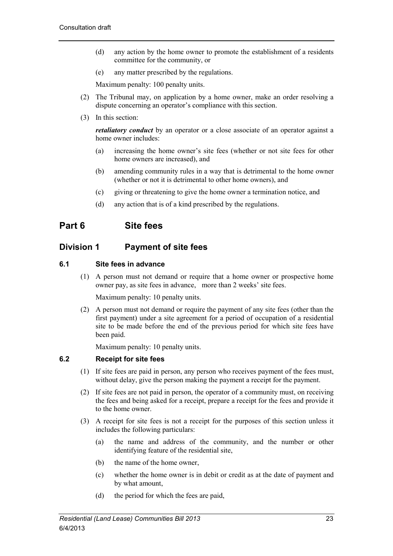- (d) any action by the home owner to promote the establishment of a residents committee for the community, or
- (e) any matter prescribed by the regulations.

Maximum penalty: 100 penalty units.

- (2) The Tribunal may, on application by a home owner, make an order resolving a dispute concerning an operator's compliance with this section.
- (3) In this section:

*retaliatory conduct* by an operator or a close associate of an operator against a home owner includes:

- (a) increasing the home owner's site fees (whether or not site fees for other home owners are increased), and
- (b) amending community rules in a way that is detrimental to the home owner (whether or not it is detrimental to other home owners), and
- (c) giving or threatening to give the home owner a termination notice, and
- (d) any action that is of a kind prescribed by the regulations.

# <span id="page-30-0"></span>**Part 6 Site fees**

# <span id="page-30-1"></span>**Division 1 Payment of site fees**

#### <span id="page-30-2"></span>**6.1 Site fees in advance**

(1) A person must not demand or require that a home owner or prospective home owner pay, as site fees in advance, more than 2 weeks' site fees.

Maximum penalty: 10 penalty units.

(2) A person must not demand or require the payment of any site fees (other than the first payment) under a site agreement for a period of occupation of a residential site to be made before the end of the previous period for which site fees have been paid.

Maximum penalty: 10 penalty units.

# <span id="page-30-3"></span>**6.2 Receipt for site fees**

- (1) If site fees are paid in person, any person who receives payment of the fees must, without delay, give the person making the payment a receipt for the payment.
- (2) If site fees are not paid in person, the operator of a community must, on receiving the fees and being asked for a receipt, prepare a receipt for the fees and provide it to the home owner.
- (3) A receipt for site fees is not a receipt for the purposes of this section unless it includes the following particulars:
	- (a) the name and address of the community, and the number or other identifying feature of the residential site,
	- (b) the name of the home owner,
	- (c) whether the home owner is in debit or credit as at the date of payment and by what amount,
	- (d) the period for which the fees are paid,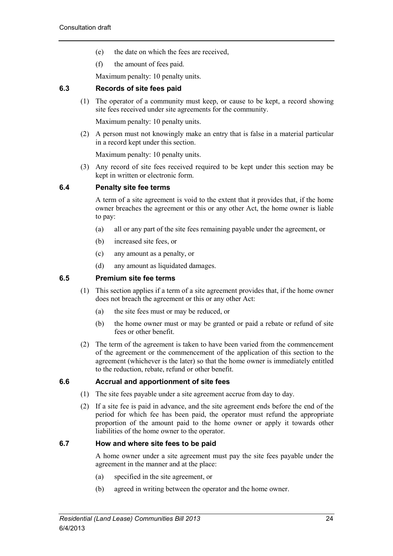- (e) the date on which the fees are received,
- (f) the amount of fees paid.

Maximum penalty: 10 penalty units.

# <span id="page-31-0"></span>**6.3 Records of site fees paid**

(1) The operator of a community must keep, or cause to be kept, a record showing site fees received under site agreements for the community.

Maximum penalty: 10 penalty units.

(2) A person must not knowingly make an entry that is false in a material particular in a record kept under this section.

Maximum penalty: 10 penalty units.

(3) Any record of site fees received required to be kept under this section may be kept in written or electronic form.

#### <span id="page-31-1"></span>**6.4 Penalty site fee terms**

A term of a site agreement is void to the extent that it provides that, if the home owner breaches the agreement or this or any other Act, the home owner is liable to pay:

- (a) all or any part of the site fees remaining payable under the agreement, or
- (b) increased site fees, or
- (c) any amount as a penalty, or
- (d) any amount as liquidated damages.

#### <span id="page-31-2"></span>**6.5 Premium site fee terms**

- (1) This section applies if a term of a site agreement provides that, if the home owner does not breach the agreement or this or any other Act:
	- (a) the site fees must or may be reduced, or
	- (b) the home owner must or may be granted or paid a rebate or refund of site fees or other benefit.
- (2) The term of the agreement is taken to have been varied from the commencement of the agreement or the commencement of the application of this section to the agreement (whichever is the later) so that the home owner is immediately entitled to the reduction, rebate, refund or other benefit.

#### <span id="page-31-3"></span>**6.6 Accrual and apportionment of site fees**

- (1) The site fees payable under a site agreement accrue from day to day.
- (2) If a site fee is paid in advance, and the site agreement ends before the end of the period for which fee has been paid, the operator must refund the appropriate proportion of the amount paid to the home owner or apply it towards other liabilities of the home owner to the operator.

#### <span id="page-31-4"></span>**6.7 How and where site fees to be paid**

A home owner under a site agreement must pay the site fees payable under the agreement in the manner and at the place:

- (a) specified in the site agreement, or
- (b) agreed in writing between the operator and the home owner.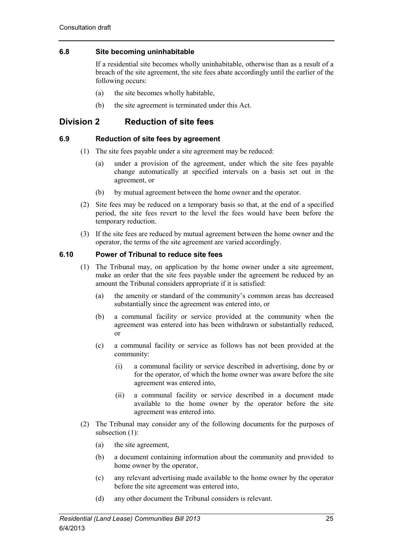# <span id="page-32-0"></span>**6.8 Site becoming uninhabitable**

If a residential site becomes wholly uninhabitable, otherwise than as a result of a breach of the site agreement, the site fees abate accordingly until the earlier of the following occurs:

- (a) the site becomes wholly habitable,
- (b) the site agreement is terminated under this Act.

# <span id="page-32-1"></span>**Division 2 Reduction of site fees**

# <span id="page-32-2"></span>**6.9 Reduction of site fees by agreement**

- (1) The site fees payable under a site agreement may be reduced:
	- (a) under a provision of the agreement, under which the site fees payable change automatically at specified intervals on a basis set out in the agreement, or
	- (b) by mutual agreement between the home owner and the operator.
- (2) Site fees may be reduced on a temporary basis so that, at the end of a specified period, the site fees revert to the level the fees would have been before the temporary reduction.
- (3) If the site fees are reduced by mutual agreement between the home owner and the operator, the terms of the site agreement are varied accordingly.

# <span id="page-32-3"></span>**6.10 Power of Tribunal to reduce site fees**

- (1) The Tribunal may, on application by the home owner under a site agreement, make an order that the site fees payable under the agreement be reduced by an amount the Tribunal considers appropriate if it is satisfied:
	- (a) the amenity or standard of the community's common areas has decreased substantially since the agreement was entered into, or
	- (b) a communal facility or service provided at the community when the agreement was entered into has been withdrawn or substantially reduced, or
	- (c) a communal facility or service as follows has not been provided at the community:
		- (i) a communal facility or service described in advertising, done by or for the operator, of which the home owner was aware before the site agreement was entered into,
		- (ii) a communal facility or service described in a document made available to the home owner by the operator before the site agreement was entered into.
- (2) The Tribunal may consider any of the following documents for the purposes of subsection (1):
	- (a) the site agreement,
	- (b) a document containing information about the community and provided to home owner by the operator,
	- (c) any relevant advertising made available to the home owner by the operator before the site agreement was entered into,
	- (d) any other document the Tribunal considers is relevant.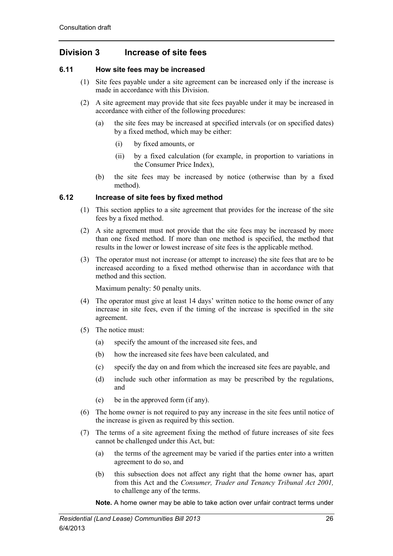# <span id="page-33-0"></span>**Division 3 Increase of site fees**

# <span id="page-33-1"></span>**6.11 How site fees may be increased**

- (1) Site fees payable under a site agreement can be increased only if the increase is made in accordance with this Division.
- (2) A site agreement may provide that site fees payable under it may be increased in accordance with either of the following procedures:
	- (a) the site fees may be increased at specified intervals (or on specified dates) by a fixed method, which may be either:
		- (i) by fixed amounts, or
		- (ii) by a fixed calculation (for example, in proportion to variations in the Consumer Price Index),
	- (b) the site fees may be increased by notice (otherwise than by a fixed method).

# <span id="page-33-2"></span>**6.12 Increase of site fees by fixed method**

- (1) This section applies to a site agreement that provides for the increase of the site fees by a fixed method.
- (2) A site agreement must not provide that the site fees may be increased by more than one fixed method. If more than one method is specified, the method that results in the lower or lowest increase of site fees is the applicable method.
- (3) The operator must not increase (or attempt to increase) the site fees that are to be increased according to a fixed method otherwise than in accordance with that method and this section.

Maximum penalty: 50 penalty units.

- (4) The operator must give at least 14 days' written notice to the home owner of any increase in site fees, even if the timing of the increase is specified in the site agreement.
- (5) The notice must:
	- (a) specify the amount of the increased site fees, and
	- (b) how the increased site fees have been calculated, and
	- (c) specify the day on and from which the increased site fees are payable, and
	- (d) include such other information as may be prescribed by the regulations, and
	- (e) be in the approved form (if any).
- (6) The home owner is not required to pay any increase in the site fees until notice of the increase is given as required by this section.
- (7) The terms of a site agreement fixing the method of future increases of site fees cannot be challenged under this Act, but:
	- (a) the terms of the agreement may be varied if the parties enter into a written agreement to do so, and
	- (b) this subsection does not affect any right that the home owner has, apart from this Act and the *Consumer, Trader and Tenancy Tribunal Act 2001,* to challenge any of the terms.

**Note.** A home owner may be able to take action over unfair contract terms under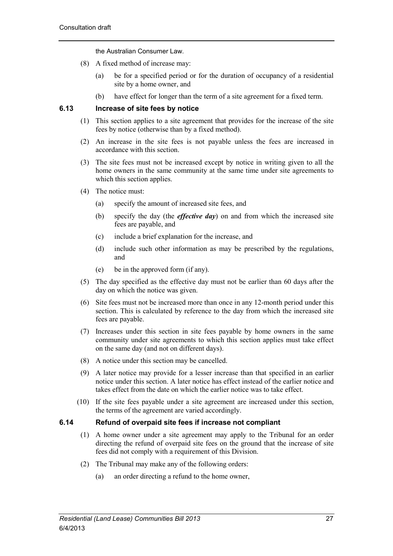the Australian Consumer Law.

- (8) A fixed method of increase may:
	- (a) be for a specified period or for the duration of occupancy of a residential site by a home owner, and
	- (b) have effect for longer than the term of a site agreement for a fixed term.

# <span id="page-34-0"></span>**6.13 Increase of site fees by notice**

- (1) This section applies to a site agreement that provides for the increase of the site fees by notice (otherwise than by a fixed method).
- (2) An increase in the site fees is not payable unless the fees are increased in accordance with this section.
- (3) The site fees must not be increased except by notice in writing given to all the home owners in the same community at the same time under site agreements to which this section applies.
- (4) The notice must:
	- (a) specify the amount of increased site fees, and
	- (b) specify the day (the *effective day*) on and from which the increased site fees are payable, and
	- (c) include a brief explanation for the increase, and
	- (d) include such other information as may be prescribed by the regulations, and
	- (e) be in the approved form (if any).
- (5) The day specified as the effective day must not be earlier than 60 days after the day on which the notice was given.
- (6) Site fees must not be increased more than once in any 12-month period under this section. This is calculated by reference to the day from which the increased site fees are payable.
- (7) Increases under this section in site fees payable by home owners in the same community under site agreements to which this section applies must take effect on the same day (and not on different days).
- (8) A notice under this section may be cancelled.
- (9) A later notice may provide for a lesser increase than that specified in an earlier notice under this section. A later notice has effect instead of the earlier notice and takes effect from the date on which the earlier notice was to take effect.
- (10) If the site fees payable under a site agreement are increased under this section, the terms of the agreement are varied accordingly.

# <span id="page-34-1"></span>**6.14 Refund of overpaid site fees if increase not compliant**

- (1) A home owner under a site agreement may apply to the Tribunal for an order directing the refund of overpaid site fees on the ground that the increase of site fees did not comply with a requirement of this Division.
- (2) The Tribunal may make any of the following orders:
	- (a) an order directing a refund to the home owner,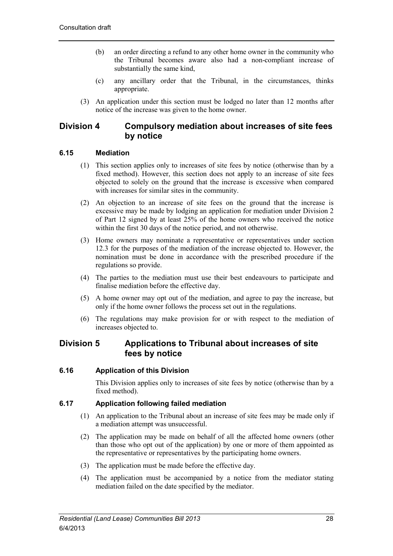- (b) an order directing a refund to any other home owner in the community who the Tribunal becomes aware also had a non-compliant increase of substantially the same kind,
- (c) any ancillary order that the Tribunal, in the circumstances, thinks appropriate.
- (3) An application under this section must be lodged no later than 12 months after notice of the increase was given to the home owner.

# <span id="page-35-0"></span>**Division 4 Compulsory mediation about increases of site fees by notice**

# <span id="page-35-1"></span>**6.15 Mediation**

- (1) This section applies only to increases of site fees by notice (otherwise than by a fixed method). However, this section does not apply to an increase of site fees objected to solely on the ground that the increase is excessive when compared with increases for similar sites in the community.
- (2) An objection to an increase of site fees on the ground that the increase is excessive may be made by lodging an application for mediation under Division 2 of Part 12 signed by at least 25% of the home owners who received the notice within the first 30 days of the notice period, and not otherwise.
- (3) Home owners may nominate a representative or representatives under section 12.3 for the purposes of the mediation of the increase objected to. However, the nomination must be done in accordance with the prescribed procedure if the regulations so provide.
- (4) The parties to the mediation must use their best endeavours to participate and finalise mediation before the effective day.
- (5) A home owner may opt out of the mediation, and agree to pay the increase, but only if the home owner follows the process set out in the regulations.
- (6) The regulations may make provision for or with respect to the mediation of increases objected to.

# <span id="page-35-2"></span>**Division 5 Applications to Tribunal about increases of site fees by notice**

# <span id="page-35-3"></span>**6.16 Application of this Division**

This Division applies only to increases of site fees by notice (otherwise than by a fixed method).

# <span id="page-35-4"></span>**6.17 Application following failed mediation**

- (1) An application to the Tribunal about an increase of site fees may be made only if a mediation attempt was unsuccessful.
- (2) The application may be made on behalf of all the affected home owners (other than those who opt out of the application) by one or more of them appointed as the representative or representatives by the participating home owners.
- (3) The application must be made before the effective day.
- (4) The application must be accompanied by a notice from the mediator stating mediation failed on the date specified by the mediator.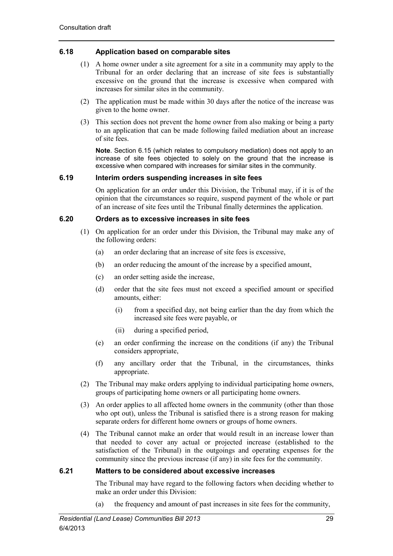# **6.18 Application based on comparable sites**

- (1) A home owner under a site agreement for a site in a community may apply to the Tribunal for an order declaring that an increase of site fees is substantially excessive on the ground that the increase is excessive when compared with increases for similar sites in the community.
- (2) The application must be made within 30 days after the notice of the increase was given to the home owner.
- (3) This section does not prevent the home owner from also making or being a party to an application that can be made following failed mediation about an increase of site fees.

**Note**. Section 6.15 (which relates to compulsory mediation) does not apply to an increase of site fees objected to solely on the ground that the increase is excessive when compared with increases for similar sites in the community.

# **6.19 Interim orders suspending increases in site fees**

On application for an order under this Division, the Tribunal may, if it is of the opinion that the circumstances so require, suspend payment of the whole or part of an increase of site fees until the Tribunal finally determines the application.

#### **6.20 Orders as to excessive increases in site fees**

- (1) On application for an order under this Division, the Tribunal may make any of the following orders:
	- (a) an order declaring that an increase of site fees is excessive,
	- (b) an order reducing the amount of the increase by a specified amount,
	- (c) an order setting aside the increase,
	- (d) order that the site fees must not exceed a specified amount or specified amounts, either:
		- (i) from a specified day, not being earlier than the day from which the increased site fees were payable, or
		- (ii) during a specified period,
	- (e) an order confirming the increase on the conditions (if any) the Tribunal considers appropriate,
	- (f) any ancillary order that the Tribunal, in the circumstances, thinks appropriate.
- (2) The Tribunal may make orders applying to individual participating home owners, groups of participating home owners or all participating home owners.
- (3) An order applies to all affected home owners in the community (other than those who opt out), unless the Tribunal is satisfied there is a strong reason for making separate orders for different home owners or groups of home owners.
- (4) The Tribunal cannot make an order that would result in an increase lower than that needed to cover any actual or projected increase (established to the satisfaction of the Tribunal) in the outgoings and operating expenses for the community since the previous increase (if any) in site fees for the community.

## **6.21 Matters to be considered about excessive increases**

The Tribunal may have regard to the following factors when deciding whether to make an order under this Division:

(a) the frequency and amount of past increases in site fees for the community,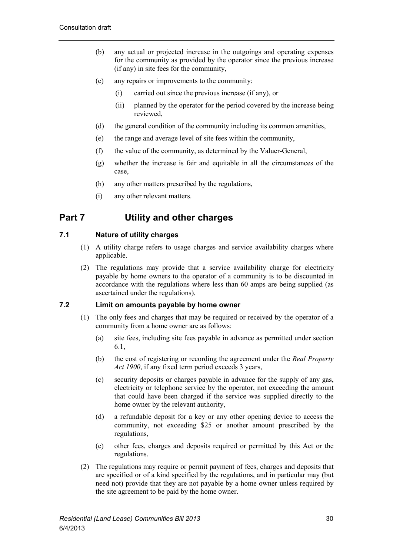- (b) any actual or projected increase in the outgoings and operating expenses for the community as provided by the operator since the previous increase (if any) in site fees for the community,
- (c) any repairs or improvements to the community:
	- (i) carried out since the previous increase (if any), or
	- (ii) planned by the operator for the period covered by the increase being reviewed,
- (d) the general condition of the community including its common amenities,
- (e) the range and average level of site fees within the community,
- (f) the value of the community, as determined by the Valuer-General,
- (g) whether the increase is fair and equitable in all the circumstances of the case,
- (h) any other matters prescribed by the regulations,
- (i) any other relevant matters.

# **Part 7 Utility and other charges**

# **7.1 Nature of utility charges**

- (1) A utility charge refers to usage charges and service availability charges where applicable.
- (2) The regulations may provide that a service availability charge for electricity payable by home owners to the operator of a community is to be discounted in accordance with the regulations where less than 60 amps are being supplied (as ascertained under the regulations).

## **7.2 Limit on amounts payable by home owner**

- (1) The only fees and charges that may be required or received by the operator of a community from a home owner are as follows:
	- (a) site fees, including site fees payable in advance as permitted under section 6.1,
	- (b) the cost of registering or recording the agreement under the *Real Property Act 1900*, if any fixed term period exceeds 3 years,
	- (c) security deposits or charges payable in advance for the supply of any gas, electricity or telephone service by the operator, not exceeding the amount that could have been charged if the service was supplied directly to the home owner by the relevant authority,
	- (d) a refundable deposit for a key or any other opening device to access the community, not exceeding \$25 or another amount prescribed by the regulations,
	- (e) other fees, charges and deposits required or permitted by this Act or the regulations.
- (2) The regulations may require or permit payment of fees, charges and deposits that are specified or of a kind specified by the regulations, and in particular may (but need not) provide that they are not payable by a home owner unless required by the site agreement to be paid by the home owner.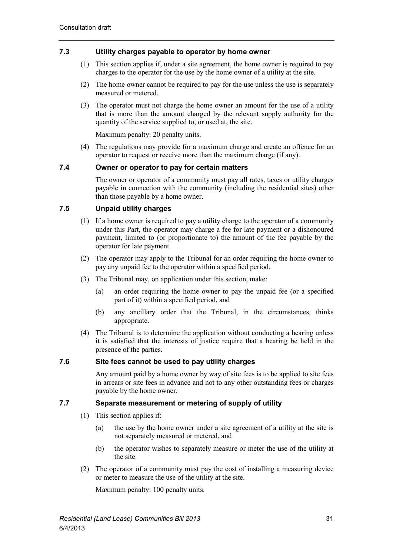# **7.3 Utility charges payable to operator by home owner**

- (1) This section applies if, under a site agreement, the home owner is required to pay charges to the operator for the use by the home owner of a utility at the site.
- (2) The home owner cannot be required to pay for the use unless the use is separately measured or metered.
- (3) The operator must not charge the home owner an amount for the use of a utility that is more than the amount charged by the relevant supply authority for the quantity of the service supplied to, or used at, the site.

Maximum penalty: 20 penalty units.

(4) The regulations may provide for a maximum charge and create an offence for an operator to request or receive more than the maximum charge (if any).

## **7.4 Owner or operator to pay for certain matters**

The owner or operator of a community must pay all rates, taxes or utility charges payable in connection with the community (including the residential sites) other than those payable by a home owner.

# **7.5 Unpaid utility charges**

- (1) If a home owner is required to pay a utility charge to the operator of a community under this Part, the operator may charge a fee for late payment or a dishonoured payment, limited to (or proportionate to) the amount of the fee payable by the operator for late payment.
- (2) The operator may apply to the Tribunal for an order requiring the home owner to pay any unpaid fee to the operator within a specified period.
- (3) The Tribunal may, on application under this section, make:
	- (a) an order requiring the home owner to pay the unpaid fee (or a specified part of it) within a specified period, and
	- (b) any ancillary order that the Tribunal, in the circumstances, thinks appropriate.
- (4) The Tribunal is to determine the application without conducting a hearing unless it is satisfied that the interests of justice require that a hearing be held in the presence of the parties.

## **7.6 Site fees cannot be used to pay utility charges**

Any amount paid by a home owner by way of site fees is to be applied to site fees in arrears or site fees in advance and not to any other outstanding fees or charges payable by the home owner.

# **7.7 Separate measurement or metering of supply of utility**

- (1) This section applies if:
	- (a) the use by the home owner under a site agreement of a utility at the site is not separately measured or metered, and
	- (b) the operator wishes to separately measure or meter the use of the utility at the site.
- (2) The operator of a community must pay the cost of installing a measuring device or meter to measure the use of the utility at the site.

Maximum penalty: 100 penalty units.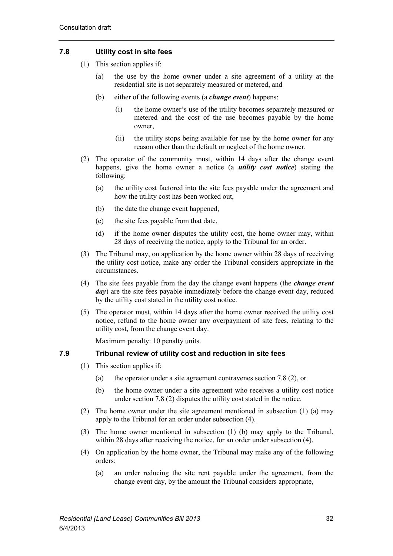# **7.8 Utility cost in site fees**

- (1) This section applies if:
	- (a) the use by the home owner under a site agreement of a utility at the residential site is not separately measured or metered, and
	- (b) either of the following events (a *change event*) happens:
		- (i) the home owner's use of the utility becomes separately measured or metered and the cost of the use becomes payable by the home owner,
		- (ii) the utility stops being available for use by the home owner for any reason other than the default or neglect of the home owner.
- (2) The operator of the community must, within 14 days after the change event happens, give the home owner a notice (a *utility cost notice*) stating the following:
	- (a) the utility cost factored into the site fees payable under the agreement and how the utility cost has been worked out,
	- (b) the date the change event happened,
	- (c) the site fees payable from that date,
	- (d) if the home owner disputes the utility cost, the home owner may, within 28 days of receiving the notice, apply to the Tribunal for an order.
- (3) The Tribunal may, on application by the home owner within 28 days of receiving the utility cost notice, make any order the Tribunal considers appropriate in the circumstances.
- (4) The site fees payable from the day the change event happens (the *change event day*) are the site fees payable immediately before the change event day, reduced by the utility cost stated in the utility cost notice.
- (5) The operator must, within 14 days after the home owner received the utility cost notice, refund to the home owner any overpayment of site fees, relating to the utility cost, from the change event day.

Maximum penalty: 10 penalty units.

# **7.9 Tribunal review of utility cost and reduction in site fees**

- (1) This section applies if:
	- (a) the operator under a site agreement contravenes section 7.8 (2), or
	- (b) the home owner under a site agreement who receives a utility cost notice under section 7.8 (2) disputes the utility cost stated in the notice.
- (2) The home owner under the site agreement mentioned in subsection (1) (a) may apply to the Tribunal for an order under subsection (4).
- (3) The home owner mentioned in subsection (1) (b) may apply to the Tribunal, within 28 days after receiving the notice, for an order under subsection (4).
- (4) On application by the home owner, the Tribunal may make any of the following orders:
	- (a) an order reducing the site rent payable under the agreement, from the change event day, by the amount the Tribunal considers appropriate,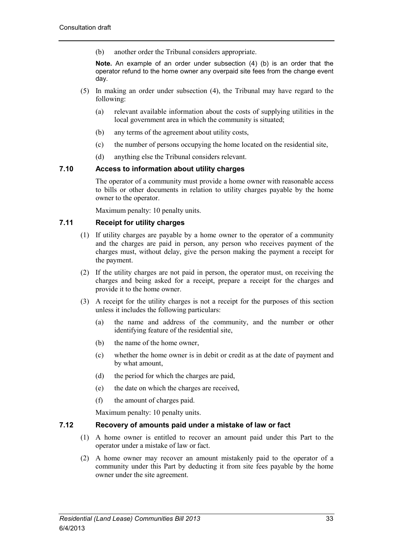(b) another order the Tribunal considers appropriate.

**Note.** An example of an order under subsection (4) (b) is an order that the operator refund to the home owner any overpaid site fees from the change event day.

- (5) In making an order under subsection (4), the Tribunal may have regard to the following:
	- (a) relevant available information about the costs of supplying utilities in the local government area in which the community is situated;
	- (b) any terms of the agreement about utility costs,
	- (c) the number of persons occupying the home located on the residential site,
	- (d) anything else the Tribunal considers relevant.

## **7.10 Access to information about utility charges**

The operator of a community must provide a home owner with reasonable access to bills or other documents in relation to utility charges payable by the home owner to the operator.

Maximum penalty: 10 penalty units.

# **7.11 Receipt for utility charges**

- (1) If utility charges are payable by a home owner to the operator of a community and the charges are paid in person, any person who receives payment of the charges must, without delay, give the person making the payment a receipt for the payment.
- (2) If the utility charges are not paid in person, the operator must, on receiving the charges and being asked for a receipt, prepare a receipt for the charges and provide it to the home owner.
- (3) A receipt for the utility charges is not a receipt for the purposes of this section unless it includes the following particulars:
	- (a) the name and address of the community, and the number or other identifying feature of the residential site,
	- (b) the name of the home owner,
	- (c) whether the home owner is in debit or credit as at the date of payment and by what amount,
	- (d) the period for which the charges are paid,
	- (e) the date on which the charges are received,
	- (f) the amount of charges paid.

Maximum penalty: 10 penalty units.

## **7.12 Recovery of amounts paid under a mistake of law or fact**

- (1) A home owner is entitled to recover an amount paid under this Part to the operator under a mistake of law or fact.
- (2) A home owner may recover an amount mistakenly paid to the operator of a community under this Part by deducting it from site fees payable by the home owner under the site agreement.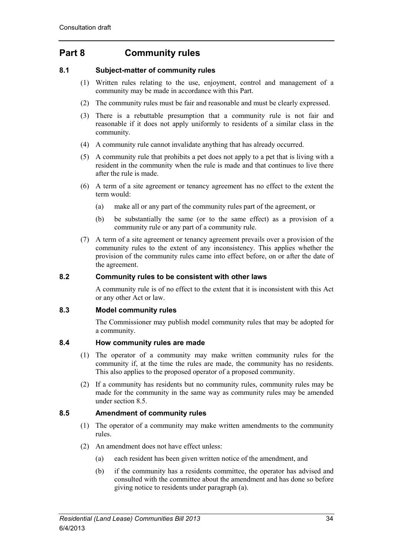# **Part 8 Community rules**

# **8.1 Subject-matter of community rules**

- (1) Written rules relating to the use, enjoyment, control and management of a community may be made in accordance with this Part.
- (2) The community rules must be fair and reasonable and must be clearly expressed.
- (3) There is a rebuttable presumption that a community rule is not fair and reasonable if it does not apply uniformly to residents of a similar class in the community.
- (4) A community rule cannot invalidate anything that has already occurred.
- (5) A community rule that prohibits a pet does not apply to a pet that is living with a resident in the community when the rule is made and that continues to live there after the rule is made.
- (6) A term of a site agreement or tenancy agreement has no effect to the extent the term would:
	- (a) make all or any part of the community rules part of the agreement, or
	- (b) be substantially the same (or to the same effect) as a provision of a community rule or any part of a community rule.
- (7) A term of a site agreement or tenancy agreement prevails over a provision of the community rules to the extent of any inconsistency. This applies whether the provision of the community rules came into effect before, on or after the date of the agreement.

## **8.2 Community rules to be consistent with other laws**

A community rule is of no effect to the extent that it is inconsistent with this Act or any other Act or law.

## **8.3 Model community rules**

The Commissioner may publish model community rules that may be adopted for a community.

## **8.4 How community rules are made**

- (1) The operator of a community may make written community rules for the community if, at the time the rules are made, the community has no residents. This also applies to the proposed operator of a proposed community.
- (2) If a community has residents but no community rules, community rules may be made for the community in the same way as community rules may be amended under section 8.5.

## **8.5 Amendment of community rules**

- (1) The operator of a community may make written amendments to the community rules.
- (2) An amendment does not have effect unless:
	- (a) each resident has been given written notice of the amendment, and
	- (b) if the community has a residents committee, the operator has advised and consulted with the committee about the amendment and has done so before giving notice to residents under paragraph (a).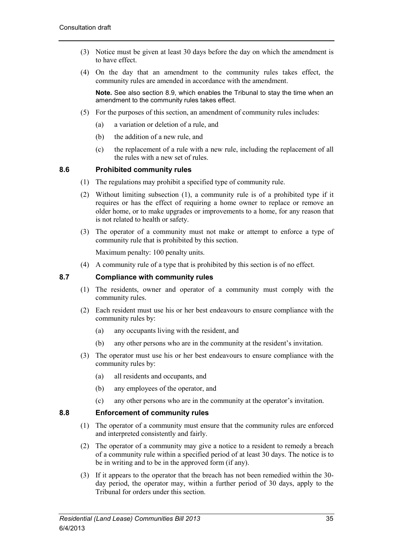- (3) Notice must be given at least 30 days before the day on which the amendment is to have effect.
- (4) On the day that an amendment to the community rules takes effect, the community rules are amended in accordance with the amendment.

**Note.** See also section 8.9, which enables the Tribunal to stay the time when an amendment to the community rules takes effect.

- (5) For the purposes of this section, an amendment of community rules includes:
	- (a) a variation or deletion of a rule, and
	- (b) the addition of a new rule, and
	- (c) the replacement of a rule with a new rule, including the replacement of all the rules with a new set of rules.

# **8.6 Prohibited community rules**

- (1) The regulations may prohibit a specified type of community rule.
- (2) Without limiting subsection (1), a community rule is of a prohibited type if it requires or has the effect of requiring a home owner to replace or remove an older home, or to make upgrades or improvements to a home, for any reason that is not related to health or safety.
- (3) The operator of a community must not make or attempt to enforce a type of community rule that is prohibited by this section.

Maximum penalty: 100 penalty units.

(4) A community rule of a type that is prohibited by this section is of no effect.

# **8.7 Compliance with community rules**

- (1) The residents, owner and operator of a community must comply with the community rules.
- (2) Each resident must use his or her best endeavours to ensure compliance with the community rules by:
	- (a) any occupants living with the resident, and
	- (b) any other persons who are in the community at the resident's invitation.
- (3) The operator must use his or her best endeavours to ensure compliance with the community rules by:
	- (a) all residents and occupants, and
	- (b) any employees of the operator, and
	- (c) any other persons who are in the community at the operator's invitation.

#### **8.8 Enforcement of community rules**

- (1) The operator of a community must ensure that the community rules are enforced and interpreted consistently and fairly.
- (2) The operator of a community may give a notice to a resident to remedy a breach of a community rule within a specified period of at least 30 days. The notice is to be in writing and to be in the approved form (if any).
- (3) If it appears to the operator that the breach has not been remedied within the 30 day period, the operator may, within a further period of 30 days, apply to the Tribunal for orders under this section.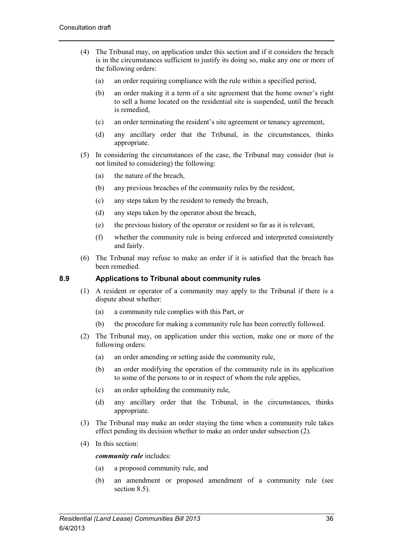- (4) The Tribunal may, on application under this section and if it considers the breach is in the circumstances sufficient to justify its doing so, make any one or more of the following orders:
	- (a) an order requiring compliance with the rule within a specified period,
	- (b) an order making it a term of a site agreement that the home owner's right to sell a home located on the residential site is suspended, until the breach is remedied,
	- (c) an order terminating the resident's site agreement or tenancy agreement,
	- (d) any ancillary order that the Tribunal, in the circumstances, thinks appropriate.
- (5) In considering the circumstances of the case, the Tribunal may consider (but is not limited to considering) the following:
	- (a) the nature of the breach,
	- (b) any previous breaches of the community rules by the resident,
	- (c) any steps taken by the resident to remedy the breach,
	- (d) any steps taken by the operator about the breach,
	- (e) the previous history of the operator or resident so far as it is relevant,
	- (f) whether the community rule is being enforced and interpreted consistently and fairly.
- (6) The Tribunal may refuse to make an order if it is satisfied that the breach has been remedied.

#### **8.9 Applications to Tribunal about community rules**

- (1) A resident or operator of a community may apply to the Tribunal if there is a dispute about whether:
	- (a) a community rule complies with this Part, or
	- (b) the procedure for making a community rule has been correctly followed.
- (2) The Tribunal may, on application under this section, make one or more of the following orders:
	- (a) an order amending or setting aside the community rule,
	- (b) an order modifying the operation of the community rule in its application to some of the persons to or in respect of whom the rule applies,
	- (c) an order upholding the community rule,
	- (d) any ancillary order that the Tribunal, in the circumstances, thinks appropriate.
- (3) The Tribunal may make an order staying the time when a community rule takes effect pending its decision whether to make an order under subsection (2).
- (4) In this section:

#### *community rule* includes:

- (a) a proposed community rule, and
- (b) an amendment or proposed amendment of a community rule (see section 8.5).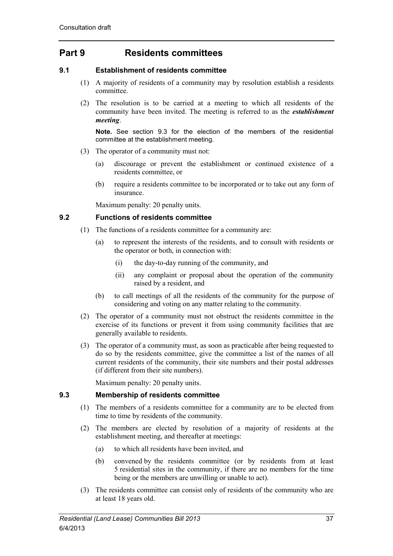# **Part 9 Residents committees**

# **9.1 Establishment of residents committee**

- (1) A majority of residents of a community may by resolution establish a residents committee.
- (2) The resolution is to be carried at a meeting to which all residents of the community have been invited. The meeting is referred to as the *establishment meeting*.

**Note.** See section 9.3 for the election of the members of the residential committee at the establishment meeting.

- (3) The operator of a community must not:
	- (a) discourage or prevent the establishment or continued existence of a residents committee, or
	- (b) require a residents committee to be incorporated or to take out any form of insurance.

Maximum penalty: 20 penalty units.

## **9.2 Functions of residents committee**

- (1) The functions of a residents committee for a community are:
	- (a) to represent the interests of the residents, and to consult with residents or the operator or both, in connection with:
		- (i) the day-to-day running of the community, and
		- (ii) any complaint or proposal about the operation of the community raised by a resident, and
	- (b) to call meetings of all the residents of the community for the purpose of considering and voting on any matter relating to the community.
- (2) The operator of a community must not obstruct the residents committee in the exercise of its functions or prevent it from using community facilities that are generally available to residents.
- (3) The operator of a community must, as soon as practicable after being requested to do so by the residents committee, give the committee a list of the names of all current residents of the community, their site numbers and their postal addresses (if different from their site numbers).

Maximum penalty: 20 penalty units.

## **9.3 Membership of residents committee**

- (1) The members of a residents committee for a community are to be elected from time to time by residents of the community.
- (2) The members are elected by resolution of a majority of residents at the establishment meeting, and thereafter at meetings:
	- (a) to which all residents have been invited, and
	- (b) convened by the residents committee (or by residents from at least 5 residential sites in the community, if there are no members for the time being or the members are unwilling or unable to act).
- (3) The residents committee can consist only of residents of the community who are at least 18 years old.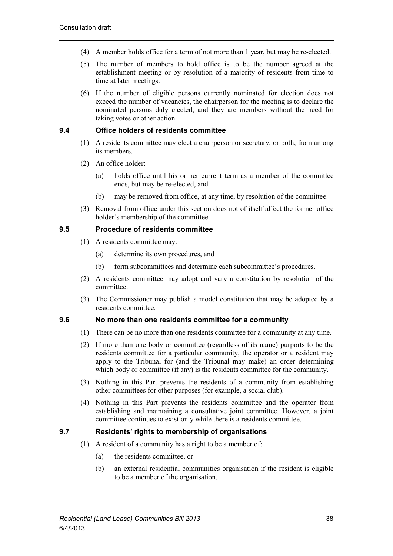- (4) A member holds office for a term of not more than 1 year, but may be re-elected.
- (5) The number of members to hold office is to be the number agreed at the establishment meeting or by resolution of a majority of residents from time to time at later meetings.
- (6) If the number of eligible persons currently nominated for election does not exceed the number of vacancies, the chairperson for the meeting is to declare the nominated persons duly elected, and they are members without the need for taking votes or other action.

## **9.4 Office holders of residents committee**

- (1) A residents committee may elect a chairperson or secretary, or both, from among its members.
- (2) An office holder:
	- (a) holds office until his or her current term as a member of the committee ends, but may be re-elected, and
	- (b) may be removed from office, at any time, by resolution of the committee.
- (3) Removal from office under this section does not of itself affect the former office holder's membership of the committee.

## **9.5 Procedure of residents committee**

- (1) A residents committee may:
	- (a) determine its own procedures, and
	- (b) form subcommittees and determine each subcommittee's procedures.
- (2) A residents committee may adopt and vary a constitution by resolution of the committee.
- (3) The Commissioner may publish a model constitution that may be adopted by a residents committee.

#### **9.6 No more than one residents committee for a community**

- (1) There can be no more than one residents committee for a community at any time.
- (2) If more than one body or committee (regardless of its name) purports to be the residents committee for a particular community, the operator or a resident may apply to the Tribunal for (and the Tribunal may make) an order determining which body or committee (if any) is the residents committee for the community.
- (3) Nothing in this Part prevents the residents of a community from establishing other committees for other purposes (for example, a social club).
- (4) Nothing in this Part prevents the residents committee and the operator from establishing and maintaining a consultative joint committee. However, a joint committee continues to exist only while there is a residents committee.

## **9.7 Residents' rights to membership of organisations**

- (1) A resident of a community has a right to be a member of:
	- (a) the residents committee, or
	- (b) an external residential communities organisation if the resident is eligible to be a member of the organisation.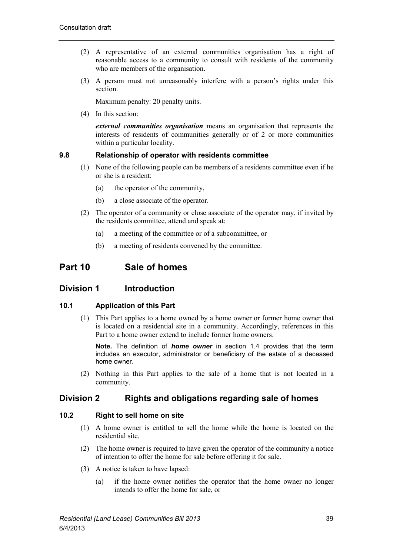- (2) A representative of an external communities organisation has a right of reasonable access to a community to consult with residents of the community who are members of the organisation.
- (3) A person must not unreasonably interfere with a person's rights under this section.

Maximum penalty: 20 penalty units.

(4) In this section:

*external communities organisation* means an organisation that represents the interests of residents of communities generally or of 2 or more communities within a particular locality.

# **9.8 Relationship of operator with residents committee**

- (1) None of the following people can be members of a residents committee even if he or she is a resident:
	- (a) the operator of the community,
	- (b) a close associate of the operator.
- (2) The operator of a community or close associate of the operator may, if invited by the residents committee, attend and speak at:
	- (a) a meeting of the committee or of a subcommittee, or
	- (b) a meeting of residents convened by the committee.

# **Part 10 Sale of homes**

# **Division 1 Introduction**

## **10.1 Application of this Part**

(1) This Part applies to a home owned by a home owner or former home owner that is located on a residential site in a community. Accordingly, references in this Part to a home owner extend to include former home owners.

**Note.** The definition of *home owner* in section 1.4 provides that the term includes an executor, administrator or beneficiary of the estate of a deceased home owner.

(2) Nothing in this Part applies to the sale of a home that is not located in a community.

# **Division 2 Rights and obligations regarding sale of homes**

# **10.2 Right to sell home on site**

- (1) A home owner is entitled to sell the home while the home is located on the residential site.
- (2) The home owner is required to have given the operator of the community a notice of intention to offer the home for sale before offering it for sale.
- (3) A notice is taken to have lapsed:
	- (a) if the home owner notifies the operator that the home owner no longer intends to offer the home for sale, or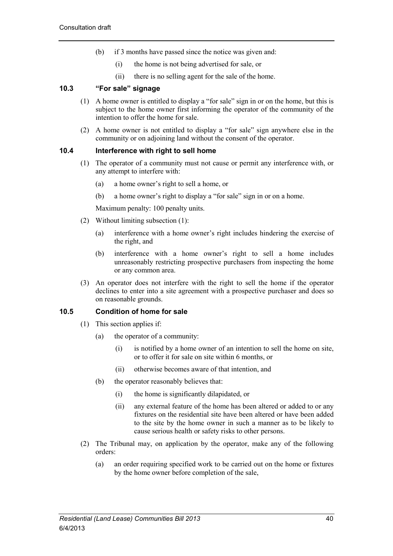- (b) if 3 months have passed since the notice was given and:
	- (i) the home is not being advertised for sale, or
	- (ii) there is no selling agent for the sale of the home.

## **10.3 "For sale" signage**

- (1) A home owner is entitled to display a "for sale" sign in or on the home, but this is subject to the home owner first informing the operator of the community of the intention to offer the home for sale.
- (2) A home owner is not entitled to display a "for sale" sign anywhere else in the community or on adjoining land without the consent of the operator.

#### **10.4 Interference with right to sell home**

- (1) The operator of a community must not cause or permit any interference with, or any attempt to interfere with:
	- (a) a home owner's right to sell a home, or
	- (b) a home owner's right to display a "for sale" sign in or on a home.

Maximum penalty: 100 penalty units.

- (2) Without limiting subsection (1):
	- (a) interference with a home owner's right includes hindering the exercise of the right, and
	- (b) interference with a home owner's right to sell a home includes unreasonably restricting prospective purchasers from inspecting the home or any common area.
- (3) An operator does not interfere with the right to sell the home if the operator declines to enter into a site agreement with a prospective purchaser and does so on reasonable grounds.

#### **10.5 Condition of home for sale**

- (1) This section applies if:
	- (a) the operator of a community:
		- (i) is notified by a home owner of an intention to sell the home on site, or to offer it for sale on site within 6 months, or
		- (ii) otherwise becomes aware of that intention, and
	- (b) the operator reasonably believes that:
		- (i) the home is significantly dilapidated, or
		- (ii) any external feature of the home has been altered or added to or any fixtures on the residential site have been altered or have been added to the site by the home owner in such a manner as to be likely to cause serious health or safety risks to other persons.
- (2) The Tribunal may, on application by the operator, make any of the following orders:
	- (a) an order requiring specified work to be carried out on the home or fixtures by the home owner before completion of the sale,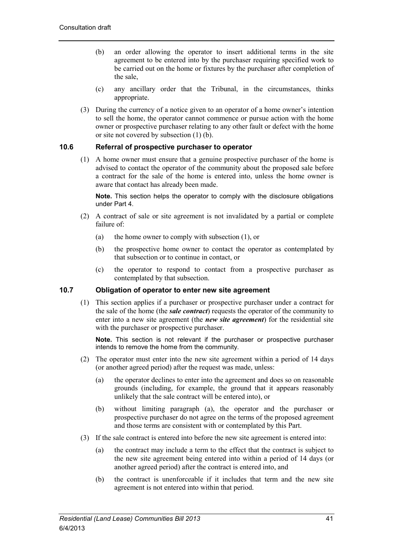- (b) an order allowing the operator to insert additional terms in the site agreement to be entered into by the purchaser requiring specified work to be carried out on the home or fixtures by the purchaser after completion of the sale,
- (c) any ancillary order that the Tribunal, in the circumstances, thinks appropriate.
- (3) During the currency of a notice given to an operator of a home owner's intention to sell the home, the operator cannot commence or pursue action with the home owner or prospective purchaser relating to any other fault or defect with the home or site not covered by subsection (1) (b).

## **10.6 Referral of prospective purchaser to operator**

(1) A home owner must ensure that a genuine prospective purchaser of the home is advised to contact the operator of the community about the proposed sale before a contract for the sale of the home is entered into, unless the home owner is aware that contact has already been made.

**Note.** This section helps the operator to comply with the disclosure obligations under Part 4.

- (2) A contract of sale or site agreement is not invalidated by a partial or complete failure of:
	- (a) the home owner to comply with subsection (1), or
	- (b) the prospective home owner to contact the operator as contemplated by that subsection or to continue in contact, or
	- (c) the operator to respond to contact from a prospective purchaser as contemplated by that subsection.

## **10.7 Obligation of operator to enter new site agreement**

(1) This section applies if a purchaser or prospective purchaser under a contract for the sale of the home (the *sale contract*) requests the operator of the community to enter into a new site agreement (the *new site agreement*) for the residential site with the purchaser or prospective purchaser.

**Note.** This section is not relevant if the purchaser or prospective purchaser intends to remove the home from the community.

- (2) The operator must enter into the new site agreement within a period of 14 days (or another agreed period) after the request was made, unless:
	- (a) the operator declines to enter into the agreement and does so on reasonable grounds (including, for example, the ground that it appears reasonably unlikely that the sale contract will be entered into), or
	- (b) without limiting paragraph (a), the operator and the purchaser or prospective purchaser do not agree on the terms of the proposed agreement and those terms are consistent with or contemplated by this Part.
- (3) If the sale contract is entered into before the new site agreement is entered into:
	- (a) the contract may include a term to the effect that the contract is subject to the new site agreement being entered into within a period of 14 days (or another agreed period) after the contract is entered into, and
	- (b) the contract is unenforceable if it includes that term and the new site agreement is not entered into within that period.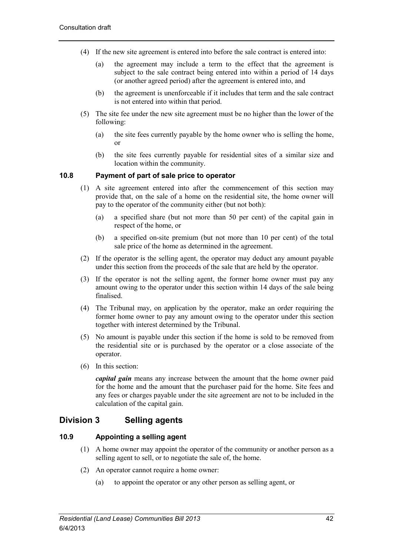- (4) If the new site agreement is entered into before the sale contract is entered into:
	- (a) the agreement may include a term to the effect that the agreement is subject to the sale contract being entered into within a period of 14 days (or another agreed period) after the agreement is entered into, and
	- (b) the agreement is unenforceable if it includes that term and the sale contract is not entered into within that period.
- (5) The site fee under the new site agreement must be no higher than the lower of the following:
	- (a) the site fees currently payable by the home owner who is selling the home, or
	- (b) the site fees currently payable for residential sites of a similar size and location within the community.

# **10.8 Payment of part of sale price to operator**

- (1) A site agreement entered into after the commencement of this section may provide that, on the sale of a home on the residential site, the home owner will pay to the operator of the community either (but not both):
	- (a) a specified share (but not more than 50 per cent) of the capital gain in respect of the home, or
	- (b) a specified on-site premium (but not more than 10 per cent) of the total sale price of the home as determined in the agreement.
- (2) If the operator is the selling agent, the operator may deduct any amount payable under this section from the proceeds of the sale that are held by the operator.
- (3) If the operator is not the selling agent, the former home owner must pay any amount owing to the operator under this section within 14 days of the sale being finalised.
- (4) The Tribunal may, on application by the operator, make an order requiring the former home owner to pay any amount owing to the operator under this section together with interest determined by the Tribunal.
- (5) No amount is payable under this section if the home is sold to be removed from the residential site or is purchased by the operator or a close associate of the operator.
- (6) In this section:

*capital gain* means any increase between the amount that the home owner paid for the home and the amount that the purchaser paid for the home. Site fees and any fees or charges payable under the site agreement are not to be included in the calculation of the capital gain.

# **Division 3 Selling agents**

## **10.9 Appointing a selling agent**

- (1) A home owner may appoint the operator of the community or another person as a selling agent to sell, or to negotiate the sale of, the home.
- (2) An operator cannot require a home owner:
	- (a) to appoint the operator or any other person as selling agent, or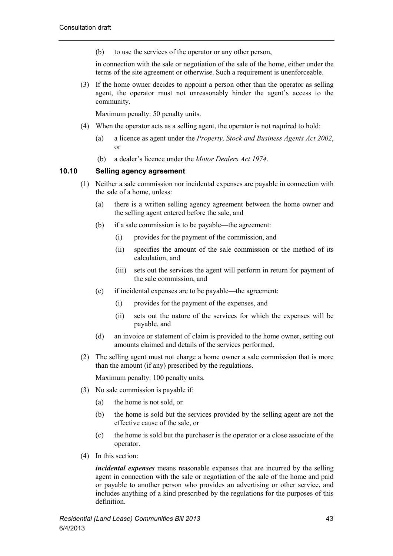(b) to use the services of the operator or any other person,

in connection with the sale or negotiation of the sale of the home, either under the terms of the site agreement or otherwise. Such a requirement is unenforceable.

(3) If the home owner decides to appoint a person other than the operator as selling agent, the operator must not unreasonably hinder the agent's access to the community.

Maximum penalty: 50 penalty units.

- (4) When the operator acts as a selling agent, the operator is not required to hold:
	- (a) a licence as agent under the *Property, Stock and Business Agents Act 2002*, or
	- (b) a dealer's licence under the *Motor Dealers Act 1974*.

# **10.10 Selling agency agreement**

- (1) Neither a sale commission nor incidental expenses are payable in connection with the sale of a home, unless:
	- (a) there is a written selling agency agreement between the home owner and the selling agent entered before the sale, and
	- (b) if a sale commission is to be payable—the agreement:
		- (i) provides for the payment of the commission, and
		- (ii) specifies the amount of the sale commission or the method of its calculation, and
		- (iii) sets out the services the agent will perform in return for payment of the sale commission, and
	- (c) if incidental expenses are to be payable—the agreement:
		- (i) provides for the payment of the expenses, and
		- (ii) sets out the nature of the services for which the expenses will be payable, and
	- (d) an invoice or statement of claim is provided to the home owner, setting out amounts claimed and details of the services performed.
- (2) The selling agent must not charge a home owner a sale commission that is more than the amount (if any) prescribed by the regulations.

Maximum penalty: 100 penalty units.

- (3) No sale commission is payable if:
	- (a) the home is not sold, or
	- (b) the home is sold but the services provided by the selling agent are not the effective cause of the sale, or
	- (c) the home is sold but the purchaser is the operator or a close associate of the operator.
- (4) In this section:

*incidental expenses* means reasonable expenses that are incurred by the selling agent in connection with the sale or negotiation of the sale of the home and paid or payable to another person who provides an advertising or other service, and includes anything of a kind prescribed by the regulations for the purposes of this definition.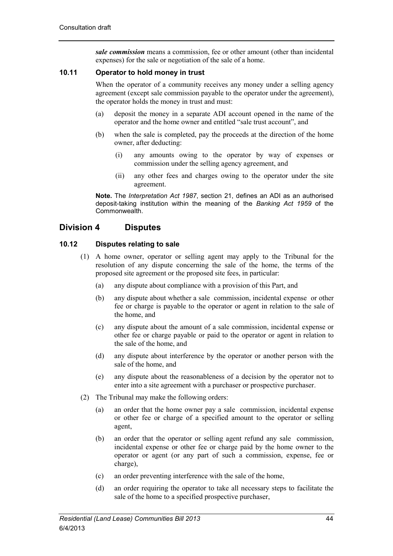*sale commission* means a commission, fee or other amount (other than incidental expenses) for the sale or negotiation of the sale of a home.

# **10.11 Operator to hold money in trust**

When the operator of a community receives any money under a selling agency agreement (except sale commission payable to the operator under the agreement), the operator holds the money in trust and must:

- (a) deposit the money in a separate ADI account opened in the name of the operator and the home owner and entitled "sale trust account", and
- (b) when the sale is completed, pay the proceeds at the direction of the home owner, after deducting:
	- (i) any amounts owing to the operator by way of expenses or commission under the selling agency agreement, and
	- (ii) any other fees and charges owing to the operator under the site agreement.

**Note.** The *Interpretation Act 1987*, section 21, defines an ADI as an authorised deposit-taking institution within the meaning of the *Banking Act 1959* of the Commonwealth.

# **Division 4 Disputes**

# **10.12 Disputes relating to sale**

- (1) A home owner, operator or selling agent may apply to the Tribunal for the resolution of any dispute concerning the sale of the home, the terms of the proposed site agreement or the proposed site fees, in particular:
	- (a) any dispute about compliance with a provision of this Part, and
	- (b) any dispute about whether a sale commission, incidental expense or other fee or charge is payable to the operator or agent in relation to the sale of the home, and
	- (c) any dispute about the amount of a sale commission, incidental expense or other fee or charge payable or paid to the operator or agent in relation to the sale of the home, and
	- (d) any dispute about interference by the operator or another person with the sale of the home, and
	- (e) any dispute about the reasonableness of a decision by the operator not to enter into a site agreement with a purchaser or prospective purchaser.
- (2) The Tribunal may make the following orders:
	- (a) an order that the home owner pay a sale commission, incidental expense or other fee or charge of a specified amount to the operator or selling agent,
	- (b) an order that the operator or selling agent refund any sale commission, incidental expense or other fee or charge paid by the home owner to the operator or agent (or any part of such a commission, expense, fee or charge),
	- (c) an order preventing interference with the sale of the home,
	- (d) an order requiring the operator to take all necessary steps to facilitate the sale of the home to a specified prospective purchaser,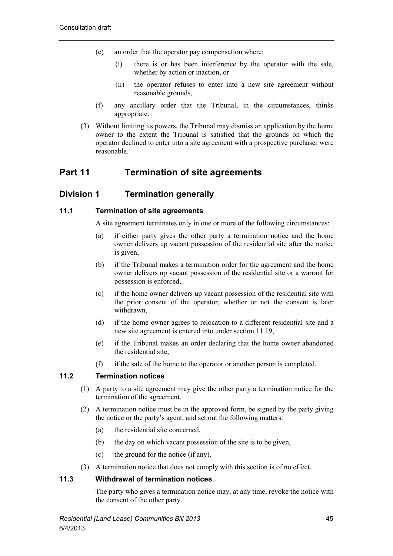- (e) an order that the operator pay compensation where:
	- (i) there is or has been interference by the operator with the sale, whether by action or inaction, or
	- (ii) the operator refuses to enter into a new site agreement without reasonable grounds,
- (f) any ancillary order that the Tribunal, in the circumstances, thinks appropriate.
- (3) Without limiting its powers, the Tribunal may dismiss an application by the home owner to the extent the Tribunal is satisfied that the grounds on which the operator declined to enter into a site agreement with a prospective purchaser were reasonable.

# **Part 11 Termination of site agreements**

# **Division 1 Termination generally**

# **11.1 Termination of site agreements**

A site agreement terminates only in one or more of the following circumstances:

- (a) if either party gives the other party a termination notice and the home owner delivers up vacant possession of the residential site after the notice is given,
- (b) if the Tribunal makes a termination order for the agreement and the home owner delivers up vacant possession of the residential site or a warrant for possession is enforced,
- (c) if the home owner delivers up vacant possession of the residential site with the prior consent of the operator, whether or not the consent is later withdrawn,
- (d) if the home owner agrees to relocation to a different residential site and a new site agreement is entered into under section 11.19,
- (e) if the Tribunal makes an order declaring that the home owner abandoned the residential site,
- (f) if the sale of the home to the operator or another person is completed.

## **11.2 Termination notices**

- (1) A party to a site agreement may give the other party a termination notice for the termination of the agreement.
- (2) A termination notice must be in the approved form, be signed by the party giving the notice or the party's agent, and set out the following matters:
	- (a) the residential site concerned,
	- (b) the day on which vacant possession of the site is to be given,
	- (c) the ground for the notice (if any).
- (3) A termination notice that does not comply with this section is of no effect.

## **11.3 Withdrawal of termination notices**

The party who gives a termination notice may, at any time, revoke the notice with the consent of the other party.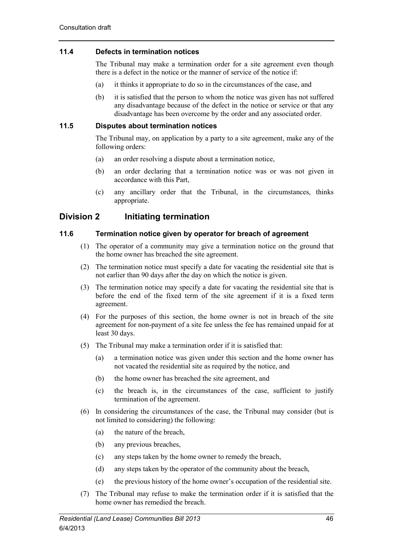# **11.4 Defects in termination notices**

The Tribunal may make a termination order for a site agreement even though there is a defect in the notice or the manner of service of the notice if:

- (a) it thinks it appropriate to do so in the circumstances of the case, and
- (b) it is satisfied that the person to whom the notice was given has not suffered any disadvantage because of the defect in the notice or service or that any disadvantage has been overcome by the order and any associated order.

# **11.5 Disputes about termination notices**

The Tribunal may, on application by a party to a site agreement, make any of the following orders:

- (a) an order resolving a dispute about a termination notice,
- (b) an order declaring that a termination notice was or was not given in accordance with this Part,
- (c) any ancillary order that the Tribunal, in the circumstances, thinks appropriate.

# **Division 2 Initiating termination**

# **11.6 Termination notice given by operator for breach of agreement**

- (1) The operator of a community may give a termination notice on the ground that the home owner has breached the site agreement.
- (2) The termination notice must specify a date for vacating the residential site that is not earlier than 90 days after the day on which the notice is given.
- (3) The termination notice may specify a date for vacating the residential site that is before the end of the fixed term of the site agreement if it is a fixed term agreement.
- (4) For the purposes of this section, the home owner is not in breach of the site agreement for non-payment of a site fee unless the fee has remained unpaid for at least 30 days.
- (5) The Tribunal may make a termination order if it is satisfied that:
	- (a) a termination notice was given under this section and the home owner has not vacated the residential site as required by the notice, and
	- (b) the home owner has breached the site agreement, and
	- (c) the breach is, in the circumstances of the case, sufficient to justify termination of the agreement.
- (6) In considering the circumstances of the case, the Tribunal may consider (but is not limited to considering) the following:
	- (a) the nature of the breach,
	- (b) any previous breaches,
	- (c) any steps taken by the home owner to remedy the breach,
	- (d) any steps taken by the operator of the community about the breach,
	- (e) the previous history of the home owner's occupation of the residential site.
- (7) The Tribunal may refuse to make the termination order if it is satisfied that the home owner has remedied the breach.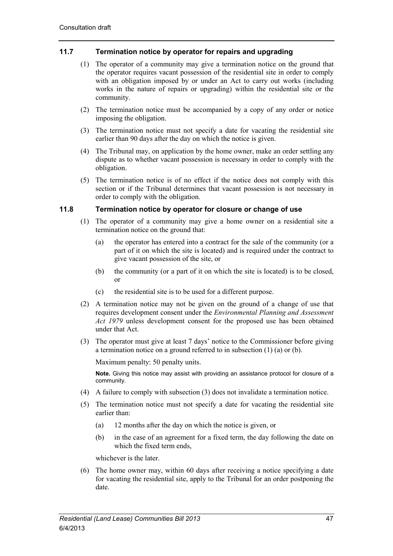# **11.7 Termination notice by operator for repairs and upgrading**

- (1) The operator of a community may give a termination notice on the ground that the operator requires vacant possession of the residential site in order to comply with an obligation imposed by or under an Act to carry out works (including works in the nature of repairs or upgrading) within the residential site or the community.
- (2) The termination notice must be accompanied by a copy of any order or notice imposing the obligation.
- (3) The termination notice must not specify a date for vacating the residential site earlier than 90 days after the day on which the notice is given.
- (4) The Tribunal may, on application by the home owner, make an order settling any dispute as to whether vacant possession is necessary in order to comply with the obligation.
- (5) The termination notice is of no effect if the notice does not comply with this section or if the Tribunal determines that vacant possession is not necessary in order to comply with the obligation.

#### **11.8 Termination notice by operator for closure or change of use**

- (1) The operator of a community may give a home owner on a residential site a termination notice on the ground that:
	- (a) the operator has entered into a contract for the sale of the community (or a part of it on which the site is located) and is required under the contract to give vacant possession of the site, or
	- (b) the community (or a part of it on which the site is located) is to be closed, or
	- (c) the residential site is to be used for a different purpose.
- (2) A termination notice may not be given on the ground of a change of use that requires development consent under the *Environmental Planning and Assessment Act 1979* unless development consent for the proposed use has been obtained under that Act.
- (3) The operator must give at least 7 days' notice to the Commissioner before giving a termination notice on a ground referred to in subsection (1) (a) or (b).

Maximum penalty: 50 penalty units.

**Note.** Giving this notice may assist with providing an assistance protocol for closure of a community.

- (4) A failure to comply with subsection (3) does not invalidate a termination notice.
- (5) The termination notice must not specify a date for vacating the residential site earlier than:
	- (a) 12 months after the day on which the notice is given, or
	- (b) in the case of an agreement for a fixed term, the day following the date on which the fixed term ends,

whichever is the later.

(6) The home owner may, within 60 days after receiving a notice specifying a date for vacating the residential site, apply to the Tribunal for an order postponing the date.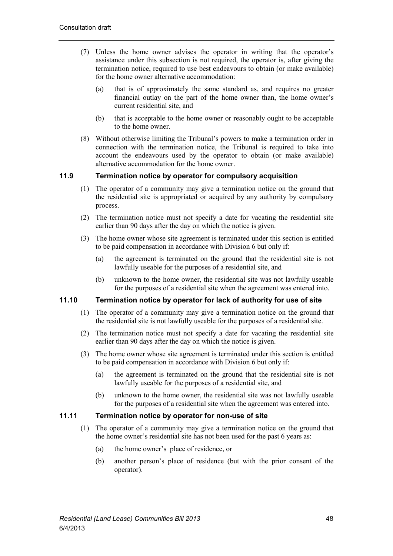- (7) Unless the home owner advises the operator in writing that the operator's assistance under this subsection is not required, the operator is, after giving the termination notice, required to use best endeavours to obtain (or make available) for the home owner alternative accommodation:
	- (a) that is of approximately the same standard as, and requires no greater financial outlay on the part of the home owner than, the home owner's current residential site, and
	- (b) that is acceptable to the home owner or reasonably ought to be acceptable to the home owner.
- (8) Without otherwise limiting the Tribunal's powers to make a termination order in connection with the termination notice, the Tribunal is required to take into account the endeavours used by the operator to obtain (or make available) alternative accommodation for the home owner.

# **11.9 Termination notice by operator for compulsory acquisition**

- (1) The operator of a community may give a termination notice on the ground that the residential site is appropriated or acquired by any authority by compulsory process.
- (2) The termination notice must not specify a date for vacating the residential site earlier than 90 days after the day on which the notice is given.
- (3) The home owner whose site agreement is terminated under this section is entitled to be paid compensation in accordance with Division 6 but only if:
	- (a) the agreement is terminated on the ground that the residential site is not lawfully useable for the purposes of a residential site, and
	- (b) unknown to the home owner, the residential site was not lawfully useable for the purposes of a residential site when the agreement was entered into.

# **11.10 Termination notice by operator for lack of authority for use of site**

- (1) The operator of a community may give a termination notice on the ground that the residential site is not lawfully useable for the purposes of a residential site.
- (2) The termination notice must not specify a date for vacating the residential site earlier than 90 days after the day on which the notice is given.
- (3) The home owner whose site agreement is terminated under this section is entitled to be paid compensation in accordance with Division 6 but only if:
	- (a) the agreement is terminated on the ground that the residential site is not lawfully useable for the purposes of a residential site, and
	- (b) unknown to the home owner, the residential site was not lawfully useable for the purposes of a residential site when the agreement was entered into.

## **11.11 Termination notice by operator for non-use of site**

- (1) The operator of a community may give a termination notice on the ground that the home owner's residential site has not been used for the past 6 years as:
	- (a) the home owner's place of residence, or
	- (b) another person's place of residence (but with the prior consent of the operator).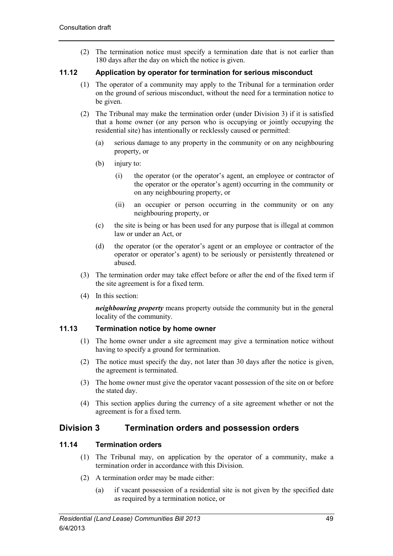(2) The termination notice must specify a termination date that is not earlier than 180 days after the day on which the notice is given.

# **11.12 Application by operator for termination for serious misconduct**

- (1) The operator of a community may apply to the Tribunal for a termination order on the ground of serious misconduct, without the need for a termination notice to be given.
- (2) The Tribunal may make the termination order (under Division 3) if it is satisfied that a home owner (or any person who is occupying or jointly occupying the residential site) has intentionally or recklessly caused or permitted:
	- (a) serious damage to any property in the community or on any neighbouring property, or
	- (b) injury to:
		- (i) the operator (or the operator's agent, an employee or contractor of the operator or the operator's agent) occurring in the community or on any neighbouring property, or
		- (ii) an occupier or person occurring in the community or on any neighbouring property, or
	- (c) the site is being or has been used for any purpose that is illegal at common law or under an Act, or
	- (d) the operator (or the operator's agent or an employee or contractor of the operator or operator's agent) to be seriously or persistently threatened or abused.
- (3) The termination order may take effect before or after the end of the fixed term if the site agreement is for a fixed term.
- (4) In this section:

*neighbouring property* means property outside the community but in the general locality of the community.

# **11.13 Termination notice by home owner**

- (1) The home owner under a site agreement may give a termination notice without having to specify a ground for termination.
- (2) The notice must specify the day, not later than 30 days after the notice is given, the agreement is terminated.
- (3) The home owner must give the operator vacant possession of the site on or before the stated day.
- (4) This section applies during the currency of a site agreement whether or not the agreement is for a fixed term.

# **Division 3 Termination orders and possession orders**

# **11.14 Termination orders**

- (1) The Tribunal may, on application by the operator of a community, make a termination order in accordance with this Division.
- (2) A termination order may be made either:
	- (a) if vacant possession of a residential site is not given by the specified date as required by a termination notice, or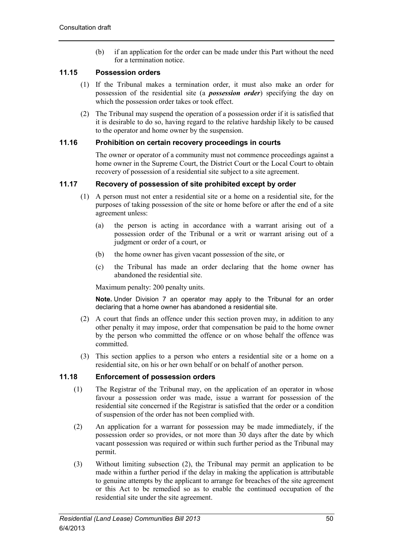(b) if an application for the order can be made under this Part without the need for a termination notice.

# **11.15 Possession orders**

- (1) If the Tribunal makes a termination order, it must also make an order for possession of the residential site (a *possession order*) specifying the day on which the possession order takes or took effect.
- (2) The Tribunal may suspend the operation of a possession order if it is satisfied that it is desirable to do so, having regard to the relative hardship likely to be caused to the operator and home owner by the suspension.

# **11.16 Prohibition on certain recovery proceedings in courts**

The owner or operator of a community must not commence proceedings against a home owner in the Supreme Court, the District Court or the Local Court to obtain recovery of possession of a residential site subject to a site agreement.

# **11.17 Recovery of possession of site prohibited except by order**

- (1) A person must not enter a residential site or a home on a residential site, for the purposes of taking possession of the site or home before or after the end of a site agreement unless:
	- (a) the person is acting in accordance with a warrant arising out of a possession order of the Tribunal or a writ or warrant arising out of a judgment or order of a court, or
	- (b) the home owner has given vacant possession of the site, or
	- (c) the Tribunal has made an order declaring that the home owner has abandoned the residential site.

Maximum penalty: 200 penalty units.

**Note.** Under Division 7 an operator may apply to the Tribunal for an order declaring that a home owner has abandoned a residential site.

- (2) A court that finds an offence under this section proven may, in addition to any other penalty it may impose, order that compensation be paid to the home owner by the person who committed the offence or on whose behalf the offence was committed.
- (3) This section applies to a person who enters a residential site or a home on a residential site, on his or her own behalf or on behalf of another person.

## **11.18 Enforcement of possession orders**

- (1) The Registrar of the Tribunal may, on the application of an operator in whose favour a possession order was made, issue a warrant for possession of the residential site concerned if the Registrar is satisfied that the order or a condition of suspension of the order has not been complied with.
- (2) An application for a warrant for possession may be made immediately, if the possession order so provides, or not more than 30 days after the date by which vacant possession was required or within such further period as the Tribunal may permit.
- (3) Without limiting subsection (2), the Tribunal may permit an application to be made within a further period if the delay in making the application is attributable to genuine attempts by the applicant to arrange for breaches of the site agreement or this Act to be remedied so as to enable the continued occupation of the residential site under the site agreement.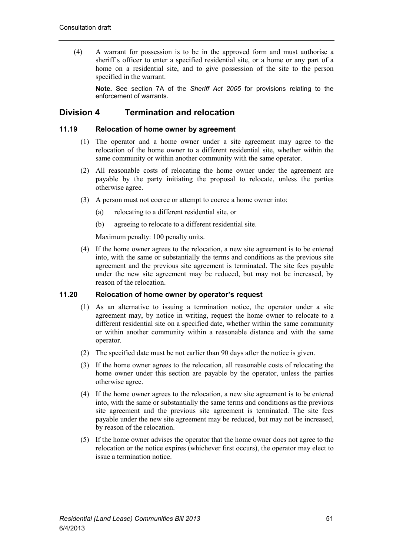(4) A warrant for possession is to be in the approved form and must authorise a sheriff's officer to enter a specified residential site, or a home or any part of a home on a residential site, and to give possession of the site to the person specified in the warrant.

**Note.** See section 7A of the *Sheriff Act 2005* for provisions relating to the enforcement of warrants.

# **Division 4 Termination and relocation**

### **11.19 Relocation of home owner by agreement**

- (1) The operator and a home owner under a site agreement may agree to the relocation of the home owner to a different residential site, whether within the same community or within another community with the same operator.
- (2) All reasonable costs of relocating the home owner under the agreement are payable by the party initiating the proposal to relocate, unless the parties otherwise agree.
- (3) A person must not coerce or attempt to coerce a home owner into:
	- (a) relocating to a different residential site, or
	- (b) agreeing to relocate to a different residential site.

Maximum penalty: 100 penalty units.

(4) If the home owner agrees to the relocation, a new site agreement is to be entered into, with the same or substantially the terms and conditions as the previous site agreement and the previous site agreement is terminated. The site fees payable under the new site agreement may be reduced, but may not be increased, by reason of the relocation.

# **11.20 Relocation of home owner by operator's request**

- (1) As an alternative to issuing a termination notice, the operator under a site agreement may, by notice in writing, request the home owner to relocate to a different residential site on a specified date, whether within the same community or within another community within a reasonable distance and with the same operator.
- (2) The specified date must be not earlier than 90 days after the notice is given.
- (3) If the home owner agrees to the relocation, all reasonable costs of relocating the home owner under this section are payable by the operator, unless the parties otherwise agree.
- (4) If the home owner agrees to the relocation, a new site agreement is to be entered into, with the same or substantially the same terms and conditions as the previous site agreement and the previous site agreement is terminated. The site fees payable under the new site agreement may be reduced, but may not be increased, by reason of the relocation.
- (5) If the home owner advises the operator that the home owner does not agree to the relocation or the notice expires (whichever first occurs), the operator may elect to issue a termination notice.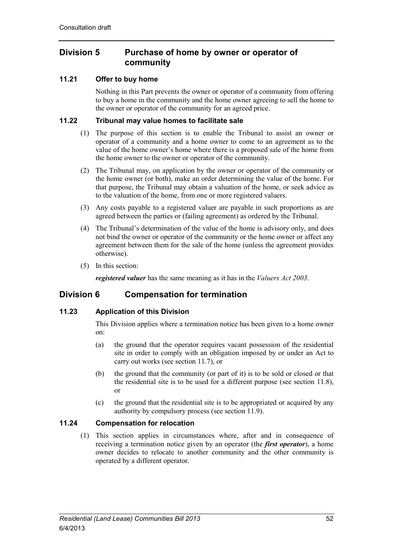# **Division 5 Purchase of home by owner or operator of community**

# **11.21 Offer to buy home**

Nothing in this Part prevents the owner or operator of a community from offering to buy a home in the community and the home owner agreeing to sell the home to the owner or operator of the community for an agreed price.

# **11.22 Tribunal may value homes to facilitate sale**

- (1) The purpose of this section is to enable the Tribunal to assist an owner or operator of a community and a home owner to come to an agreement as to the value of the home owner's home where there is a proposed sale of the home from the home owner to the owner or operator of the community.
- (2) The Tribunal may, on application by the owner or operator of the community or the home owner (or both), make an order determining the value of the home. For that purpose, the Tribunal may obtain a valuation of the home, or seek advice as to the valuation of the home, from one or more registered valuers.
- (3) Any costs payable to a registered valuer are payable in such proportions as are agreed between the parties or (failing agreement) as ordered by the Tribunal.
- (4) The Tribunal's determination of the value of the home is advisory only, and does not bind the owner or operator of the community or the home owner or affect any agreement between them for the sale of the home (unless the agreement provides otherwise).
- (5) In this section:

*registered valuer* has the same meaning as it has in the *Valuers Act 2003*.

# **Division 6 Compensation for termination**

# **11.23 Application of this Division**

This Division applies where a termination notice has been given to a home owner on:

- (a) the ground that the operator requires vacant possession of the residential site in order to comply with an obligation imposed by or under an Act to carry out works (see section 11.7), or
- (b) the ground that the community (or part of it) is to be sold or closed or that the residential site is to be used for a different purpose (see section 11.8), or
- (c) the ground that the residential site is to be appropriated or acquired by any authority by compulsory process (see section 11.9).

# **11.24 Compensation for relocation**

(1) This section applies in circumstances where, after and in consequence of receiving a termination notice given by an operator (the *first operator*), a home owner decides to relocate to another community and the other community is operated by a different operator.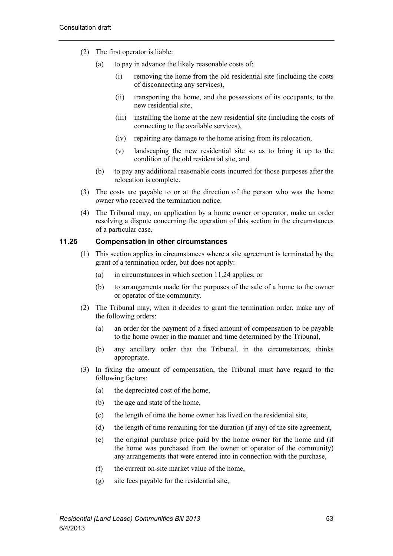- (2) The first operator is liable:
	- (a) to pay in advance the likely reasonable costs of:
		- (i) removing the home from the old residential site (including the costs of disconnecting any services),
		- (ii) transporting the home, and the possessions of its occupants, to the new residential site,
		- (iii) installing the home at the new residential site (including the costs of connecting to the available services),
		- (iv) repairing any damage to the home arising from its relocation,
		- (v) landscaping the new residential site so as to bring it up to the condition of the old residential site, and
	- (b) to pay any additional reasonable costs incurred for those purposes after the relocation is complete.
- (3) The costs are payable to or at the direction of the person who was the home owner who received the termination notice.
- (4) The Tribunal may, on application by a home owner or operator, make an order resolving a dispute concerning the operation of this section in the circumstances of a particular case.

## **11.25 Compensation in other circumstances**

- (1) This section applies in circumstances where a site agreement is terminated by the grant of a termination order, but does not apply:
	- (a) in circumstances in which section 11.24 applies, or
	- (b) to arrangements made for the purposes of the sale of a home to the owner or operator of the community.
- (2) The Tribunal may, when it decides to grant the termination order, make any of the following orders:
	- (a) an order for the payment of a fixed amount of compensation to be payable to the home owner in the manner and time determined by the Tribunal,
	- (b) any ancillary order that the Tribunal, in the circumstances, thinks appropriate.
- (3) In fixing the amount of compensation, the Tribunal must have regard to the following factors:
	- (a) the depreciated cost of the home,
	- (b) the age and state of the home,
	- (c) the length of time the home owner has lived on the residential site,
	- (d) the length of time remaining for the duration (if any) of the site agreement,
	- (e) the original purchase price paid by the home owner for the home and (if the home was purchased from the owner or operator of the community) any arrangements that were entered into in connection with the purchase,
	- (f) the current on-site market value of the home,
	- (g) site fees payable for the residential site,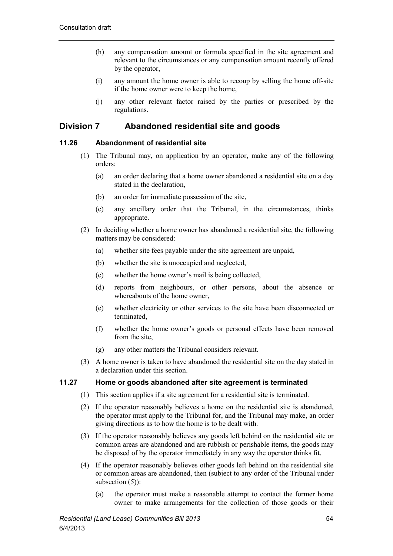- (h) any compensation amount or formula specified in the site agreement and relevant to the circumstances or any compensation amount recently offered by the operator,
- (i) any amount the home owner is able to recoup by selling the home off-site if the home owner were to keep the home,
- (j) any other relevant factor raised by the parties or prescribed by the regulations.

# **Division 7 Abandoned residential site and goods**

# **11.26 Abandonment of residential site**

- (1) The Tribunal may, on application by an operator, make any of the following orders:
	- (a) an order declaring that a home owner abandoned a residential site on a day stated in the declaration,
	- (b) an order for immediate possession of the site,
	- (c) any ancillary order that the Tribunal, in the circumstances, thinks appropriate.
- (2) In deciding whether a home owner has abandoned a residential site, the following matters may be considered:
	- (a) whether site fees payable under the site agreement are unpaid,
	- (b) whether the site is unoccupied and neglected,
	- (c) whether the home owner's mail is being collected,
	- (d) reports from neighbours, or other persons, about the absence or whereabouts of the home owner,
	- (e) whether electricity or other services to the site have been disconnected or terminated,
	- (f) whether the home owner's goods or personal effects have been removed from the site,
	- (g) any other matters the Tribunal considers relevant.
- (3) A home owner is taken to have abandoned the residential site on the day stated in a declaration under this section.

## **11.27 Home or goods abandoned after site agreement is terminated**

- (1) This section applies if a site agreement for a residential site is terminated.
- (2) If the operator reasonably believes a home on the residential site is abandoned, the operator must apply to the Tribunal for, and the Tribunal may make, an order giving directions as to how the home is to be dealt with.
- (3) If the operator reasonably believes any goods left behind on the residential site or common areas are abandoned and are rubbish or perishable items, the goods may be disposed of by the operator immediately in any way the operator thinks fit.
- (4) If the operator reasonably believes other goods left behind on the residential site or common areas are abandoned, then (subject to any order of the Tribunal under subsection (5)):
	- (a) the operator must make a reasonable attempt to contact the former home owner to make arrangements for the collection of those goods or their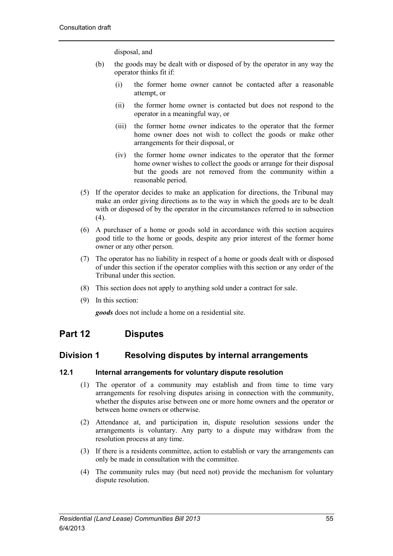disposal, and

- (b) the goods may be dealt with or disposed of by the operator in any way the operator thinks fit if:
	- (i) the former home owner cannot be contacted after a reasonable attempt, or
	- (ii) the former home owner is contacted but does not respond to the operator in a meaningful way, or
	- (iii) the former home owner indicates to the operator that the former home owner does not wish to collect the goods or make other arrangements for their disposal, or
	- (iv) the former home owner indicates to the operator that the former home owner wishes to collect the goods or arrange for their disposal but the goods are not removed from the community within a reasonable period.
- (5) If the operator decides to make an application for directions, the Tribunal may make an order giving directions as to the way in which the goods are to be dealt with or disposed of by the operator in the circumstances referred to in subsection  $(4)$ .
- (6) A purchaser of a home or goods sold in accordance with this section acquires good title to the home or goods, despite any prior interest of the former home owner or any other person.
- (7) The operator has no liability in respect of a home or goods dealt with or disposed of under this section if the operator complies with this section or any order of the Tribunal under this section.
- (8) This section does not apply to anything sold under a contract for sale.
- (9) In this section:

*goods* does not include a home on a residential site.

# **Part 12 Disputes**

# **Division 1 Resolving disputes by internal arrangements**

## **12.1 Internal arrangements for voluntary dispute resolution**

- (1) The operator of a community may establish and from time to time vary arrangements for resolving disputes arising in connection with the community, whether the disputes arise between one or more home owners and the operator or between home owners or otherwise.
- (2) Attendance at, and participation in, dispute resolution sessions under the arrangements is voluntary. Any party to a dispute may withdraw from the resolution process at any time.
- (3) If there is a residents committee, action to establish or vary the arrangements can only be made in consultation with the committee.
- (4) The community rules may (but need not) provide the mechanism for voluntary dispute resolution.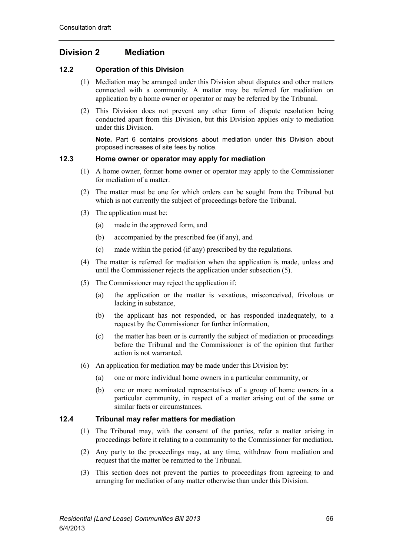# **Division 2 Mediation**

# **12.2 Operation of this Division**

- (1) Mediation may be arranged under this Division about disputes and other matters connected with a community. A matter may be referred for mediation on application by a home owner or operator or may be referred by the Tribunal.
- (2) This Division does not prevent any other form of dispute resolution being conducted apart from this Division, but this Division applies only to mediation under this Division.

**Note.** Part 6 contains provisions about mediation under this Division about proposed increases of site fees by notice.

# **12.3 Home owner or operator may apply for mediation**

- (1) A home owner, former home owner or operator may apply to the Commissioner for mediation of a matter.
- (2) The matter must be one for which orders can be sought from the Tribunal but which is not currently the subject of proceedings before the Tribunal.
- (3) The application must be:
	- (a) made in the approved form, and
	- (b) accompanied by the prescribed fee (if any), and
	- (c) made within the period (if any) prescribed by the regulations.
- (4) The matter is referred for mediation when the application is made, unless and until the Commissioner rejects the application under subsection (5).
- (5) The Commissioner may reject the application if:
	- (a) the application or the matter is vexatious, misconceived, frivolous or lacking in substance,
	- (b) the applicant has not responded, or has responded inadequately, to a request by the Commissioner for further information,
	- (c) the matter has been or is currently the subject of mediation or proceedings before the Tribunal and the Commissioner is of the opinion that further action is not warranted.
- (6) An application for mediation may be made under this Division by:
	- (a) one or more individual home owners in a particular community, or
	- (b) one or more nominated representatives of a group of home owners in a particular community, in respect of a matter arising out of the same or similar facts or circumstances.

## **12.4 Tribunal may refer matters for mediation**

- (1) The Tribunal may, with the consent of the parties, refer a matter arising in proceedings before it relating to a community to the Commissioner for mediation.
- (2) Any party to the proceedings may, at any time, withdraw from mediation and request that the matter be remitted to the Tribunal.
- (3) This section does not prevent the parties to proceedings from agreeing to and arranging for mediation of any matter otherwise than under this Division.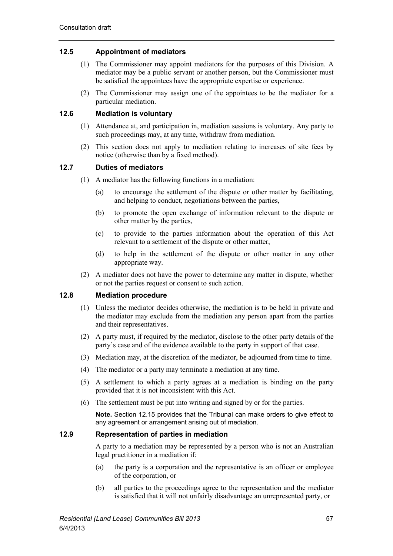# **12.5 Appointment of mediators**

- (1) The Commissioner may appoint mediators for the purposes of this Division. A mediator may be a public servant or another person, but the Commissioner must be satisfied the appointees have the appropriate expertise or experience.
- (2) The Commissioner may assign one of the appointees to be the mediator for a particular mediation.

# **12.6 Mediation is voluntary**

- (1) Attendance at, and participation in, mediation sessions is voluntary. Any party to such proceedings may, at any time, withdraw from mediation.
- (2) This section does not apply to mediation relating to increases of site fees by notice (otherwise than by a fixed method).

# **12.7 Duties of mediators**

- (1) A mediator has the following functions in a mediation:
	- (a) to encourage the settlement of the dispute or other matter by facilitating, and helping to conduct, negotiations between the parties,
	- (b) to promote the open exchange of information relevant to the dispute or other matter by the parties,
	- (c) to provide to the parties information about the operation of this Act relevant to a settlement of the dispute or other matter,
	- (d) to help in the settlement of the dispute or other matter in any other appropriate way.
- (2) A mediator does not have the power to determine any matter in dispute, whether or not the parties request or consent to such action.

# **12.8 Mediation procedure**

- (1) Unless the mediator decides otherwise, the mediation is to be held in private and the mediator may exclude from the mediation any person apart from the parties and their representatives.
- (2) A party must, if required by the mediator, disclose to the other party details of the party's case and of the evidence available to the party in support of that case.
- (3) Mediation may, at the discretion of the mediator, be adjourned from time to time.
- (4) The mediator or a party may terminate a mediation at any time.
- (5) A settlement to which a party agrees at a mediation is binding on the party provided that it is not inconsistent with this Act.
- (6) The settlement must be put into writing and signed by or for the parties.

**Note.** Section 12.15 provides that the Tribunal can make orders to give effect to any agreement or arrangement arising out of mediation.

## **12.9 Representation of parties in mediation**

A party to a mediation may be represented by a person who is not an Australian legal practitioner in a mediation if:

- (a) the party is a corporation and the representative is an officer or employee of the corporation, or
- (b) all parties to the proceedings agree to the representation and the mediator is satisfied that it will not unfairly disadvantage an unrepresented party, or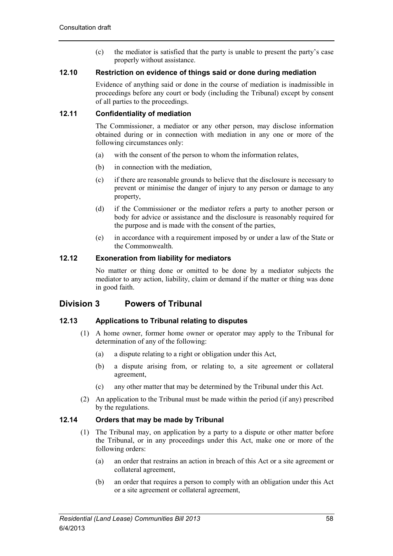(c) the mediator is satisfied that the party is unable to present the party's case properly without assistance.

### **12.10 Restriction on evidence of things said or done during mediation**

Evidence of anything said or done in the course of mediation is inadmissible in proceedings before any court or body (including the Tribunal) except by consent of all parties to the proceedings.

# **12.11 Confidentiality of mediation**

The Commissioner, a mediator or any other person, may disclose information obtained during or in connection with mediation in any one or more of the following circumstances only:

- (a) with the consent of the person to whom the information relates,
- (b) in connection with the mediation,
- (c) if there are reasonable grounds to believe that the disclosure is necessary to prevent or minimise the danger of injury to any person or damage to any property,
- (d) if the Commissioner or the mediator refers a party to another person or body for advice or assistance and the disclosure is reasonably required for the purpose and is made with the consent of the parties,
- (e) in accordance with a requirement imposed by or under a law of the State or the Commonwealth.

# **12.12 Exoneration from liability for mediators**

No matter or thing done or omitted to be done by a mediator subjects the mediator to any action, liability, claim or demand if the matter or thing was done in good faith.

# **Division 3 Powers of Tribunal**

## **12.13 Applications to Tribunal relating to disputes**

- (1) A home owner, former home owner or operator may apply to the Tribunal for determination of any of the following:
	- (a) a dispute relating to a right or obligation under this Act,
	- (b) a dispute arising from, or relating to, a site agreement or collateral agreement,
	- (c) any other matter that may be determined by the Tribunal under this Act.
- (2) An application to the Tribunal must be made within the period (if any) prescribed by the regulations.

## **12.14 Orders that may be made by Tribunal**

- (1) The Tribunal may, on application by a party to a dispute or other matter before the Tribunal, or in any proceedings under this Act, make one or more of the following orders:
	- (a) an order that restrains an action in breach of this Act or a site agreement or collateral agreement,
	- (b) an order that requires a person to comply with an obligation under this Act or a site agreement or collateral agreement,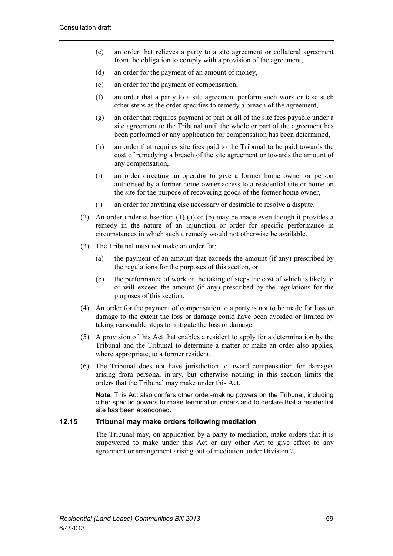- (c) an order that relieves a party to a site agreement or collateral agreement from the obligation to comply with a provision of the agreement,
- (d) an order for the payment of an amount of money,
- (e) an order for the payment of compensation,
- (f) an order that a party to a site agreement perform such work or take such other steps as the order specifies to remedy a breach of the agreement,
- (g) an order that requires payment of part or all of the site fees payable under a site agreement to the Tribunal until the whole or part of the agreement has been performed or any application for compensation has been determined,
- (h) an order that requires site fees paid to the Tribunal to be paid towards the cost of remedying a breach of the site agreement or towards the amount of any compensation,
- (i) an order directing an operator to give a former home owner or person authorised by a former home owner access to a residential site or home on the site for the purpose of recovering goods of the former home owner,
- (j) an order for anything else necessary or desirable to resolve a dispute.
- (2) An order under subsection (1) (a) or (b) may be made even though it provides a remedy in the nature of an injunction or order for specific performance in circumstances in which such a remedy would not otherwise be available.
- (3) The Tribunal must not make an order for:
	- (a) the payment of an amount that exceeds the amount (if any) prescribed by the regulations for the purposes of this section, or
	- (b) the performance of work or the taking of steps the cost of which is likely to or will exceed the amount (if any) prescribed by the regulations for the purposes of this section.
- (4) An order for the payment of compensation to a party is not to be made for loss or damage to the extent the loss or damage could have been avoided or limited by taking reasonable steps to mitigate the loss or damage.
- (5) A provision of this Act that enables a resident to apply for a determination by the Tribunal and the Tribunal to determine a matter or make an order also applies, where appropriate, to a former resident.
- (6) The Tribunal does not have jurisdiction to award compensation for damages arising from personal injury, but otherwise nothing in this section limits the orders that the Tribunal may make under this Act.

**Note.** This Act also confers other order-making powers on the Tribunal, including other specific powers to make termination orders and to declare that a residential site has been abandoned.

## **12.15 Tribunal may make orders following mediation**

The Tribunal may, on application by a party to mediation, make orders that it is empowered to make under this Act or any other Act to give effect to any agreement or arrangement arising out of mediation under Division 2.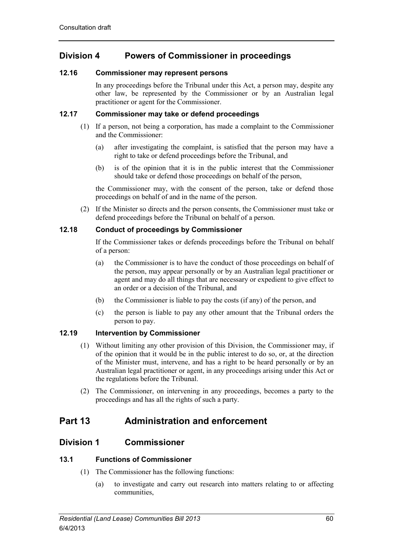# **Division 4 Powers of Commissioner in proceedings**

# **12.16 Commissioner may represent persons**

In any proceedings before the Tribunal under this Act, a person may, despite any other law, be represented by the Commissioner or by an Australian legal practitioner or agent for the Commissioner.

# **12.17 Commissioner may take or defend proceedings**

- (1) If a person, not being a corporation, has made a complaint to the Commissioner and the Commissioner:
	- (a) after investigating the complaint, is satisfied that the person may have a right to take or defend proceedings before the Tribunal, and
	- (b) is of the opinion that it is in the public interest that the Commissioner should take or defend those proceedings on behalf of the person,

the Commissioner may, with the consent of the person, take or defend those proceedings on behalf of and in the name of the person.

(2) If the Minister so directs and the person consents, the Commissioner must take or defend proceedings before the Tribunal on behalf of a person.

# **12.18 Conduct of proceedings by Commissioner**

If the Commissioner takes or defends proceedings before the Tribunal on behalf of a person:

- (a) the Commissioner is to have the conduct of those proceedings on behalf of the person, may appear personally or by an Australian legal practitioner or agent and may do all things that are necessary or expedient to give effect to an order or a decision of the Tribunal, and
- (b) the Commissioner is liable to pay the costs (if any) of the person, and
- (c) the person is liable to pay any other amount that the Tribunal orders the person to pay.

# **12.19 Intervention by Commissioner**

- (1) Without limiting any other provision of this Division, the Commissioner may, if of the opinion that it would be in the public interest to do so, or, at the direction of the Minister must, intervene, and has a right to be heard personally or by an Australian legal practitioner or agent, in any proceedings arising under this Act or the regulations before the Tribunal.
- (2) The Commissioner, on intervening in any proceedings, becomes a party to the proceedings and has all the rights of such a party.

# **Part 13 Administration and enforcement**

# **Division 1 Commissioner**

# **13.1 Functions of Commissioner**

- (1) The Commissioner has the following functions:
	- (a) to investigate and carry out research into matters relating to or affecting communities,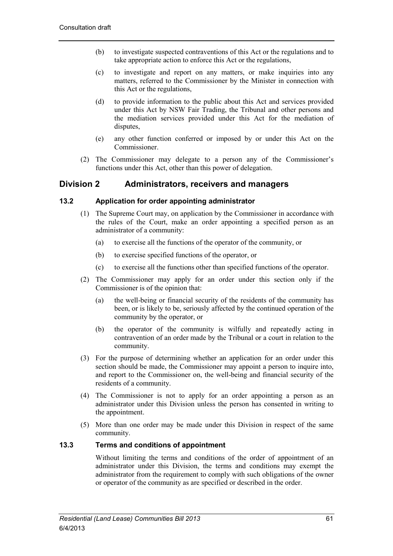- (b) to investigate suspected contraventions of this Act or the regulations and to take appropriate action to enforce this Act or the regulations,
- (c) to investigate and report on any matters, or make inquiries into any matters, referred to the Commissioner by the Minister in connection with this Act or the regulations,
- (d) to provide information to the public about this Act and services provided under this Act by NSW Fair Trading, the Tribunal and other persons and the mediation services provided under this Act for the mediation of disputes,
- (e) any other function conferred or imposed by or under this Act on the Commissioner.
- (2) The Commissioner may delegate to a person any of the Commissioner's functions under this Act, other than this power of delegation.

# **Division 2 Administrators, receivers and managers**

# **13.2 Application for order appointing administrator**

- (1) The Supreme Court may, on application by the Commissioner in accordance with the rules of the Court, make an order appointing a specified person as an administrator of a community:
	- (a) to exercise all the functions of the operator of the community, or
	- (b) to exercise specified functions of the operator, or
	- (c) to exercise all the functions other than specified functions of the operator.
- (2) The Commissioner may apply for an order under this section only if the Commissioner is of the opinion that:
	- (a) the well-being or financial security of the residents of the community has been, or is likely to be, seriously affected by the continued operation of the community by the operator, or
	- (b) the operator of the community is wilfully and repeatedly acting in contravention of an order made by the Tribunal or a court in relation to the community.
- (3) For the purpose of determining whether an application for an order under this section should be made, the Commissioner may appoint a person to inquire into, and report to the Commissioner on, the well-being and financial security of the residents of a community.
- (4) The Commissioner is not to apply for an order appointing a person as an administrator under this Division unless the person has consented in writing to the appointment.
- (5) More than one order may be made under this Division in respect of the same community.

## **13.3 Terms and conditions of appointment**

Without limiting the terms and conditions of the order of appointment of an administrator under this Division, the terms and conditions may exempt the administrator from the requirement to comply with such obligations of the owner or operator of the community as are specified or described in the order.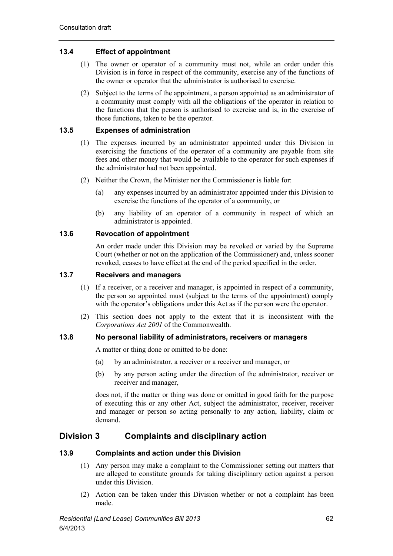# **13.4 Effect of appointment**

- (1) The owner or operator of a community must not, while an order under this Division is in force in respect of the community, exercise any of the functions of the owner or operator that the administrator is authorised to exercise.
- (2) Subject to the terms of the appointment, a person appointed as an administrator of a community must comply with all the obligations of the operator in relation to the functions that the person is authorised to exercise and is, in the exercise of those functions, taken to be the operator.

# **13.5 Expenses of administration**

- (1) The expenses incurred by an administrator appointed under this Division in exercising the functions of the operator of a community are payable from site fees and other money that would be available to the operator for such expenses if the administrator had not been appointed.
- (2) Neither the Crown, the Minister nor the Commissioner is liable for:
	- (a) any expenses incurred by an administrator appointed under this Division to exercise the functions of the operator of a community, or
	- (b) any liability of an operator of a community in respect of which an administrator is appointed.

## **13.6 Revocation of appointment**

An order made under this Division may be revoked or varied by the Supreme Court (whether or not on the application of the Commissioner) and, unless sooner revoked, ceases to have effect at the end of the period specified in the order.

# **13.7 Receivers and managers**

- (1) If a receiver, or a receiver and manager, is appointed in respect of a community, the person so appointed must (subject to the terms of the appointment) comply with the operator's obligations under this Act as if the person were the operator.
- (2) This section does not apply to the extent that it is inconsistent with the *Corporations Act 2001* of the Commonwealth.

# **13.8 No personal liability of administrators, receivers or managers**

A matter or thing done or omitted to be done:

- (a) by an administrator, a receiver or a receiver and manager, or
- (b) by any person acting under the direction of the administrator, receiver or receiver and manager,

does not, if the matter or thing was done or omitted in good faith for the purpose of executing this or any other Act, subject the administrator, receiver, receiver and manager or person so acting personally to any action, liability, claim or demand.

# **Division 3 Complaints and disciplinary action**

## **13.9 Complaints and action under this Division**

- (1) Any person may make a complaint to the Commissioner setting out matters that are alleged to constitute grounds for taking disciplinary action against a person under this Division.
- (2) Action can be taken under this Division whether or not a complaint has been made.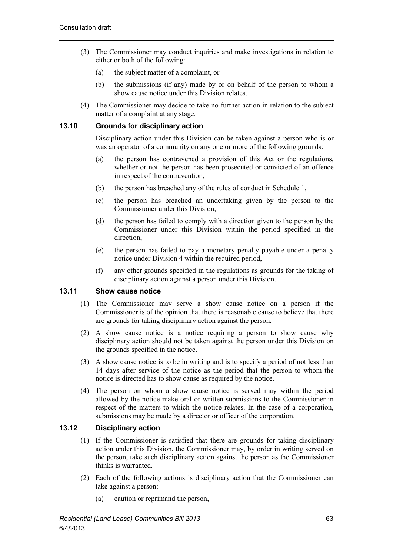- (3) The Commissioner may conduct inquiries and make investigations in relation to either or both of the following:
	- (a) the subject matter of a complaint, or
	- (b) the submissions (if any) made by or on behalf of the person to whom a show cause notice under this Division relates.
- (4) The Commissioner may decide to take no further action in relation to the subject matter of a complaint at any stage.

## **13.10 Grounds for disciplinary action**

Disciplinary action under this Division can be taken against a person who is or was an operator of a community on any one or more of the following grounds:

- (a) the person has contravened a provision of this Act or the regulations, whether or not the person has been prosecuted or convicted of an offence in respect of the contravention,
- (b) the person has breached any of the rules of conduct in Schedule 1,
- (c) the person has breached an undertaking given by the person to the Commissioner under this Division,
- (d) the person has failed to comply with a direction given to the person by the Commissioner under this Division within the period specified in the direction,
- (e) the person has failed to pay a monetary penalty payable under a penalty notice under Division 4 within the required period,
- (f) any other grounds specified in the regulations as grounds for the taking of disciplinary action against a person under this Division.

## **13.11 Show cause notice**

- (1) The Commissioner may serve a show cause notice on a person if the Commissioner is of the opinion that there is reasonable cause to believe that there are grounds for taking disciplinary action against the person.
- (2) A show cause notice is a notice requiring a person to show cause why disciplinary action should not be taken against the person under this Division on the grounds specified in the notice.
- (3) A show cause notice is to be in writing and is to specify a period of not less than 14 days after service of the notice as the period that the person to whom the notice is directed has to show cause as required by the notice.
- (4) The person on whom a show cause notice is served may within the period allowed by the notice make oral or written submissions to the Commissioner in respect of the matters to which the notice relates. In the case of a corporation, submissions may be made by a director or officer of the corporation.

## **13.12 Disciplinary action**

- (1) If the Commissioner is satisfied that there are grounds for taking disciplinary action under this Division, the Commissioner may, by order in writing served on the person, take such disciplinary action against the person as the Commissioner thinks is warranted.
- (2) Each of the following actions is disciplinary action that the Commissioner can take against a person:
	- (a) caution or reprimand the person,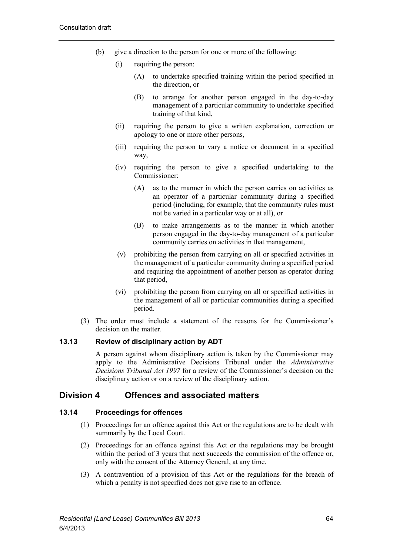- (b) give a direction to the person for one or more of the following:
	- (i) requiring the person:
		- (A) to undertake specified training within the period specified in the direction, or
		- (B) to arrange for another person engaged in the day-to-day management of a particular community to undertake specified training of that kind,
	- (ii) requiring the person to give a written explanation, correction or apology to one or more other persons,
	- (iii) requiring the person to vary a notice or document in a specified way,
	- (iv) requiring the person to give a specified undertaking to the Commissioner:
		- (A) as to the manner in which the person carries on activities as an operator of a particular community during a specified period (including, for example, that the community rules must not be varied in a particular way or at all), or
		- (B) to make arrangements as to the manner in which another person engaged in the day-to-day management of a particular community carries on activities in that management,
	- (v) prohibiting the person from carrying on all or specified activities in the management of a particular community during a specified period and requiring the appointment of another person as operator during that period,
	- (vi) prohibiting the person from carrying on all or specified activities in the management of all or particular communities during a specified period.
- (3) The order must include a statement of the reasons for the Commissioner's decision on the matter.

## **13.13 Review of disciplinary action by ADT**

A person against whom disciplinary action is taken by the Commissioner may apply to the Administrative Decisions Tribunal under the *Administrative Decisions Tribunal Act 1997* for a review of the Commissioner's decision on the disciplinary action or on a review of the disciplinary action.

# **Division 4 Offences and associated matters**

# **13.14 Proceedings for offences**

- (1) Proceedings for an offence against this Act or the regulations are to be dealt with summarily by the Local Court.
- (2) Proceedings for an offence against this Act or the regulations may be brought within the period of 3 years that next succeeds the commission of the offence or, only with the consent of the Attorney General, at any time.
- (3) A contravention of a provision of this Act or the regulations for the breach of which a penalty is not specified does not give rise to an offence.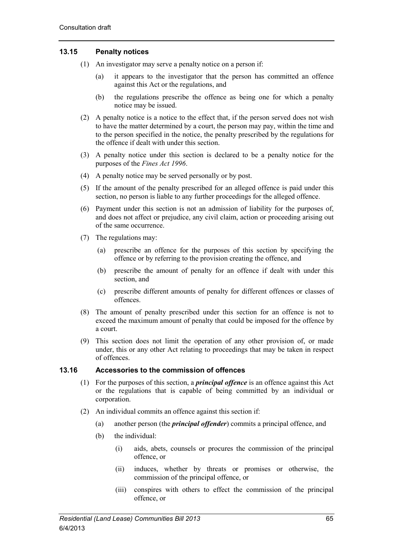# **13.15 Penalty notices**

- (1) An investigator may serve a penalty notice on a person if:
	- (a) it appears to the investigator that the person has committed an offence against this Act or the regulations, and
	- (b) the regulations prescribe the offence as being one for which a penalty notice may be issued.
- (2) A penalty notice is a notice to the effect that, if the person served does not wish to have the matter determined by a court, the person may pay, within the time and to the person specified in the notice, the penalty prescribed by the regulations for the offence if dealt with under this section.
- (3) A penalty notice under this section is declared to be a penalty notice for the purposes of the *Fines Act 1996*.
- (4) A penalty notice may be served personally or by post.
- (5) If the amount of the penalty prescribed for an alleged offence is paid under this section, no person is liable to any further proceedings for the alleged offence.
- (6) Payment under this section is not an admission of liability for the purposes of, and does not affect or prejudice, any civil claim, action or proceeding arising out of the same occurrence.
- (7) The regulations may:
	- (a) prescribe an offence for the purposes of this section by specifying the offence or by referring to the provision creating the offence, and
	- (b) prescribe the amount of penalty for an offence if dealt with under this section, and
	- (c) prescribe different amounts of penalty for different offences or classes of offences.
- (8) The amount of penalty prescribed under this section for an offence is not to exceed the maximum amount of penalty that could be imposed for the offence by a court.
- (9) This section does not limit the operation of any other provision of, or made under, this or any other Act relating to proceedings that may be taken in respect of offences.

## **13.16 Accessories to the commission of offences**

- (1) For the purposes of this section, a *principal offence* is an offence against this Act or the regulations that is capable of being committed by an individual or corporation.
- (2) An individual commits an offence against this section if:
	- (a) another person (the *principal offender*) commits a principal offence, and
	- (b) the individual:
		- (i) aids, abets, counsels or procures the commission of the principal offence, or
		- (ii) induces, whether by threats or promises or otherwise, the commission of the principal offence, or
		- (iii) conspires with others to effect the commission of the principal offence, or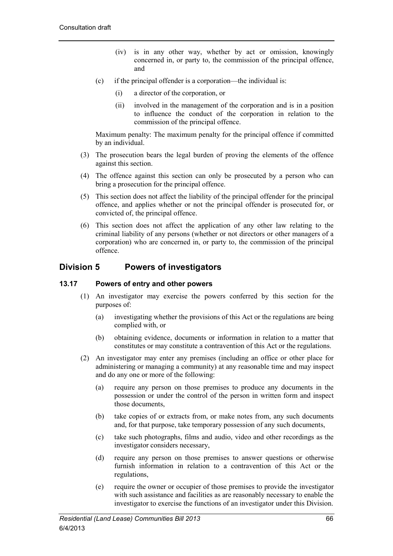- (iv) is in any other way, whether by act or omission, knowingly concerned in, or party to, the commission of the principal offence, and
- (c) if the principal offender is a corporation—the individual is:
	- (i) a director of the corporation, or
	- (ii) involved in the management of the corporation and is in a position to influence the conduct of the corporation in relation to the commission of the principal offence.

Maximum penalty: The maximum penalty for the principal offence if committed by an individual.

- (3) The prosecution bears the legal burden of proving the elements of the offence against this section.
- (4) The offence against this section can only be prosecuted by a person who can bring a prosecution for the principal offence.
- (5) This section does not affect the liability of the principal offender for the principal offence, and applies whether or not the principal offender is prosecuted for, or convicted of, the principal offence.
- (6) This section does not affect the application of any other law relating to the criminal liability of any persons (whether or not directors or other managers of a corporation) who are concerned in, or party to, the commission of the principal offence.

# **Division 5 Powers of investigators**

## **13.17 Powers of entry and other powers**

- (1) An investigator may exercise the powers conferred by this section for the purposes of:
	- (a) investigating whether the provisions of this Act or the regulations are being complied with, or
	- (b) obtaining evidence, documents or information in relation to a matter that constitutes or may constitute a contravention of this Act or the regulations.
- (2) An investigator may enter any premises (including an office or other place for administering or managing a community) at any reasonable time and may inspect and do any one or more of the following:
	- (a) require any person on those premises to produce any documents in the possession or under the control of the person in written form and inspect those documents,
	- (b) take copies of or extracts from, or make notes from, any such documents and, for that purpose, take temporary possession of any such documents,
	- (c) take such photographs, films and audio, video and other recordings as the investigator considers necessary,
	- (d) require any person on those premises to answer questions or otherwise furnish information in relation to a contravention of this Act or the regulations,
	- (e) require the owner or occupier of those premises to provide the investigator with such assistance and facilities as are reasonably necessary to enable the investigator to exercise the functions of an investigator under this Division.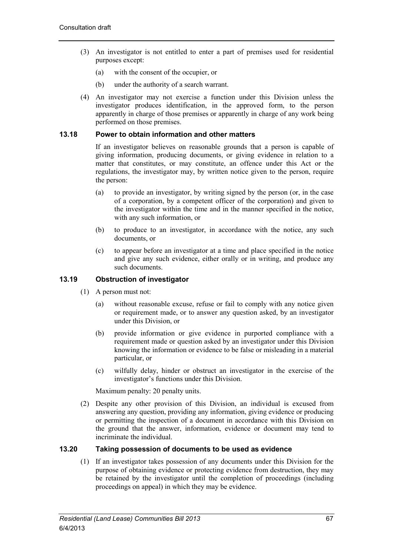- (3) An investigator is not entitled to enter a part of premises used for residential purposes except:
	- (a) with the consent of the occupier, or
	- (b) under the authority of a search warrant.
- (4) An investigator may not exercise a function under this Division unless the investigator produces identification, in the approved form, to the person apparently in charge of those premises or apparently in charge of any work being performed on those premises.

# **13.18 Power to obtain information and other matters**

If an investigator believes on reasonable grounds that a person is capable of giving information, producing documents, or giving evidence in relation to a matter that constitutes, or may constitute, an offence under this Act or the regulations, the investigator may, by written notice given to the person, require the person:

- (a) to provide an investigator, by writing signed by the person (or, in the case of a corporation, by a competent officer of the corporation) and given to the investigator within the time and in the manner specified in the notice, with any such information, or
- (b) to produce to an investigator, in accordance with the notice, any such documents, or
- (c) to appear before an investigator at a time and place specified in the notice and give any such evidence, either orally or in writing, and produce any such documents.

# **13.19 Obstruction of investigator**

- (1) A person must not:
	- (a) without reasonable excuse, refuse or fail to comply with any notice given or requirement made, or to answer any question asked, by an investigator under this Division, or
	- (b) provide information or give evidence in purported compliance with a requirement made or question asked by an investigator under this Division knowing the information or evidence to be false or misleading in a material particular, or
	- (c) wilfully delay, hinder or obstruct an investigator in the exercise of the investigator's functions under this Division.

Maximum penalty: 20 penalty units.

(2) Despite any other provision of this Division, an individual is excused from answering any question, providing any information, giving evidence or producing or permitting the inspection of a document in accordance with this Division on the ground that the answer, information, evidence or document may tend to incriminate the individual.

## **13.20 Taking possession of documents to be used as evidence**

(1) If an investigator takes possession of any documents under this Division for the purpose of obtaining evidence or protecting evidence from destruction, they may be retained by the investigator until the completion of proceedings (including proceedings on appeal) in which they may be evidence.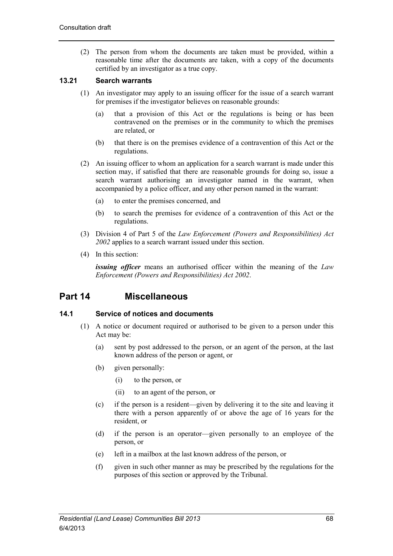(2) The person from whom the documents are taken must be provided, within a reasonable time after the documents are taken, with a copy of the documents certified by an investigator as a true copy.

# **13.21 Search warrants**

- (1) An investigator may apply to an issuing officer for the issue of a search warrant for premises if the investigator believes on reasonable grounds:
	- (a) that a provision of this Act or the regulations is being or has been contravened on the premises or in the community to which the premises are related, or
	- (b) that there is on the premises evidence of a contravention of this Act or the regulations.
- (2) An issuing officer to whom an application for a search warrant is made under this section may, if satisfied that there are reasonable grounds for doing so, issue a search warrant authorising an investigator named in the warrant, when accompanied by a police officer, and any other person named in the warrant:
	- (a) to enter the premises concerned, and
	- (b) to search the premises for evidence of a contravention of this Act or the regulations.
- (3) Division 4 of Part 5 of the *Law Enforcement (Powers and Responsibilities) Act 2002* applies to a search warrant issued under this section.
- (4) In this section:

*issuing officer* means an authorised officer within the meaning of the *Law Enforcement (Powers and Responsibilities) Act 2002*.

# **Part 14 Miscellaneous**

## **14.1 Service of notices and documents**

- (1) A notice or document required or authorised to be given to a person under this Act may be:
	- (a) sent by post addressed to the person, or an agent of the person, at the last known address of the person or agent, or
	- (b) given personally:
		- (i) to the person, or
		- (ii) to an agent of the person, or
	- (c) if the person is a resident—given by delivering it to the site and leaving it there with a person apparently of or above the age of 16 years for the resident, or
	- (d) if the person is an operator—given personally to an employee of the person, or
	- (e) left in a mailbox at the last known address of the person, or
	- (f) given in such other manner as may be prescribed by the regulations for the purposes of this section or approved by the Tribunal.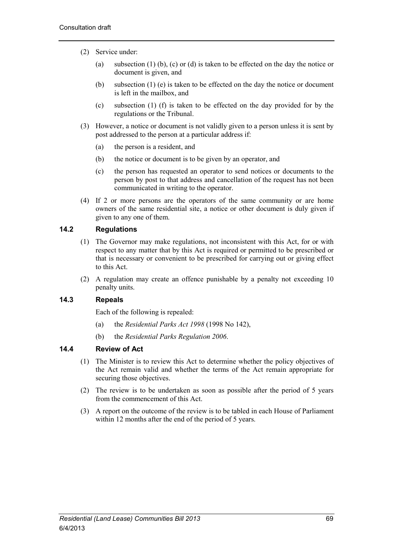- (2) Service under:
	- (a) subsection (1) (b), (c) or (d) is taken to be effected on the day the notice or document is given, and
	- (b) subsection (1) (e) is taken to be effected on the day the notice or document is left in the mailbox, and
	- (c) subsection (1) (f) is taken to be effected on the day provided for by the regulations or the Tribunal.
- (3) However, a notice or document is not validly given to a person unless it is sent by post addressed to the person at a particular address if:
	- (a) the person is a resident, and
	- (b) the notice or document is to be given by an operator, and
	- (c) the person has requested an operator to send notices or documents to the person by post to that address and cancellation of the request has not been communicated in writing to the operator.
- (4) If 2 or more persons are the operators of the same community or are home owners of the same residential site, a notice or other document is duly given if given to any one of them.

# **14.2 Regulations**

- (1) The Governor may make regulations, not inconsistent with this Act, for or with respect to any matter that by this Act is required or permitted to be prescribed or that is necessary or convenient to be prescribed for carrying out or giving effect to this Act.
- (2) A regulation may create an offence punishable by a penalty not exceeding 10 penalty units.

# **14.3 Repeals**

Each of the following is repealed:

- (a) the *Residential Parks Act 1998* (1998 No 142),
- (b) the *Residential Parks Regulation 2006*.

## **14.4 Review of Act**

- (1) The Minister is to review this Act to determine whether the policy objectives of the Act remain valid and whether the terms of the Act remain appropriate for securing those objectives.
- (2) The review is to be undertaken as soon as possible after the period of 5 years from the commencement of this Act.
- (3) A report on the outcome of the review is to be tabled in each House of Parliament within 12 months after the end of the period of 5 years.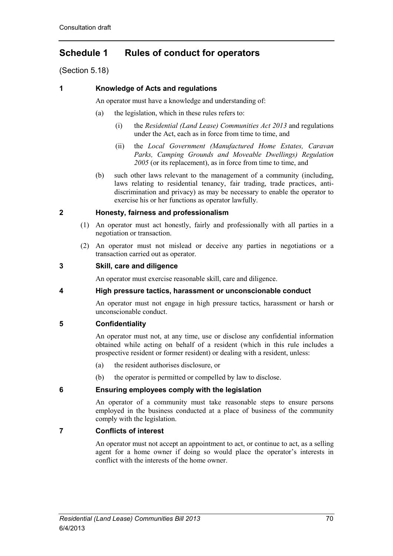# **Schedule 1 Rules of conduct for operators**

(Section 5.18)

# **1 Knowledge of Acts and regulations**

An operator must have a knowledge and understanding of:

- (a) the legislation, which in these rules refers to:
	- (i) the *Residential (Land Lease) Communities Act 2013* and regulations under the Act, each as in force from time to time, and
	- (ii) the *Local Government (Manufactured Home Estates, Caravan Parks, Camping Grounds and Moveable Dwellings) Regulation 2005* (or its replacement), as in force from time to time, and
- (b) such other laws relevant to the management of a community (including, laws relating to residential tenancy, fair trading, trade practices, antidiscrimination and privacy) as may be necessary to enable the operator to exercise his or her functions as operator lawfully.

## **2 Honesty, fairness and professionalism**

- (1) An operator must act honestly, fairly and professionally with all parties in a negotiation or transaction.
- (2) An operator must not mislead or deceive any parties in negotiations or a transaction carried out as operator.

## **3 Skill, care and diligence**

An operator must exercise reasonable skill, care and diligence.

## **4 High pressure tactics, harassment or unconscionable conduct**

An operator must not engage in high pressure tactics, harassment or harsh or unconscionable conduct.

## **5 Confidentiality**

An operator must not, at any time, use or disclose any confidential information obtained while acting on behalf of a resident (which in this rule includes a prospective resident or former resident) or dealing with a resident, unless:

- (a) the resident authorises disclosure, or
- (b) the operator is permitted or compelled by law to disclose.

## **6 Ensuring employees comply with the legislation**

An operator of a community must take reasonable steps to ensure persons employed in the business conducted at a place of business of the community comply with the legislation.

# **7 Conflicts of interest**

An operator must not accept an appointment to act, or continue to act, as a selling agent for a home owner if doing so would place the operator's interests in conflict with the interests of the home owner.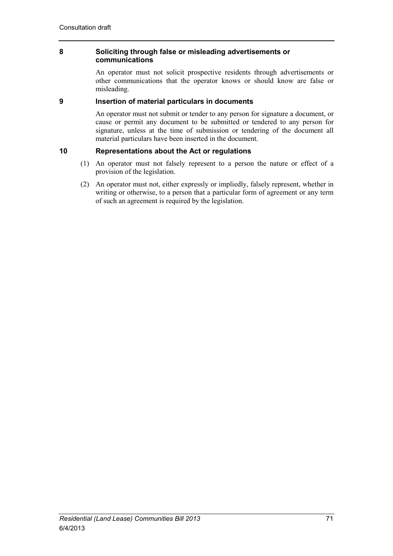## **8 Soliciting through false or misleading advertisements or communications**

An operator must not solicit prospective residents through advertisements or other communications that the operator knows or should know are false or misleading.

# **9 Insertion of material particulars in documents**

An operator must not submit or tender to any person for signature a document, or cause or permit any document to be submitted or tendered to any person for signature, unless at the time of submission or tendering of the document all material particulars have been inserted in the document.

# **10 Representations about the Act or regulations**

- (1) An operator must not falsely represent to a person the nature or effect of a provision of the legislation.
- (2) An operator must not, either expressly or impliedly, falsely represent, whether in writing or otherwise, to a person that a particular form of agreement or any term of such an agreement is required by the legislation.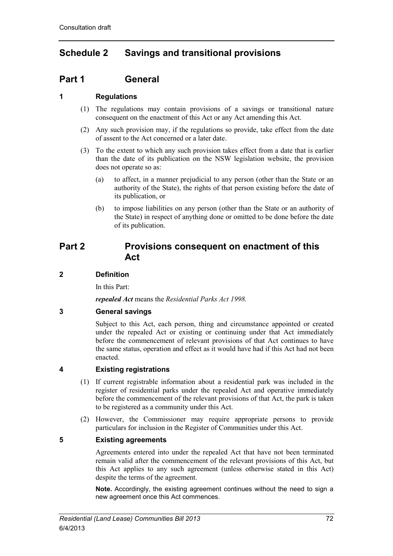# **Schedule 2 Savings and transitional provisions**

# **Part 1 General**

# **1 Regulations**

- (1) The regulations may contain provisions of a savings or transitional nature consequent on the enactment of this Act or any Act amending this Act.
- (2) Any such provision may, if the regulations so provide, take effect from the date of assent to the Act concerned or a later date.
- (3) To the extent to which any such provision takes effect from a date that is earlier than the date of its publication on the NSW legislation website, the provision does not operate so as:
	- (a) to affect, in a manner prejudicial to any person (other than the State or an authority of the State), the rights of that person existing before the date of its publication, or
	- (b) to impose liabilities on any person (other than the State or an authority of the State) in respect of anything done or omitted to be done before the date of its publication.

# **Part 2 Provisions consequent on enactment of this Act**

# **2 Definition**

In this Part:

*repealed Act* means the *Residential Parks Act 1998.*

# **3 General savings**

Subject to this Act, each person, thing and circumstance appointed or created under the repealed Act or existing or continuing under that Act immediately before the commencement of relevant provisions of that Act continues to have the same status, operation and effect as it would have had if this Act had not been enacted.

## **4 Existing registrations**

- (1) If current registrable information about a residential park was included in the register of residential parks under the repealed Act and operative immediately before the commencement of the relevant provisions of that Act, the park is taken to be registered as a community under this Act.
- (2) However, the Commissioner may require appropriate persons to provide particulars for inclusion in the Register of Communities under this Act.

## **5 Existing agreements**

Agreements entered into under the repealed Act that have not been terminated remain valid after the commencement of the relevant provisions of this Act, but this Act applies to any such agreement (unless otherwise stated in this Act) despite the terms of the agreement.

**Note.** Accordingly, the existing agreement continues without the need to sign a new agreement once this Act commences.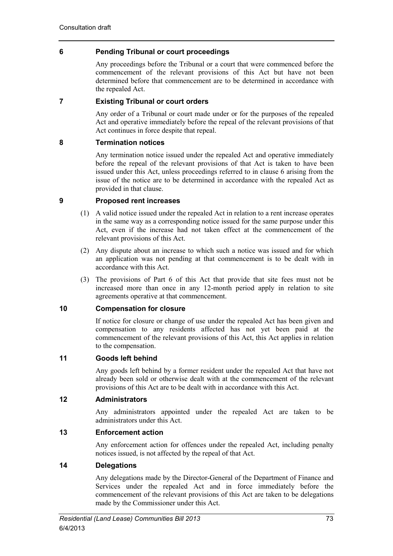# **6 Pending Tribunal or court proceedings**

Any proceedings before the Tribunal or a court that were commenced before the commencement of the relevant provisions of this Act but have not been determined before that commencement are to be determined in accordance with the repealed Act.

# **7 Existing Tribunal or court orders**

Any order of a Tribunal or court made under or for the purposes of the repealed Act and operative immediately before the repeal of the relevant provisions of that Act continues in force despite that repeal.

# **8 Termination notices**

Any termination notice issued under the repealed Act and operative immediately before the repeal of the relevant provisions of that Act is taken to have been issued under this Act, unless proceedings referred to in clause 6 arising from the issue of the notice are to be determined in accordance with the repealed Act as provided in that clause.

## **9 Proposed rent increases**

- (1) A valid notice issued under the repealed Act in relation to a rent increase operates in the same way as a corresponding notice issued for the same purpose under this Act, even if the increase had not taken effect at the commencement of the relevant provisions of this Act.
- (2) Any dispute about an increase to which such a notice was issued and for which an application was not pending at that commencement is to be dealt with in accordance with this Act.
- (3) The provisions of Part 6 of this Act that provide that site fees must not be increased more than once in any 12-month period apply in relation to site agreements operative at that commencement.

# **10 Compensation for closure**

If notice for closure or change of use under the repealed Act has been given and compensation to any residents affected has not yet been paid at the commencement of the relevant provisions of this Act, this Act applies in relation to the compensation.

## **11 Goods left behind**

Any goods left behind by a former resident under the repealed Act that have not already been sold or otherwise dealt with at the commencement of the relevant provisions of this Act are to be dealt with in accordance with this Act.

## **12 Administrators**

Any administrators appointed under the repealed Act are taken to be administrators under this Act.

## **13 Enforcement action**

Any enforcement action for offences under the repealed Act, including penalty notices issued, is not affected by the repeal of that Act.

## **14 Delegations**

Any delegations made by the Director-General of the Department of Finance and Services under the repealed Act and in force immediately before the commencement of the relevant provisions of this Act are taken to be delegations made by the Commissioner under this Act.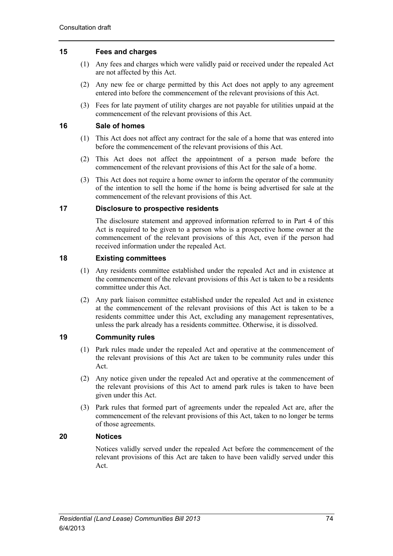# **15 Fees and charges**

- (1) Any fees and charges which were validly paid or received under the repealed Act are not affected by this Act.
- (2) Any new fee or charge permitted by this Act does not apply to any agreement entered into before the commencement of the relevant provisions of this Act.
- (3) Fees for late payment of utility charges are not payable for utilities unpaid at the commencement of the relevant provisions of this Act.

### **16 Sale of homes**

- (1) This Act does not affect any contract for the sale of a home that was entered into before the commencement of the relevant provisions of this Act.
- (2) This Act does not affect the appointment of a person made before the commencement of the relevant provisions of this Act for the sale of a home.
- (3) This Act does not require a home owner to inform the operator of the community of the intention to sell the home if the home is being advertised for sale at the commencement of the relevant provisions of this Act.

### **17 Disclosure to prospective residents**

The disclosure statement and approved information referred to in Part 4 of this Act is required to be given to a person who is a prospective home owner at the commencement of the relevant provisions of this Act, even if the person had received information under the repealed Act.

## **18 Existing committees**

- (1) Any residents committee established under the repealed Act and in existence at the commencement of the relevant provisions of this Act is taken to be a residents committee under this Act.
- (2) Any park liaison committee established under the repealed Act and in existence at the commencement of the relevant provisions of this Act is taken to be a residents committee under this Act, excluding any management representatives, unless the park already has a residents committee. Otherwise, it is dissolved.

# **19 Community rules**

- (1) Park rules made under the repealed Act and operative at the commencement of the relevant provisions of this Act are taken to be community rules under this Act.
- (2) Any notice given under the repealed Act and operative at the commencement of the relevant provisions of this Act to amend park rules is taken to have been given under this Act.
- (3) Park rules that formed part of agreements under the repealed Act are, after the commencement of the relevant provisions of this Act, taken to no longer be terms of those agreements.

## **20 Notices**

Notices validly served under the repealed Act before the commencement of the relevant provisions of this Act are taken to have been validly served under this Act.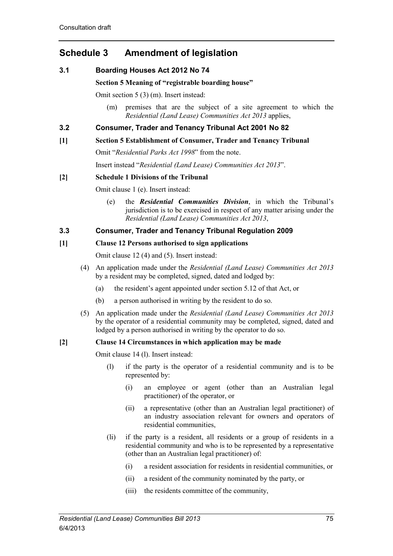# **Schedule 3 Amendment of legislation**

# **3.1 Boarding Houses Act 2012 No 74**

## **Section 5 Meaning of "registrable boarding house"**

Omit section 5 (3) (m). Insert instead:

(m) premises that are the subject of a site agreement to which the *Residential (Land Lease) Communities Act 2013* applies,

# **3.2 Consumer, Trader and Tenancy Tribunal Act 2001 No 82**

## **[1] Section 5 Establishment of Consumer, Trader and Tenancy Tribunal**

Omit "*Residential Parks Act 1998*" from the note.

Insert instead "*Residential (Land Lease) Communities Act 2013*".

# **[2] Schedule 1 Divisions of the Tribunal**

Omit clause 1 (e). Insert instead:

(e) the *Residential Communities Division*, in which the Tribunal's jurisdiction is to be exercised in respect of any matter arising under the *Residential (Land Lease) Communities Act 2013*,

# **3.3 Consumer, Trader and Tenancy Tribunal Regulation 2009**

## **[1] Clause 12 Persons authorised to sign applications**

Omit clause 12 (4) and (5). Insert instead:

- (4) An application made under the *Residential (Land Lease) Communities Act 2013* by a resident may be completed, signed, dated and lodged by:
	- (a) the resident's agent appointed under section 5.12 of that Act, or
	- (b) a person authorised in writing by the resident to do so.
- (5) An application made under the *Residential (Land Lease) Communities Act 2013* by the operator of a residential community may be completed, signed, dated and lodged by a person authorised in writing by the operator to do so.

# **[2] Clause 14 Circumstances in which application may be made**

Omit clause 14 (l). Insert instead:

- (l) if the party is the operator of a residential community and is to be represented by:
	- (i) an employee or agent (other than an Australian legal practitioner) of the operator, or
	- (ii) a representative (other than an Australian legal practitioner) of an industry association relevant for owners and operators of residential communities,
- (li) if the party is a resident, all residents or a group of residents in a residential community and who is to be represented by a representative (other than an Australian legal practitioner) of:
	- (i) a resident association for residents in residential communities, or
	- (ii) a resident of the community nominated by the party, or
	- (iii) the residents committee of the community,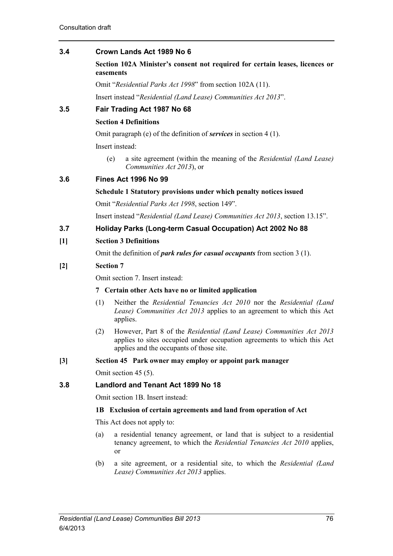# **3.4 Crown Lands Act 1989 No 6**

**Section 102A Minister's consent not required for certain leases, licences or easements**

Omit "*Residential Parks Act 1998*" from section 102A (11).

Insert instead "*Residential (Land Lease) Communities Act 2013*".

# **3.5 Fair Trading Act 1987 No 68**

# **Section 4 Definitions**

Omit paragraph (e) of the definition of *services* in section 4 (1).

Insert instead:

(e) a site agreement (within the meaning of the *Residential (Land Lease) Communities Act 2013*), or

# **3.6 Fines Act 1996 No 99**

#### **Schedule 1 Statutory provisions under which penalty notices issued**

Omit "*Residential Parks Act 1998*, section 149".

Insert instead "*Residential (Land Lease) Communities Act 2013*, section 13.15".

# **3.7 Holiday Parks (Long-term Casual Occupation) Act 2002 No 88**

## **[1] Section 3 Definitions**

Omit the definition of *park rules for casual occupants* from section 3 (1).

## **[2] Section 7**

Omit section 7. Insert instead:

#### **7 Certain other Acts have no or limited application**

- (1) Neither the *Residential Tenancies Act 2010* nor the *Residential (Land Lease) Communities Act 2013* applies to an agreement to which this Act applies.
- (2) However, Part 8 of the *Residential (Land Lease) Communities Act 2013*  applies to sites occupied under occupation agreements to which this Act applies and the occupants of those site.
- **[3] Section 45 Park owner may employ or appoint park manager**

Omit section 45 (5).

## **3.8 Landlord and Tenant Act 1899 No 18**

Omit section 1B. Insert instead:

## **1B Exclusion of certain agreements and land from operation of Act**

This Act does not apply to:

- (a) a residential tenancy agreement, or land that is subject to a residential tenancy agreement, to which the *Residential Tenancies Act 2010* applies, or
- (b) a site agreement, or a residential site, to which the *Residential (Land Lease) Communities Act 2013* applies.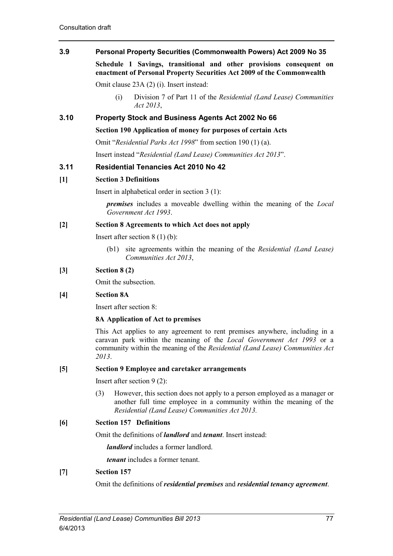# **3.9 Personal Property Securities (Commonwealth Powers) Act 2009 No 35**

**Schedule 1 Savings, transitional and other provisions consequent on enactment of Personal Property Securities Act 2009 of the Commonwealth**

Omit clause 23A (2) (i). Insert instead:

(i) Division 7 of Part 11 of the *Residential (Land Lease) Communities Act 2013*,

# **3.10 Property Stock and Business Agents Act 2002 No 66**

**Section 190 Application of money for purposes of certain Acts**

Omit "*Residential Parks Act 1998*" from section 190 (1) (a).

Insert instead "*Residential (Land Lease) Communities Act 2013*".

# **3.11 Residential Tenancies Act 2010 No 42**

## **[1] Section 3 Definitions**

Insert in alphabetical order in section 3 (1):

*premises* includes a moveable dwelling within the meaning of the *Local Government Act 1993*.

#### **[2] Section 8 Agreements to which Act does not apply**

Insert after section 8 (1) (b):

(b1) site agreements within the meaning of the *Residential (Land Lease) Communities Act 2013*,

# **[3] Section 8 (2)**

Omit the subsection.

## **[4] Section 8A**

Insert after section 8:

## **8A Application of Act to premises**

This Act applies to any agreement to rent premises anywhere, including in a caravan park within the meaning of the *Local Government Act 1993* or a community within the meaning of the *Residential (Land Lease) Communities Act 2013*.

## **[5] Section 9 Employee and caretaker arrangements**

Insert after section 9 (2):

(3) However, this section does not apply to a person employed as a manager or another full time employee in a community within the meaning of the *Residential (Land Lease) Communities Act 2013.*

## **[6] Section 157 Definitions**

Omit the definitions of *landlord* and *tenant*. Insert instead:

*landlord* includes a former landlord.

*tenant* includes a former tenant.

## **[7] Section 157**

Omit the definitions of *residential premises* and *residential tenancy agreement*.